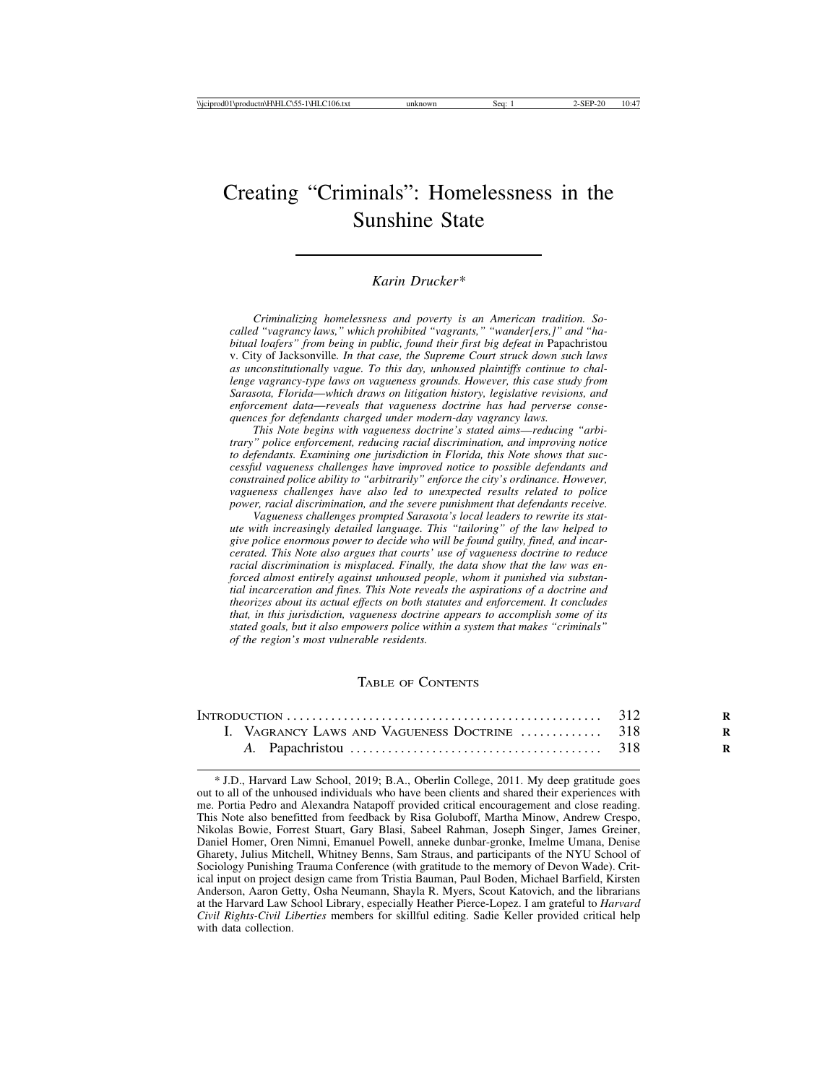# Creating "Criminals": Homelessness in the Sunshine State

#### *Karin Drucker\**

*Criminalizing homelessness and poverty is an American tradition. Socalled "vagrancy laws," which prohibited "vagrants," "wander[ers,]" and "habitual loafers" from being in public, found their first big defeat in* Papachristou v. City of Jacksonville*. In that case, the Supreme Court struck down such laws as unconstitutionally vague. To this day, unhoused plaintiffs continue to challenge vagrancy-type laws on vagueness grounds. However, this case study from Sarasota, Florida*—*which draws on litigation history, legislative revisions, and enforcement data*—*reveals that vagueness doctrine has had perverse consequences for defendants charged under modern-day vagrancy laws.*

*This Note begins with vagueness doctrine's stated aims*—*reducing "arbitrary" police enforcement, reducing racial discrimination, and improving notice to defendants. Examining one jurisdiction in Florida, this Note shows that successful vagueness challenges have improved notice to possible defendants and constrained police ability to "arbitrarily" enforce the city's ordinance. However, vagueness challenges have also led to unexpected results related to police power, racial discrimination, and the severe punishment that defendants receive.*

*Vagueness challenges prompted Sarasota's local leaders to rewrite its statute with increasingly detailed language. This "tailoring" of the law helped to give police enormous power to decide who will be found guilty, fined, and incarcerated. This Note also argues that courts' use of vagueness doctrine to reduce racial discrimination is misplaced. Finally, the data show that the law was enforced almost entirely against unhoused people, whom it punished via substantial incarceration and fines. This Note reveals the aspirations of a doctrine and theorizes about its actual effects on both statutes and enforcement. It concludes that, in this jurisdiction, vagueness doctrine appears to accomplish some of its stated goals, but it also empowers police within a system that makes "criminals" of the region's most vulnerable residents.*

#### TABLE OF CONTENTS

| I. VAGRANCY LAWS AND VAGUENESS DOCTRINE  318 |  |
|----------------------------------------------|--|
|                                              |  |

\* J.D., Harvard Law School, 2019; B.A., Oberlin College, 2011. My deep gratitude goes out to all of the unhoused individuals who have been clients and shared their experiences with me. Portia Pedro and Alexandra Natapoff provided critical encouragement and close reading. This Note also benefitted from feedback by Risa Goluboff, Martha Minow, Andrew Crespo, Nikolas Bowie, Forrest Stuart, Gary Blasi, Sabeel Rahman, Joseph Singer, James Greiner, Daniel Homer, Oren Nimni, Emanuel Powell, anneke dunbar-gronke, Imelme Umana, Denise Gharety, Julius Mitchell, Whitney Benns, Sam Straus, and participants of the NYU School of Sociology Punishing Trauma Conference (with gratitude to the memory of Devon Wade). Critical input on project design came from Tristia Bauman, Paul Boden, Michael Barfield, Kirsten Anderson, Aaron Getty, Osha Neumann, Shayla R. Myers, Scout Katovich, and the librarians at the Harvard Law School Library, especially Heather Pierce-Lopez. I am grateful to *Harvard Civil Rights-Civil Liberties* members for skillful editing. Sadie Keller provided critical help with data collection.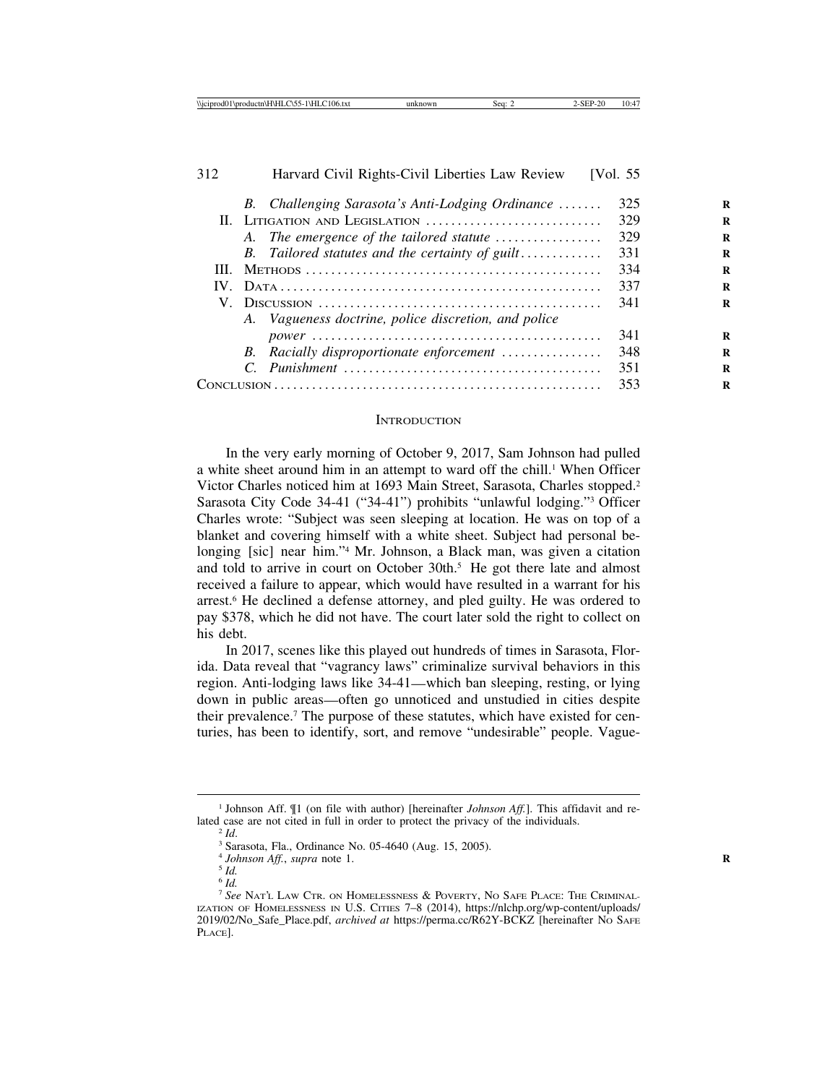| 312 | Harvard Civil Rights-Civil Liberties Law Review      | [Vol. 55] |
|-----|------------------------------------------------------|-----------|
|     | B. Challenging Sarasota's Anti-Lodging Ordinance     | 325       |
|     | II. LITIGATION AND LEGISLATION                       | 329       |
|     | A. The emergence of the tailored statute             | 329       |
|     | B. Tailored statutes and the certainty of guilt      | 331       |
|     |                                                      | 334       |
|     |                                                      | 337       |
|     |                                                      | 341       |
|     | A. Vagueness doctrine, police discretion, and police |           |
|     |                                                      | 341       |
|     | B. Racially disproportionate enforcement             | 348       |
|     |                                                      | 351       |
|     |                                                      | 353       |

#### **INTRODUCTION**

In the very early morning of October 9, 2017, Sam Johnson had pulled a white sheet around him in an attempt to ward off the chill.<sup>1</sup> When Officer Victor Charles noticed him at 1693 Main Street, Sarasota, Charles stopped.<sup>2</sup> Sarasota City Code 34-41 ("34-41") prohibits "unlawful lodging."3 Officer Charles wrote: "Subject was seen sleeping at location. He was on top of a blanket and covering himself with a white sheet. Subject had personal belonging [sic] near him."4 Mr. Johnson, a Black man, was given a citation and told to arrive in court on October 30th.<sup>5</sup> He got there late and almost received a failure to appear, which would have resulted in a warrant for his arrest.6 He declined a defense attorney, and pled guilty. He was ordered to pay \$378, which he did not have. The court later sold the right to collect on his debt.

In 2017, scenes like this played out hundreds of times in Sarasota, Florida. Data reveal that "vagrancy laws" criminalize survival behaviors in this region. Anti-lodging laws like 34-41—which ban sleeping, resting, or lying down in public areas—often go unnoticed and unstudied in cities despite their prevalence.7 The purpose of these statutes, which have existed for centuries, has been to identify, sort, and remove "undesirable" people. Vague-

<sup>1</sup> Johnson Aff. ¶1 (on file with author) [hereinafter *Johnson Aff.*]. This affidavit and related case are not cited in full in order to protect the privacy of the individuals. <sup>2</sup> *Id*. <sup>3</sup> Sarasota, Fla., Ordinance No. 05-4640 (Aug. 15, 2005).

<sup>&</sup>lt;sup>4</sup> *Johnson Aff.*, *supra* note 1.<br><sup>5</sup> *Id.* 

<sup>6</sup> *Id.*

<sup>7</sup> *See* NAT'L LAW CTR. ON HOMELESSNESS & POVERTY, NO SAFE PLACE: THE CRIMINAL-IZATION OF HOMELESSNESS IN U.S. CITIES 7–8 (2014), https://nlchp.org/wp-content/uploads/ 2019/02/No\_Safe\_Place.pdf, *archived at* https://perma.cc/R62Y-BCKZ [hereinafter NO SAFE PLACE].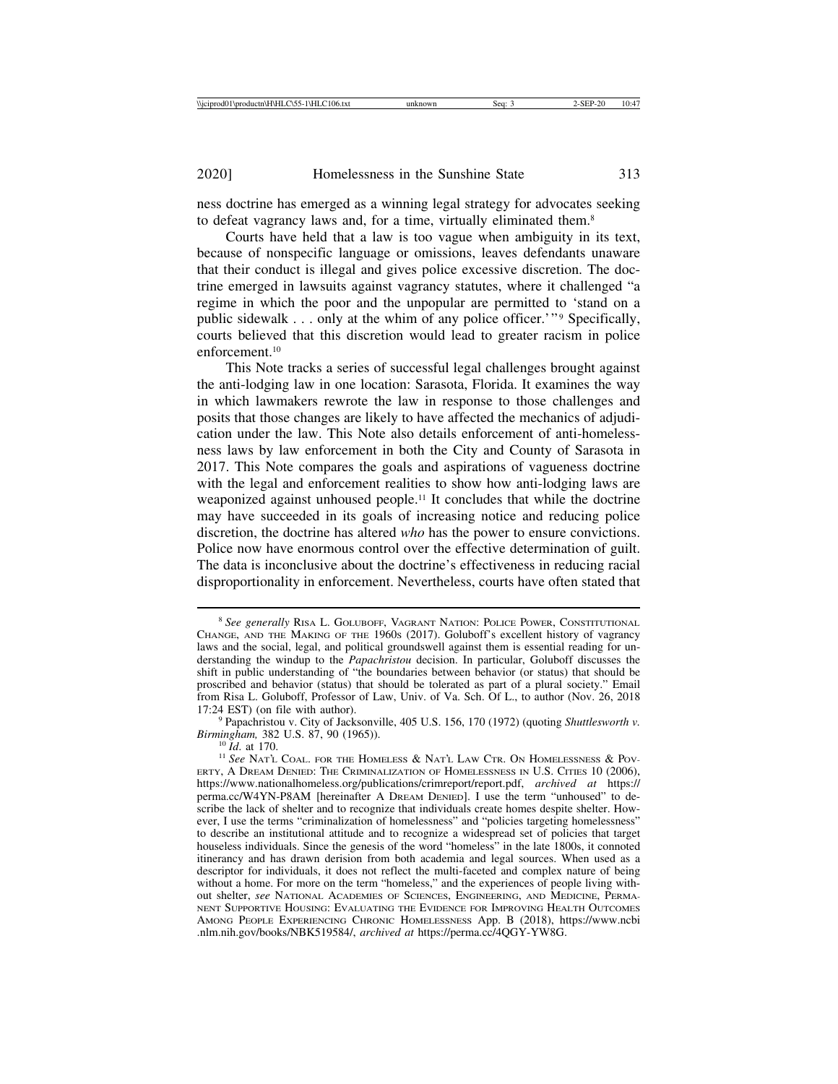ness doctrine has emerged as a winning legal strategy for advocates seeking to defeat vagrancy laws and, for a time, virtually eliminated them.<sup>8</sup>

Courts have held that a law is too vague when ambiguity in its text, because of nonspecific language or omissions, leaves defendants unaware that their conduct is illegal and gives police excessive discretion. The doctrine emerged in lawsuits against vagrancy statutes, where it challenged "a regime in which the poor and the unpopular are permitted to 'stand on a public sidewalk  $\ldots$  only at the whim of any police officer.'" Specifically, courts believed that this discretion would lead to greater racism in police enforcement.10

This Note tracks a series of successful legal challenges brought against the anti-lodging law in one location: Sarasota, Florida. It examines the way in which lawmakers rewrote the law in response to those challenges and posits that those changes are likely to have affected the mechanics of adjudication under the law. This Note also details enforcement of anti-homelessness laws by law enforcement in both the City and County of Sarasota in 2017. This Note compares the goals and aspirations of vagueness doctrine with the legal and enforcement realities to show how anti-lodging laws are weaponized against unhoused people.11 It concludes that while the doctrine may have succeeded in its goals of increasing notice and reducing police discretion, the doctrine has altered *who* has the power to ensure convictions. Police now have enormous control over the effective determination of guilt. The data is inconclusive about the doctrine's effectiveness in reducing racial disproportionality in enforcement. Nevertheless, courts have often stated that

<sup>8</sup> *See generally* RISA L. GOLUBOFF, VAGRANT NATION: POLICE POWER, CONSTITUTIONAL CHANGE, AND THE MAKING OF THE 1960S (2017). Goluboff's excellent history of vagrancy laws and the social, legal, and political groundswell against them is essential reading for understanding the windup to the *Papachristou* decision. In particular, Goluboff discusses the shift in public understanding of "the boundaries between behavior (or status) that should be proscribed and behavior (status) that should be tolerated as part of a plural society." Email from Risa L. Goluboff, Professor of Law, Univ. of Va. Sch. Of L., to author (Nov. 26, 2018 17:24 EST) (on file with author).

<sup>&</sup>lt;sup>9</sup> Papachristou v. City of Jacksonville, 405 U.S. 156, 170 (1972) (quoting *Shuttlesworth v. Birmingham*, 382 U.S. 87, 90 (1965)).<br><sup>10</sup> *Id.* at 170.<br><sup>11</sup> *See* Nat'l Coal. for the Homeless & Nat'l Law Ctr. On Homelessness & Pov-

ERTY, A DREAM DENIED: THE CRIMINALIZATION OF HOMELESSNESS IN U.S. CITIES 10 (2006), https://www.nationalhomeless.org/publications/crimreport/report.pdf, *archived at* https:// perma.cc/W4YN-P8AM [hereinafter A DREAM DENIED]. I use the term "unhoused" to describe the lack of shelter and to recognize that individuals create homes despite shelter. However, I use the terms "criminalization of homelessness" and "policies targeting homelessness" to describe an institutional attitude and to recognize a widespread set of policies that target houseless individuals. Since the genesis of the word "homeless" in the late 1800s, it connoted itinerancy and has drawn derision from both academia and legal sources. When used as a descriptor for individuals, it does not reflect the multi-faceted and complex nature of being without a home. For more on the term "homeless," and the experiences of people living without shelter, *see* NATIONAL ACADEMIES OF SCIENCES, ENGINEERING, AND MEDICINE, PERMA-NENT SUPPORTIVE HOUSING: EVALUATING THE EVIDENCE FOR IMPROVING HEALTH OUTCOMES AMONG PEOPLE EXPERIENCING CHRONIC HOMELESSNESS App. B (2018), https://www.ncbi .nlm.nih.gov/books/NBK519584/, *archived at* https://perma.cc/4QGY-YW8G.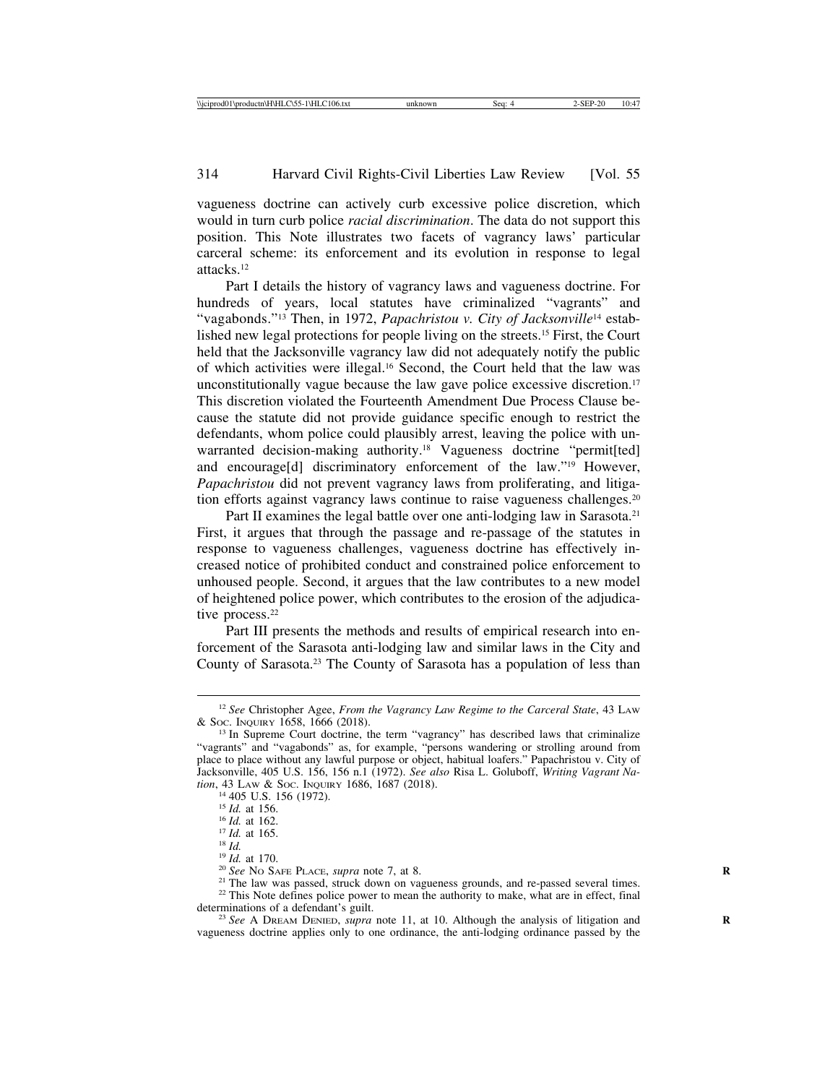vagueness doctrine can actively curb excessive police discretion, which would in turn curb police *racial discrimination*. The data do not support this position. This Note illustrates two facets of vagrancy laws' particular carceral scheme: its enforcement and its evolution in response to legal attacks.12

Part I details the history of vagrancy laws and vagueness doctrine. For hundreds of years, local statutes have criminalized "vagrants" and "vagabonds."13 Then, in 1972, *Papachristou v. City of Jacksonville*14 established new legal protections for people living on the streets.15 First, the Court held that the Jacksonville vagrancy law did not adequately notify the public of which activities were illegal.16 Second, the Court held that the law was unconstitutionally vague because the law gave police excessive discretion.17 This discretion violated the Fourteenth Amendment Due Process Clause because the statute did not provide guidance specific enough to restrict the defendants, whom police could plausibly arrest, leaving the police with unwarranted decision-making authority.<sup>18</sup> Vagueness doctrine "permit[ted] and encourage[d] discriminatory enforcement of the law."19 However, *Papachristou* did not prevent vagrancy laws from proliferating, and litigation efforts against vagrancy laws continue to raise vagueness challenges.20

Part II examines the legal battle over one anti-lodging law in Sarasota.<sup>21</sup> First, it argues that through the passage and re-passage of the statutes in response to vagueness challenges, vagueness doctrine has effectively increased notice of prohibited conduct and constrained police enforcement to unhoused people. Second, it argues that the law contributes to a new model of heightened police power, which contributes to the erosion of the adjudicative process.<sup>22</sup>

Part III presents the methods and results of empirical research into enforcement of the Sarasota anti-lodging law and similar laws in the City and County of Sarasota.23 The County of Sarasota has a population of less than

<sup>&</sup>lt;sup>12</sup> *See* Christopher Agee, *From the Vagrancy Law Regime to the Carceral State*, 43 Law & Soc. Inounty 1658, 1666 (2018).

 $^{13}$  In Supreme Court doctrine, the term "vagrancy" has described laws that criminalize "vagrants" and "vagabonds" as, for example, "persons wandering or strolling around from place to place without any lawful purpose or object, habitual loafers." Papachristou v. City of Jacksonville, 405 U.S. 156, 156 n.1 (1972). *See also* Risa L. Goluboff, *Writing Vagrant Na-*

tion, 43 LAW & Soc. INQUIRY 1686, 1687 (2018).<br>
<sup>14</sup> 405 U.S. 156 (1972).<br>
<sup>15</sup> *Id.* at 156.<br>
<sup>16</sup> *Id.* at 162.<br>
<sup>17</sup> *Id.* at 165.<br>
<sup>18</sup> *Id.* at 170.<br>
<sup>19</sup> *Id.* at 170.<br>
<sup>20</sup> *See* No SAFE PLACE, *supra* note 7, at 8

determinations of a defendant's guilt.<br><sup>23</sup> *See* A DREAM DENIED, *supra* note 11, at 10. Although the analysis of litigation and vagueness doctrine applies only to one ordinance, the anti-lodging ordinance passed by the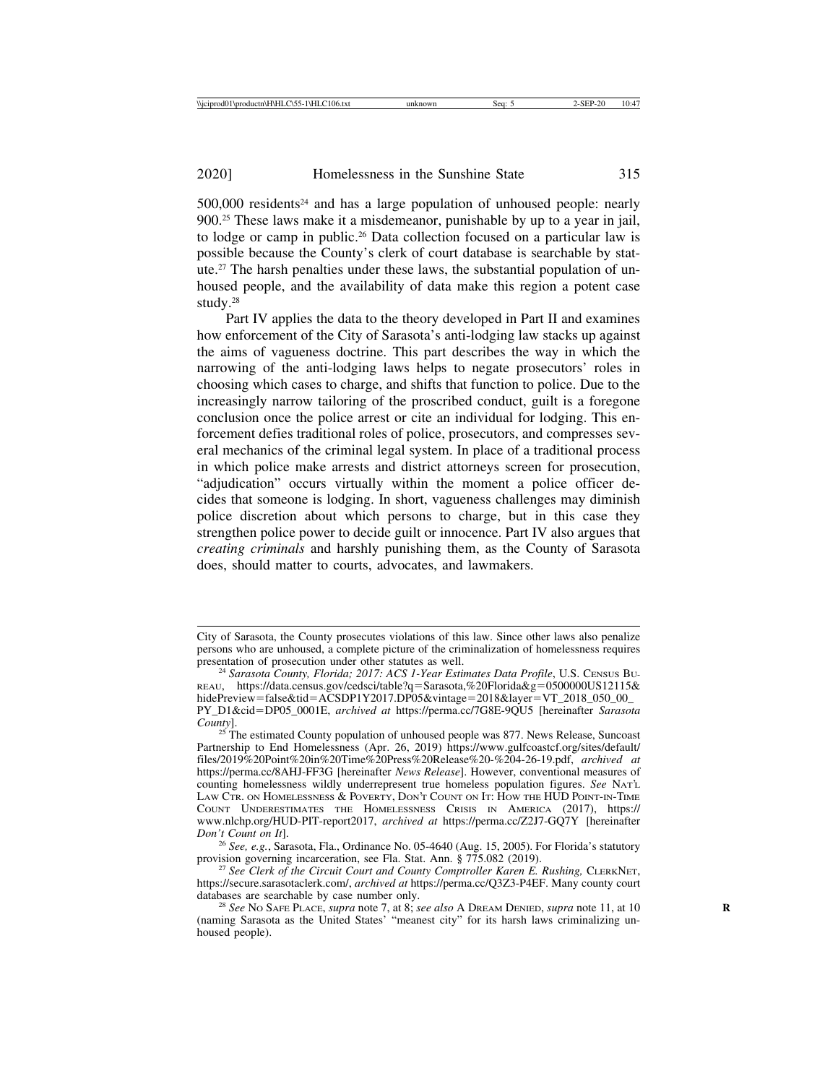$500,000$  residents<sup>24</sup> and has a large population of unhoused people: nearly 900.25 These laws make it a misdemeanor, punishable by up to a year in jail, to lodge or camp in public.26 Data collection focused on a particular law is possible because the County's clerk of court database is searchable by statute.27 The harsh penalties under these laws, the substantial population of unhoused people, and the availability of data make this region a potent case study.28

Part IV applies the data to the theory developed in Part II and examines how enforcement of the City of Sarasota's anti-lodging law stacks up against the aims of vagueness doctrine. This part describes the way in which the narrowing of the anti-lodging laws helps to negate prosecutors' roles in choosing which cases to charge, and shifts that function to police. Due to the increasingly narrow tailoring of the proscribed conduct, guilt is a foregone conclusion once the police arrest or cite an individual for lodging. This enforcement defies traditional roles of police, prosecutors, and compresses several mechanics of the criminal legal system. In place of a traditional process in which police make arrests and district attorneys screen for prosecution, "adjudication" occurs virtually within the moment a police officer decides that someone is lodging. In short, vagueness challenges may diminish police discretion about which persons to charge, but in this case they strengthen police power to decide guilt or innocence. Part IV also argues that *creating criminals* and harshly punishing them, as the County of Sarasota does, should matter to courts, advocates, and lawmakers.

City of Sarasota, the County prosecutes violations of this law. Since other laws also penalize persons who are unhoused, a complete picture of the criminalization of homelessness requires

<sup>&</sup>lt;sup>24</sup> Sarasota County, Florida; 2017: ACS 1-Year Estimates Data Profile, U.S. CENSUS BU-REAU, https://data.census.gov/cedsci/table?q=Sarasota,%20Florida&g=0500000US12115& hidePreview=false&tid=ACSDP1Y2017.DP05&vintage=2018&layer=VT\_2018\_050\_00\_ PY\_D1&cid=DP05\_0001E, *archived at* https://perma.cc/7G8E-9QU5 [hereinafter *Sarasota*

*County*]. <sup>25</sup> The estimated County population of unhoused people was 877. News Release, Suncoast Partnership to End Homelessness (Apr. 26, 2019) https://www.gulfcoastcf.org/sites/default/ files/2019%20Point%20in%20Time%20Press%20Release%20-%204-26-19.pdf, *archived at* https://perma.cc/8AHJ-FF3G [hereinafter *News Release*]. However, conventional measures of counting homelessness wildly underrepresent true homeless population figures. *See* NAT'L LAW CTR. ON HOMELESSNESS & POVERTY, DON'T COUNT ON IT: HOW THE HUD POINT-IN-TIME COUNT UNDERESTIMATES THE HOMELESSNESS CRISIS IN AMERICA (2017), https:// www.nlchp.org/HUD-PIT-report2017, *archived at* https://perma.cc/Z2J7-GQ7Y [hereinafter

*Don't Count on It*]. <sup>26</sup> *See, e.g.*, Sarasota, Fla., Ordinance No. 05-4640 (Aug. 15, 2005). For Florida's statutory provision governing incarceration, see Fla. Stat. Ann. § 775.082 (2019). <sup>27</sup> *See Clerk of the Circuit Court and County Comptroller Karen E. Rushing,* CLERKNET,

https://secure.sarasotaclerk.com/, *archived at* https://perma.cc/Q3Z3-P4EF. Many county court databases are searchable by case number only.<br><sup>28</sup> *See* No SAFE PLACE, *supra* note 7, at 8; *see also* A DREAM DENIED, *supra* note 11, at 10

<sup>(</sup>naming Sarasota as the United States' "meanest city" for its harsh laws criminalizing unhoused people).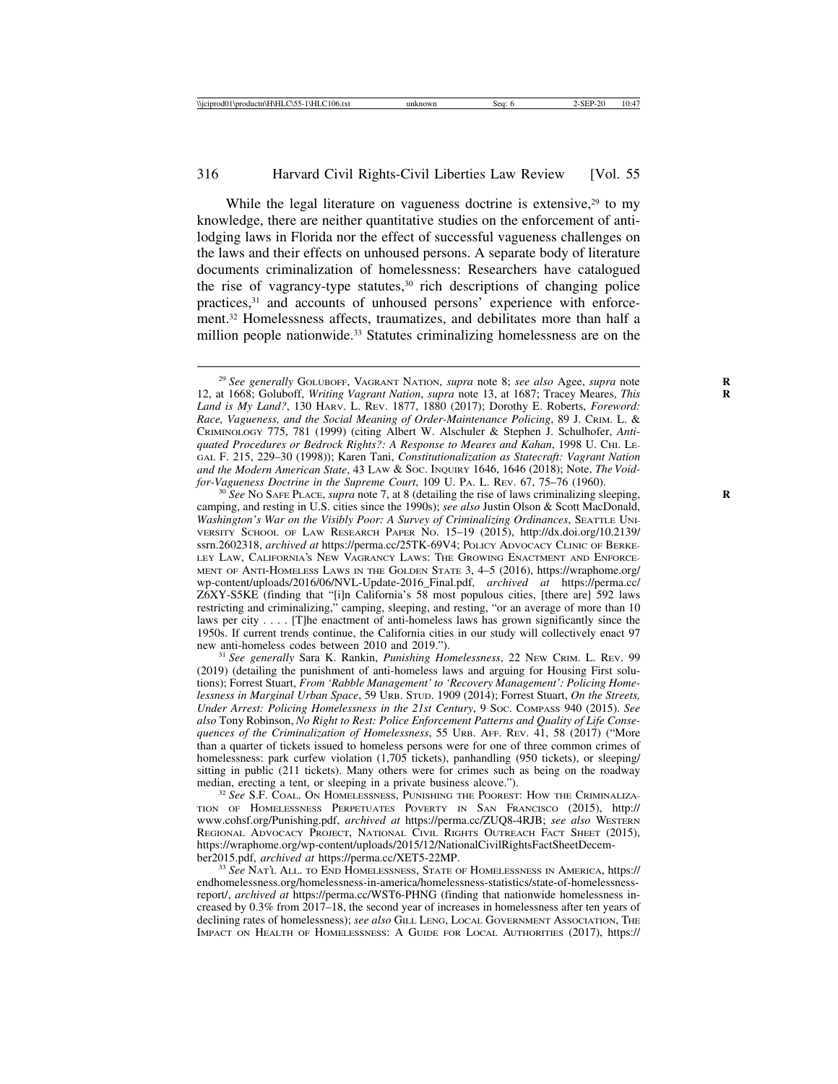While the legal literature on vagueness doctrine is extensive, $29$  to my knowledge, there are neither quantitative studies on the enforcement of antilodging laws in Florida nor the effect of successful vagueness challenges on the laws and their effects on unhoused persons. A separate body of literature documents criminalization of homelessness: Researchers have catalogued the rise of vagrancy-type statutes, $30$  rich descriptions of changing police practices,31 and accounts of unhoused persons' experience with enforcement.32 Homelessness affects, traumatizes, and debilitates more than half a million people nationwide.<sup>33</sup> Statutes criminalizing homelessness are on the

<sup>&</sup>lt;sup>29</sup> See generally GOLUBOFF, VAGRANT NATION, *supra* note 8; *see also* Agee, *supra* note 12, at 1668; Goluboff, *Writing Vagrant Nation*, *supra* note 13, at 1687; Tracey Meares, *This* **R** *Land is My Land?*, 130 HARV. L. REV. 1877, 1880 (2017); Dorothy E. Roberts, *Foreword: Race, Vagueness, and the Social Meaning of Order-Maintenance Policing*, 89 J. CRIM. L. & CRIMINOLOGY 775, 781 (1999) (citing Albert W. Alschuler & Stephen J. Schulhofer, *Antiquated Procedures or Bedrock Rights?: A Response to Meares and Kahan*, 1998 U. CHI. LE-GAL F. 215, 229–30 (1998)); Karen Tani, *Constitutionalization as Statecraft: Vagrant Nation* and the Modern American State, 43 LAW & Soc. INQUIRY 1646, 1646 (2018); Note, *The Void-for-Vagueness Doctrine in the Supreme Court*, 109 U. PA. L. REV. 67, 75–76 (1960).

<sup>&</sup>lt;sup>30</sup> See No SAFE PLACE, *supra* note 7, at 8 (detailing the rise of laws criminalizing sleeping, camping, and resting in U.S. cities since the 1990s); *see also* Justin Olson & Scott MacDonald, *Washington's War on the Visibly Poor: A Survey of Criminalizing Ordinances*, SEATTLE UNI-VERSITY SCHOOL OF LAW RESEARCH PAPER NO. 15–19 (2015), http://dx.doi.org/10.2139/ ssrn.2602318, *archived at* https://perma.cc/25TK-69V4; POLICY ADVOCACY CLINIC OF BERKE-LEY LAW, CALIFORNIA'S NEW VAGRANCY LAWS: THE GROWING ENACTMENT AND ENFORCE-MENT OF ANTI-HOMELESS LAWS IN THE GOLDEN STATE 3, 4–5 (2016), https://wraphome.org/ wp-content/uploads/2016/06/NVL-Update-2016\_Final.pdf, *archived at* https://perma.cc/ Z6XY-S5KE (finding that "[i]n California's 58 most populous cities, [there are] 592 laws restricting and criminalizing," camping, sleeping, and resting, "or an average of more than 10 laws per city . . . . [T]he enactment of anti-homeless laws has grown significantly since the 1950s. If current trends continue, the California cities in our study will collectively enact 97 new anti-homeless codes between 2010 and 2019.").

<sup>&</sup>lt;sup>31</sup> See generally Sara K. Rankin, *Punishing Homelessness*, 22 NEW CRIM. L. REV. 99 (2019) (detailing the punishment of anti-homeless laws and arguing for Housing First solutions); Forrest Stuart, *From 'Rabble Management' to 'Recovery Management': Policing Homelessness in Marginal Urban Space*, 59 URB. STUD. 1909 (2014); Forrest Stuart, *On the Streets, Under Arrest: Policing Homelessness in the 21st Century*, 9 SOC. COMPASS 940 (2015). *See also* Tony Robinson, *No Right to Rest: Police Enforcement Patterns and Quality of Life Consequences of the Criminalization of Homelessness*, 55 URB. AFF. REV. 41, 58 (2017) ("More than a quarter of tickets issued to homeless persons were for one of three common crimes of homelessness: park curfew violation (1,705 tickets), panhandling (950 tickets), or sleeping/ sitting in public (211 tickets). Many others were for crimes such as being on the roadway median, erecting a tent, or sleeping in a private business alcove.").

<sup>&</sup>lt;sup>32</sup> See S.F. COAL. ON HOMELESSNESS, PUNISHING THE POOREST: HOW THE CRIMINALIZA-TION OF HOMELESSNESS PERPETUATES POVERTY IN SAN FRANCISCO (2015), http:// www.cohsf.org/Punishing.pdf, *archived at* https://perma.cc/ZUQ8-4RJB; *see also* WESTERN REGIONAL ADVOCACY PROJECT, NATIONAL CIVIL RIGHTS OUTREACH FACT SHEET (2015), https://wraphome.org/wp-content/uploads/2015/12/NationalCivilRightsFactSheetDecem-<br>ber2015.pdf, archived at https://perma.cc/XET5-22MP.

<sup>&</sup>lt;sup>33</sup> See NAT'L ALL. TO END HOMELESSNESS, STATE OF HOMELESSNESS IN AMERICA, https:// endhomelessness.org/homelessness-in-america/homelessness-statistics/state-of-homelessnessreport/, *archived at* https://perma.cc/WST6-PHNG (finding that nationwide homelessness increased by 0.3% from 2017–18, the second year of increases in homelessness after ten years of declining rates of homelessness); *see also* GILL LENG, LOCAL GOVERNMENT ASSOCIATION, THE IMPACT ON HEALTH OF HOMELESSNESS: A GUIDE FOR LOCAL AUTHORITIES (2017), https://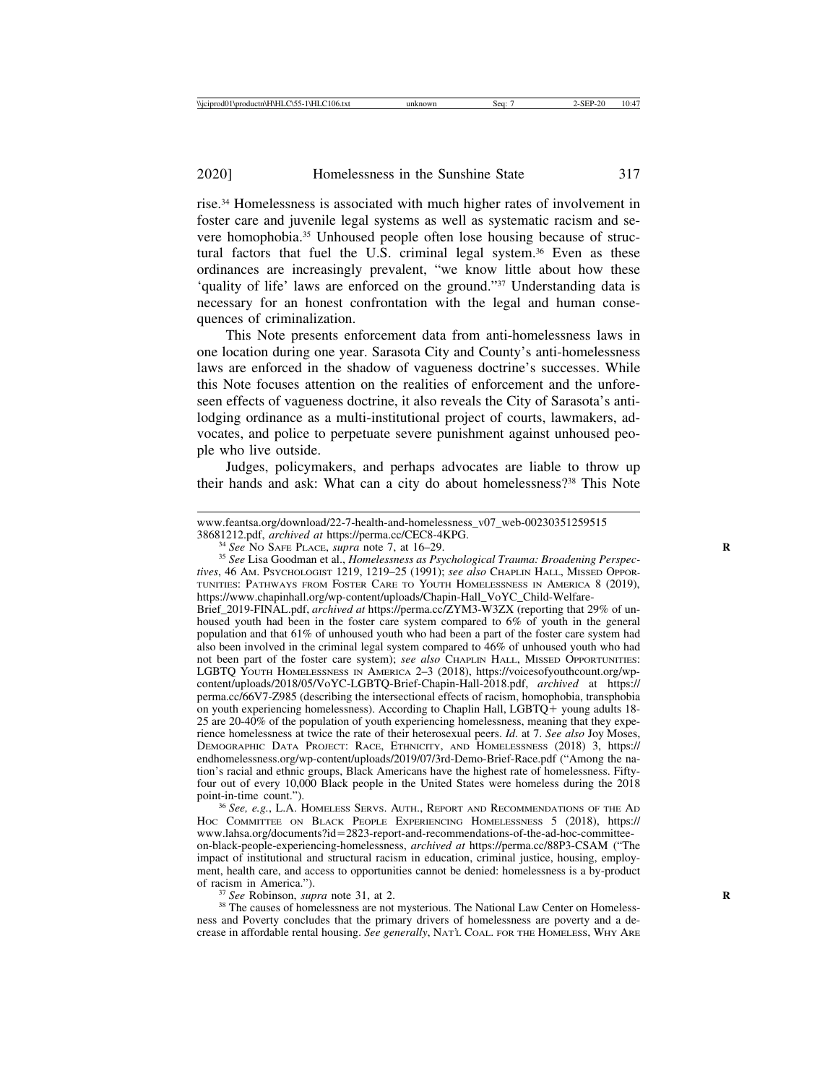rise.34 Homelessness is associated with much higher rates of involvement in foster care and juvenile legal systems as well as systematic racism and severe homophobia.35 Unhoused people often lose housing because of structural factors that fuel the U.S. criminal legal system.<sup>36</sup> Even as these ordinances are increasingly prevalent, "we know little about how these 'quality of life' laws are enforced on the ground."37 Understanding data is necessary for an honest confrontation with the legal and human consequences of criminalization.

This Note presents enforcement data from anti-homelessness laws in one location during one year. Sarasota City and County's anti-homelessness laws are enforced in the shadow of vagueness doctrine's successes. While this Note focuses attention on the realities of enforcement and the unforeseen effects of vagueness doctrine, it also reveals the City of Sarasota's antilodging ordinance as a multi-institutional project of courts, lawmakers, advocates, and police to perpetuate severe punishment against unhoused people who live outside.

Judges, policymakers, and perhaps advocates are liable to throw up their hands and ask: What can a city do about homelessness?38 This Note

<sup>34</sup> See No SAFE PLACE, supra note 7, at 16–29.<br><sup>35</sup> See Lisa Goodman et al., *Homelessness as Psychological Trauma: Broadening Perspectives*, 46 AM. PSYCHOLOGIST 1219, 1219–25 (1991); *see also* CHAPLIN HALL, MISSED OPPOR-TUNITIES: PATHWAYS FROM FOSTER CARE TO YOUTH HOMELESSNESS IN AMERICA 8 (2019), https://www.chapinhall.org/wp-content/uploads/Chapin-Hall\_VoYC\_Child-Welfare-

Brief\_2019-FINAL.pdf, *archived at* https://perma.cc/ZYM3-W3ZX (reporting that 29% of unhoused youth had been in the foster care system compared to 6% of youth in the general population and that 61% of unhoused youth who had been a part of the foster care system had also been involved in the criminal legal system compared to 46% of unhoused youth who had not been part of the foster care system); *see also* CHAPLIN HALL, MISSED OPPORTUNITIES: LGBTQ YOUTH HOMELESSNESS IN AMERICA 2–3 (2018), https://voicesofyouthcount.org/wpcontent/uploads/2018/05/VoYC-LGBTQ-Brief-Chapin-Hall-2018.pdf, *archived* at https:// perma.cc/66V7-Z985 (describing the intersectional effects of racism, homophobia, transphobia on youth experiencing homelessness). According to Chaplin Hall, LGBTQ+ young adults 18- 25 are 20-40% of the population of youth experiencing homelessness, meaning that they experience homelessness at twice the rate of their heterosexual peers. *Id*. at 7. *See also* Joy Moses, DEMOGRAPHIC DATA PROJECT: RACE, ETHNICITY, AND HOMELESSNESS (2018) 3, https:// endhomelessness.org/wp-content/uploads/2019/07/3rd-Demo-Brief-Race.pdf ("Among the nation's racial and ethnic groups, Black Americans have the highest rate of homelessness. Fiftyfour out of every 10,000 Black people in the United States were homeless during the 2018 point-in-time count.").<br><sup>36</sup> *See, e.g.*, L.A. HOMELESS SERVS. AUTH., REPORT AND RECOMMENDATIONS OF THE AD

HOC COMMITTEE ON BLACK PEOPLE EXPERIENCING HOMELESSNESS 5 (2018), https:// www.lahsa.org/documents?id=2823-report-and-recommendations-of-the-ad-hoc-committeeon-black-people-experiencing-homelessness, *archived at* https://perma.cc/88P3-CSAM ("The impact of institutional and structural racism in education, criminal justice, housing, employment, health care, and access to opportunities cannot be denied: homelessness is a by-product of racism in America.").

<sup>37</sup> *See* Robinson, *supra* note 31, at 2.<br><sup>38</sup> The causes of homelessness are not mysterious. The National Law Center on Homelessness and Poverty concludes that the primary drivers of homelessness are poverty and a decrease in affordable rental housing. *See generally*, NAT'L COAL. FOR THE HOMELESS, WHY ARE

www.feantsa.org/download/22-7-health-and-homelessness\_v07\_web-00230351259515<br>38681212.pdf, archived at https://perma.cc/CEC8-4KPG.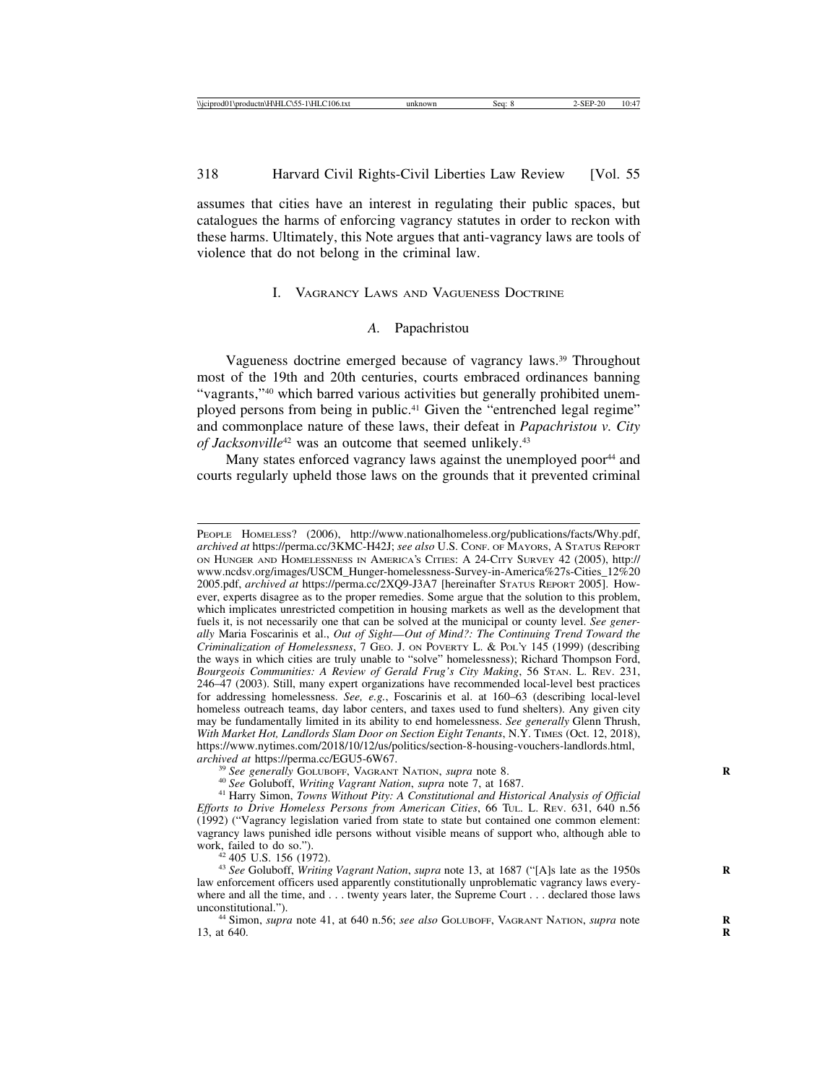assumes that cities have an interest in regulating their public spaces, but catalogues the harms of enforcing vagrancy statutes in order to reckon with these harms. Ultimately, this Note argues that anti-vagrancy laws are tools of violence that do not belong in the criminal law.

#### I. VAGRANCY LAWS AND VAGUENESS DOCTRINE

# *A.* Papachristou

Vagueness doctrine emerged because of vagrancy laws.39 Throughout most of the 19th and 20th centuries, courts embraced ordinances banning "vagrants,"40 which barred various activities but generally prohibited unemployed persons from being in public.<sup>41</sup> Given the "entrenched legal regime" and commonplace nature of these laws, their defeat in *Papachristou v. City of Jacksonville<sup>42</sup>* was an outcome that seemed unlikely.<sup>43</sup>

Many states enforced vagrancy laws against the unemployed poor<sup>44</sup> and courts regularly upheld those laws on the grounds that it prevented criminal

PEOPLE HOMELESS? (2006), http://www.nationalhomeless.org/publications/facts/Why.pdf, *archived at* https://perma.cc/3KMC-H42J; *see also* U.S. CONF. OF MAYORS, A STATUS REPORT ON HUNGER AND HOMELESSNESS IN AMERICA'S CITIES: A 24-CITY SURVEY 42 (2005), http:// www.ncdsv.org/images/USCM\_Hunger-homelessness-Survey-in-America%27s-Cities\_12%20 2005.pdf, *archived at* https://perma.cc/2XQ9-J3A7 [hereinafter STATUS REPORT 2005]. However, experts disagree as to the proper remedies. Some argue that the solution to this problem, which implicates unrestricted competition in housing markets as well as the development that fuels it, is not necessarily one that can be solved at the municipal or county level. *See generally* Maria Foscarinis et al., *Out of Sight*—*Out of Mind?: The Continuing Trend Toward the Criminalization of Homelessness*, 7 GEO. J. ON POVERTY L. & POL'Y 145 (1999) (describing the ways in which cities are truly unable to "solve" homelessness); Richard Thompson Ford, *Bourgeois Communities: A Review of Gerald Frug's City Making*, 56 STAN. L. REV. 231, 246–47 (2003). Still, many expert organizations have recommended local-level best practices for addressing homelessness. *See, e.g.*, Foscarinis et al. at 160–63 (describing local-level homeless outreach teams, day labor centers, and taxes used to fund shelters). Any given city may be fundamentally limited in its ability to end homelessness. *See generally* Glenn Thrush, *With Market Hot, Landlords Slam Door on Section Eight Tenants*, N.Y. TIMES (Oct. 12, 2018), https://www.nytimes.com/2018/10/12/us/politics/section-8-housing-vouchers-landlords.html, archived at https://perma.cc/EGU5-6W67.

<sup>&</sup>lt;sup>39</sup> See generally GOLUBOFF, VAGRANT NATION, supra note 8.<br><sup>40</sup> See Goluboff, *Writing Vagrant Nation*, supra note 7, at 1687.<br><sup>41</sup> Harry Simon, *Towns Without Pity: A Constitutional and Historical Analysis of Official Efforts to Drive Homeless Persons from American Cities*, 66 TUL. L. REV. 631, 640 n.56 (1992) ("Vagrancy legislation varied from state to state but contained one common element: vagrancy laws punished idle persons without visible means of support who, although able to

<sup>&</sup>lt;sup>42</sup> 405 U.S. 156 (1972).<br><sup>43</sup> *See* Goluboff, *Writing Vagrant Nation*, *supra* note 13, at 1687 ("[A]s late as the 1950s law enforcement officers used apparently constitutionally unproblematic vagrancy laws everywhere and all the time, and . . . twenty years later, the Supreme Court . . . declared those laws unconstitutional.").

<sup>&</sup>lt;sup>44</sup> Simon, *supra* note 41, at 640 n.56; *see also* GOLUBOFF, VAGRANT NATION, *supra* note 13, at 640. **R**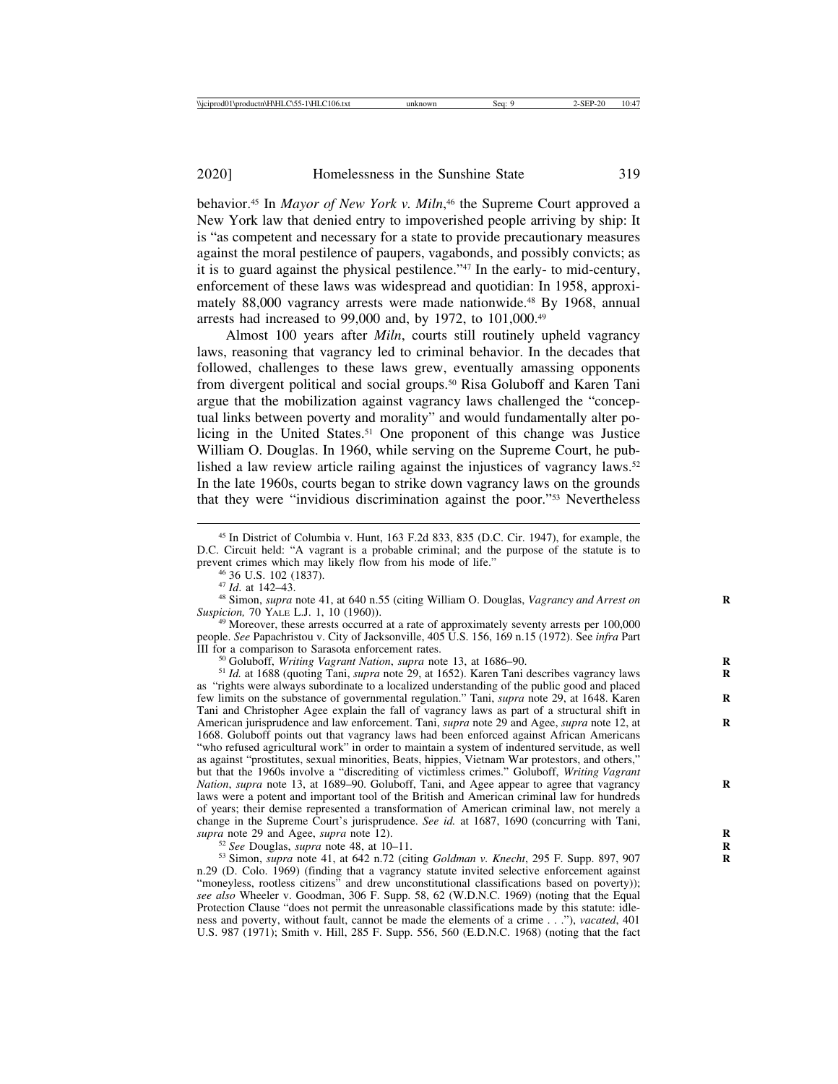behavior.45 In *Mayor of New York v. Miln*, 46 the Supreme Court approved a New York law that denied entry to impoverished people arriving by ship: It is "as competent and necessary for a state to provide precautionary measures against the moral pestilence of paupers, vagabonds, and possibly convicts; as it is to guard against the physical pestilence."47 In the early- to mid-century, enforcement of these laws was widespread and quotidian: In 1958, approximately 88,000 vagrancy arrests were made nationwide.<sup>48</sup> By 1968, annual arrests had increased to 99,000 and, by 1972, to  $101,000$ .<sup>49</sup>

Almost 100 years after *Miln*, courts still routinely upheld vagrancy laws, reasoning that vagrancy led to criminal behavior. In the decades that followed, challenges to these laws grew, eventually amassing opponents from divergent political and social groups.50 Risa Goluboff and Karen Tani argue that the mobilization against vagrancy laws challenged the "conceptual links between poverty and morality" and would fundamentally alter policing in the United States.<sup>51</sup> One proponent of this change was Justice William O. Douglas. In 1960, while serving on the Supreme Court, he published a law review article railing against the injustices of vagrancy laws.<sup>52</sup> In the late 1960s, courts began to strike down vagrancy laws on the grounds that they were "invidious discrimination against the poor."53 Nevertheless

<sup>49</sup> Moreover, these arrests occurred at a rate of approximately seventy arrests per 100,000 people. *See* Papachristou v. City of Jacksonville, 405 U.S. 156, 169 n.15 (1972). See *infra* Part III for a comparison to Sarasota enforcement rates.<br><sup>50</sup> Goluboff, *Writing Vagrant Nation*, *supra* note 13, at 1686–90.<br><sup>51</sup> Id. at 1688 (quoting Tani, *supra* note 29, at 1652). Karen Tani describes vagrancy laws

as "rights were always subordinate to a localized understanding of the public good and placed few limits on the substance of governmental regulation." Tani, *supra* note 29, at 1648. Karen Tani and Christopher Agee explain the fall of vagrancy laws as part of a structural shift in American jurisprudence and law enforcement. Tani, *supra* note 29 and Agee, *supra* note 12, at **R** 1668. Goluboff points out that vagrancy laws had been enforced against African Americans "who refused agricultural work" in order to maintain a system of indentured servitude, as well as against "prostitutes, sexual minorities, Beats, hippies, Vietnam War protestors, and others," but that the 1960s involve a "discrediting of victimless crimes." Goluboff, *Writing Vagrant Nation*, *supra* note 13, at 1689–90. Goluboff, Tani, and Agee appear to agree that vagrancy **R** laws were a potent and important tool of the British and American criminal law for hundreds of years; their demise represented a transformation of American criminal law, not merely a change in the Supreme Court's jurisprudence. *See id.* at 1687, 1690 (concurring with Tani, *supra* note 29 and Agee, *supra* note 12).

<sup>52</sup> See Douglas, *supra* note 48, at 10–11.<br><sup>53</sup> Simon, *supra* note 41, at 642 n.72 (citing *Goldman v. Knecht*, 295 F. Supp. 897, 907 n.29 (D. Colo. 1969) (finding that a vagrancy statute invited selective enforcement against "moneyless, rootless citizens" and drew unconstitutional classifications based on poverty); *see also* Wheeler v. Goodman, 306 F. Supp. 58, 62 (W.D.N.C. 1969) (noting that the Equal Protection Clause "does not permit the unreasonable classifications made by this statute: idleness and poverty, without fault, cannot be made the elements of a crime . . ."), *vacated*, 401 U.S. 987 (1971); Smith v. Hill, 285 F. Supp. 556, 560 (E.D.N.C. 1968) (noting that the fact

<sup>45</sup> In District of Columbia v. Hunt, 163 F.2d 833, 835 (D.C. Cir. 1947), for example, the D.C. Circuit held: "A vagrant is a probable criminal; and the purpose of the statute is to

prevent crimes which may likely flow from his mode of life."<br>
<sup>46</sup> 36 U.S. 102 (1837).<br>
<sup>47</sup> *Id.* at 142–43.<br>
<sup>48</sup> Simon, *supra* note 41, at 640 n.55 (citing William O. Douglas, *Vagrancy and Arrest on*<br> *Suspicion*, 70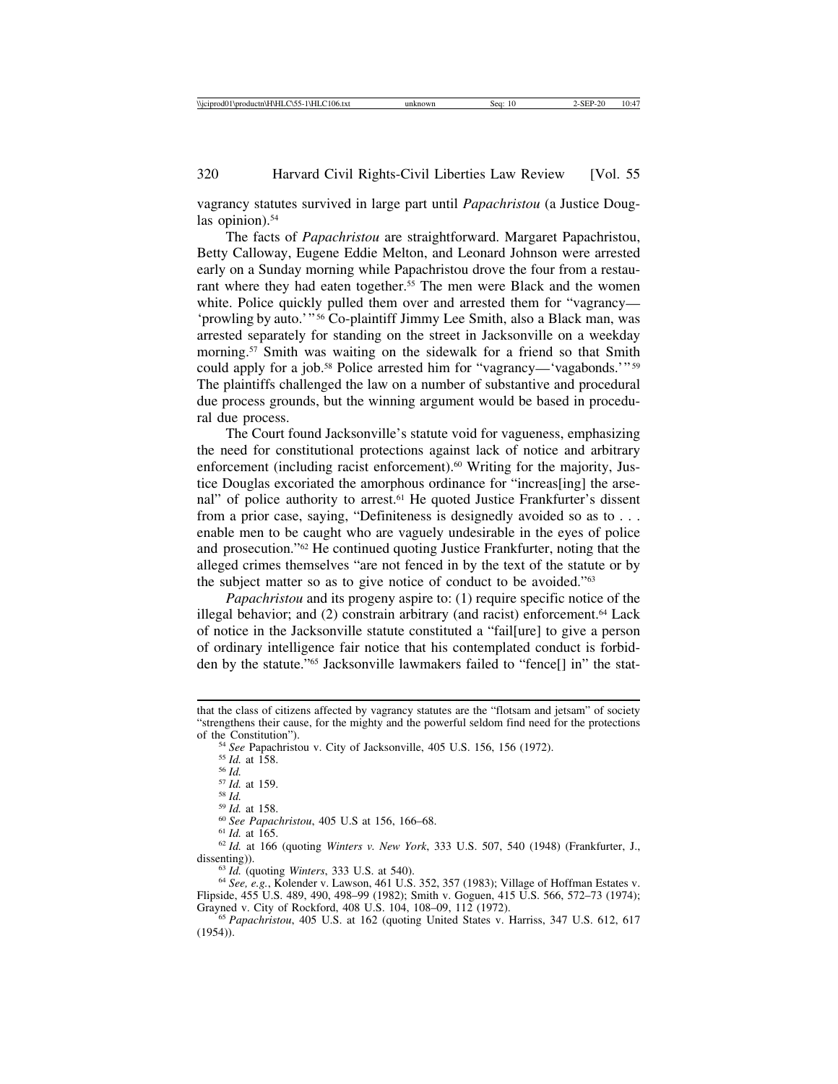vagrancy statutes survived in large part until *Papachristou* (a Justice Douglas opinion).<sup>54</sup>

The facts of *Papachristou* are straightforward. Margaret Papachristou, Betty Calloway, Eugene Eddie Melton, and Leonard Johnson were arrested early on a Sunday morning while Papachristou drove the four from a restaurant where they had eaten together.<sup>55</sup> The men were Black and the women white. Police quickly pulled them over and arrested them for "vagrancy— 'prowling by auto.'" 56 Co-plaintiff Jimmy Lee Smith, also a Black man, was arrested separately for standing on the street in Jacksonville on a weekday morning.<sup>57</sup> Smith was waiting on the sidewalk for a friend so that Smith could apply for a job.<sup>58</sup> Police arrested him for "vagrancy—'vagabonds.'"<sup>59</sup> The plaintiffs challenged the law on a number of substantive and procedural due process grounds, but the winning argument would be based in procedural due process.

The Court found Jacksonville's statute void for vagueness, emphasizing the need for constitutional protections against lack of notice and arbitrary enforcement (including racist enforcement).<sup>60</sup> Writing for the majority, Justice Douglas excoriated the amorphous ordinance for "increas[ing] the arsenal" of police authority to arrest.<sup>61</sup> He quoted Justice Frankfurter's dissent from a prior case, saying, "Definiteness is designedly avoided so as to . . . enable men to be caught who are vaguely undesirable in the eyes of police and prosecution."62 He continued quoting Justice Frankfurter, noting that the alleged crimes themselves "are not fenced in by the text of the statute or by the subject matter so as to give notice of conduct to be avoided."63

*Papachristou* and its progeny aspire to: (1) require specific notice of the illegal behavior; and  $(2)$  constrain arbitrary (and racist) enforcement.<sup>64</sup> Lack of notice in the Jacksonville statute constituted a "fail[ure] to give a person of ordinary intelligence fair notice that his contemplated conduct is forbidden by the statute."65 Jacksonville lawmakers failed to "fence[] in" the stat-

dissenting)).<br><sup>63</sup> *Id.* (quoting *Winters*, 333 U.S. at 540).<br><sup>64</sup> *See, e.g.*, Kolender v. Lawson, 461 U.S. 352, 357 (1983); Village of Hoffman Estates v.

Flipside, 455 U.S. 489, 490, 498–99 (1982); Smith v. Goguen, 415 U.S. 566, 572–73 (1974);

<sup>65</sup> Papachristou, 405 U.S. at 162 (quoting United States v. Harriss, 347 U.S. 612, 617 (1954)).

that the class of citizens affected by vagrancy statutes are the "flotsam and jetsam" of society "strengthens their cause, for the mighty and the powerful seldom find need for the protections of the Constitution").<br>
<sup>54</sup> *See* Papachristou v. City of Jacksonville, 405 U.S. 156, 156 (1972).<br>
<sup>55</sup> *Id.* at 158.<br>
<sup>56</sup> *Id.*<br>
<sup>57</sup> *Id.* at 159.<br>
<sup>58</sup> *Id.* at 158.<br>
<sup>59</sup> *Id.* at 158.<br>
<sup>69</sup> *Id.* at 158.<br>
<sup>60</sup> *Id.*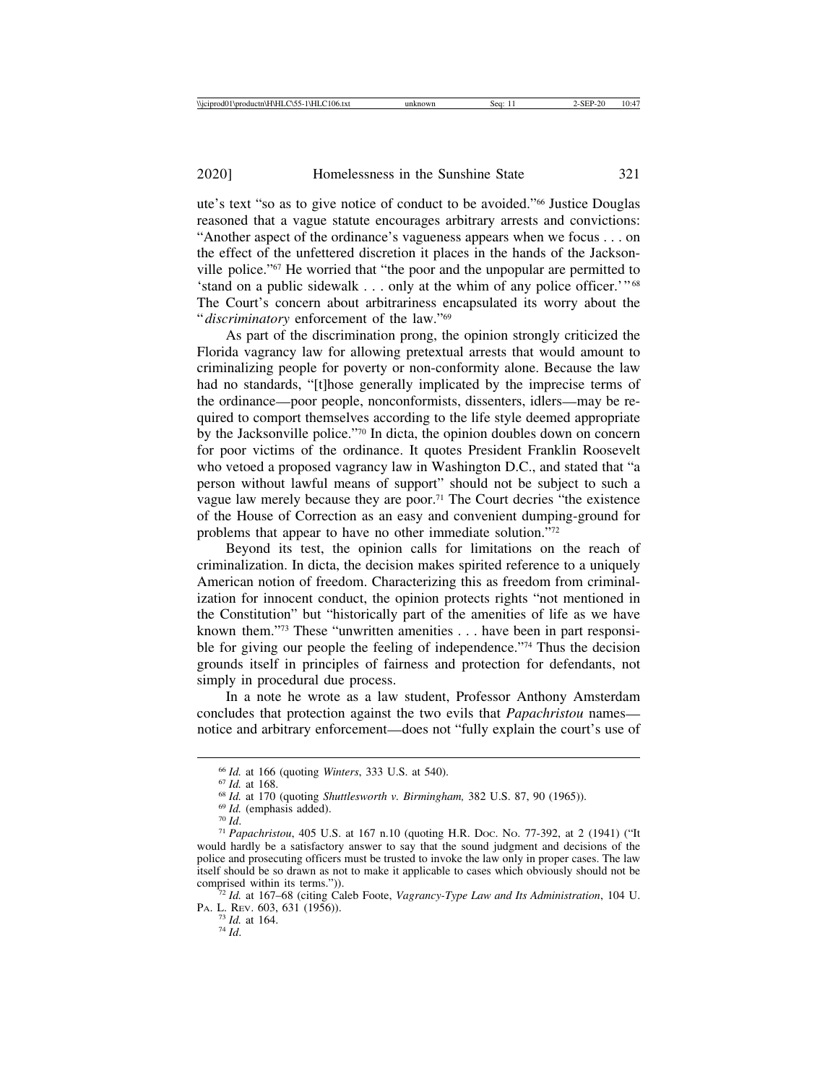ute's text "so as to give notice of conduct to be avoided."66 Justice Douglas reasoned that a vague statute encourages arbitrary arrests and convictions: "Another aspect of the ordinance's vagueness appears when we focus . . . on the effect of the unfettered discretion it places in the hands of the Jacksonville police."67 He worried that "the poor and the unpopular are permitted to 'stand on a public sidewalk . . . only at the whim of any police officer.'" <sup>68</sup> The Court's concern about arbitrariness encapsulated its worry about the "*discriminatory* enforcement of the law."69

As part of the discrimination prong, the opinion strongly criticized the Florida vagrancy law for allowing pretextual arrests that would amount to criminalizing people for poverty or non-conformity alone. Because the law had no standards, "[t]hose generally implicated by the imprecise terms of the ordinance—poor people, nonconformists, dissenters, idlers—may be required to comport themselves according to the life style deemed appropriate by the Jacksonville police."70 In dicta, the opinion doubles down on concern for poor victims of the ordinance. It quotes President Franklin Roosevelt who vetoed a proposed vagrancy law in Washington D.C., and stated that "a person without lawful means of support" should not be subject to such a vague law merely because they are poor.71 The Court decries "the existence of the House of Correction as an easy and convenient dumping-ground for problems that appear to have no other immediate solution."72

Beyond its test, the opinion calls for limitations on the reach of criminalization. In dicta, the decision makes spirited reference to a uniquely American notion of freedom. Characterizing this as freedom from criminalization for innocent conduct, the opinion protects rights "not mentioned in the Constitution" but "historically part of the amenities of life as we have known them."73 These "unwritten amenities . . . have been in part responsible for giving our people the feeling of independence."74 Thus the decision grounds itself in principles of fairness and protection for defendants, not simply in procedural due process.

In a note he wrote as a law student, Professor Anthony Amsterdam concludes that protection against the two evils that *Papachristou* names notice and arbitrary enforcement—does not "fully explain the court's use of

<sup>&</sup>lt;sup>66</sup> *Id.* at 166 (quoting *Winters*, 333 U.S. at 540).<br><sup>67</sup> *Id.* at 168.<br><sup>68</sup> *Id.* at 170 (quoting *Shuttlesworth v. Birmingham*, 382 U.S. 87, 90 (1965)).<br><sup>69</sup> *Id.* (emphasis added).<br><sup>70</sup> *Id.*<br><sup>71</sup> *Papachristou*, 40 would hardly be a satisfactory answer to say that the sound judgment and decisions of the police and prosecuting officers must be trusted to invoke the law only in proper cases. The law itself should be so drawn as not to make it applicable to cases which obviously should not be

<sup>&</sup>lt;sup>72</sup> Id. at 167–68 (citing Caleb Foote, *Vagrancy-Type Law and Its Administration*, 104 U. PA. L. REV. 603, 631 (1956)). <sup>73</sup> *Id.* at 164. <sup>74</sup> *Id*.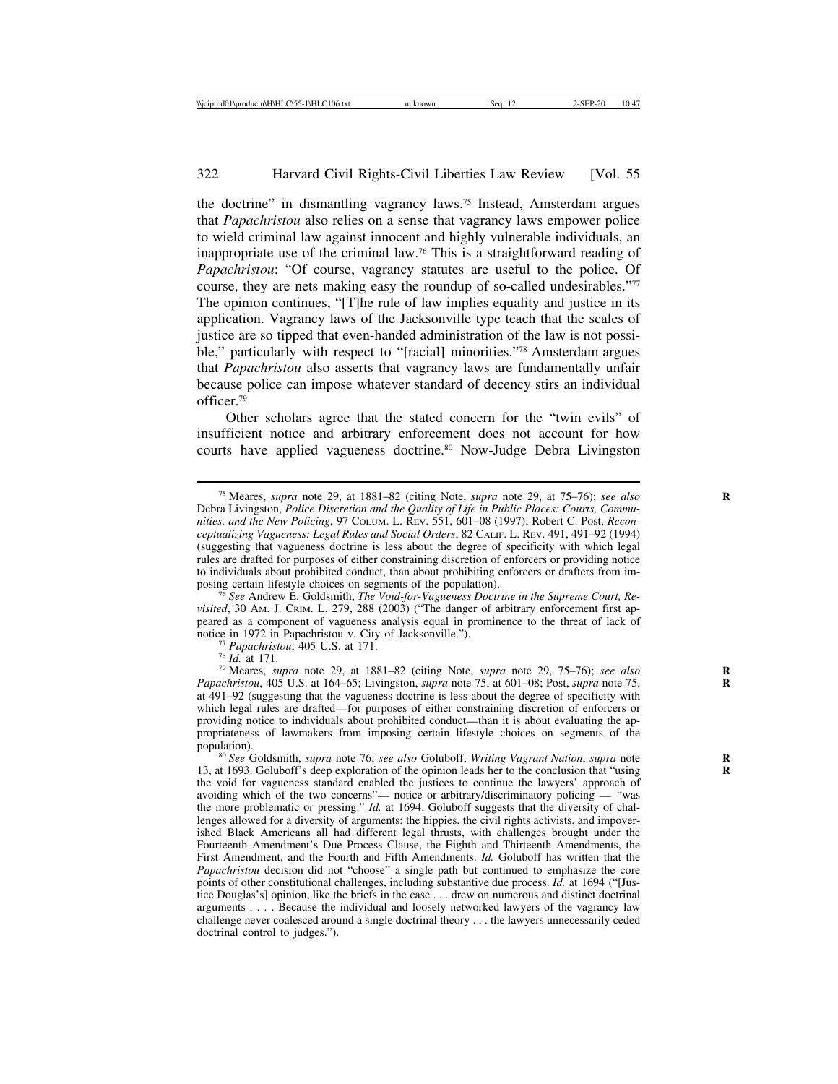the doctrine" in dismantling vagrancy laws.75 Instead, Amsterdam argues that *Papachristou* also relies on a sense that vagrancy laws empower police to wield criminal law against innocent and highly vulnerable individuals, an inappropriate use of the criminal law.76 This is a straightforward reading of *Papachristou*: "Of course, vagrancy statutes are useful to the police. Of course, they are nets making easy the roundup of so-called undesirables."77 The opinion continues, "[T]he rule of law implies equality and justice in its application. Vagrancy laws of the Jacksonville type teach that the scales of justice are so tipped that even-handed administration of the law is not possible," particularly with respect to "[racial] minorities."78 Amsterdam argues that *Papachristou* also asserts that vagrancy laws are fundamentally unfair because police can impose whatever standard of decency stirs an individual officer.79

Other scholars agree that the stated concern for the "twin evils" of insufficient notice and arbitrary enforcement does not account for how courts have applied vagueness doctrine.80 Now-Judge Debra Livingston

<sup>75</sup> Meares, *supra* note 29, at 1881–82 (citing Note, *supra* note 29, at 75–76); *see also* **R** Debra Livingston, *Police Discretion and the Quality of Life in Public Places: Courts, Communities, and the New Policing*, 97 COLUM. L. REV. 551, 601–08 (1997); Robert C. Post, *Reconceptualizing Vagueness: Legal Rules and Social Orders*, 82 CALIF. L. REV. 491, 491–92 (1994) (suggesting that vagueness doctrine is less about the degree of specificity with which legal rules are drafted for purposes of either constraining discretion of enforcers or providing notice to individuals about prohibited conduct, than about prohibiting enforcers or drafters from im-<br>posing certain lifestyle choices on segments of the population).

<sup>&</sup>lt;sup>76</sup> See Andrew E. Goldsmith, *The Void-for-Vagueness Doctrine in the Supreme Court, Revisited*, 30 AM. J. CRIM. L. 279, 288 (2003) ("The danger of arbitrary enforcement first appeared as a component of vagueness analysis equal in prominence to the threat of lack of notice in 1972 in Papachristou v. City of Jacksonville.").<br>
<sup>77</sup> Papachristou, 405 U.S. at 171.<br>
<sup>78</sup> Id. at 171.<br>
<sup>79</sup> Meares, *supra* note 29, at 1881–82 (citing Note, *supra* note 29, 75–76); *see also* 

*Papachristou*, 405 U.S. at 164–65; Livingston, *supra* note 75, at 601–08; Post, *supra* note 75, **R** at 491–92 (suggesting that the vagueness doctrine is less about the degree of specificity with which legal rules are drafted—for purposes of either constraining discretion of enforcers or providing notice to individuals about prohibited conduct—than it is about evaluating the appropriateness of lawmakers from imposing certain lifestyle choices on segments of the population).<br><sup>80</sup> *See* Goldsmith, *supra* note 76; *see also* Goluboff, *Writing Vagrant Nation*, *supra* note

<sup>13,</sup> at 1693. Goluboff's deep exploration of the opinion leads her to the conclusion that "using **R** the void for vagueness standard enabled the justices to continue the lawyers' approach of avoiding which of the two concerns"— notice or arbitrary/discriminatory policing — "was the more problematic or pressing." *Id.* at 1694. Goluboff suggests that the diversity of challenges allowed for a diversity of arguments: the hippies, the civil rights activists, and impoverished Black Americans all had different legal thrusts, with challenges brought under the Fourteenth Amendment's Due Process Clause, the Eighth and Thirteenth Amendments, the First Amendment, and the Fourth and Fifth Amendments. *Id.* Goluboff has written that the *Papachristou* decision did not "choose" a single path but continued to emphasize the core points of other constitutional challenges, including substantive due process. *Id.* at 1694 ("[Justice Douglas's] opinion, like the briefs in the case . . . drew on numerous and distinct doctrinal arguments . . . . Because the individual and loosely networked lawyers of the vagrancy law challenge never coalesced around a single doctrinal theory . . . the lawyers unnecessarily ceded doctrinal control to judges.").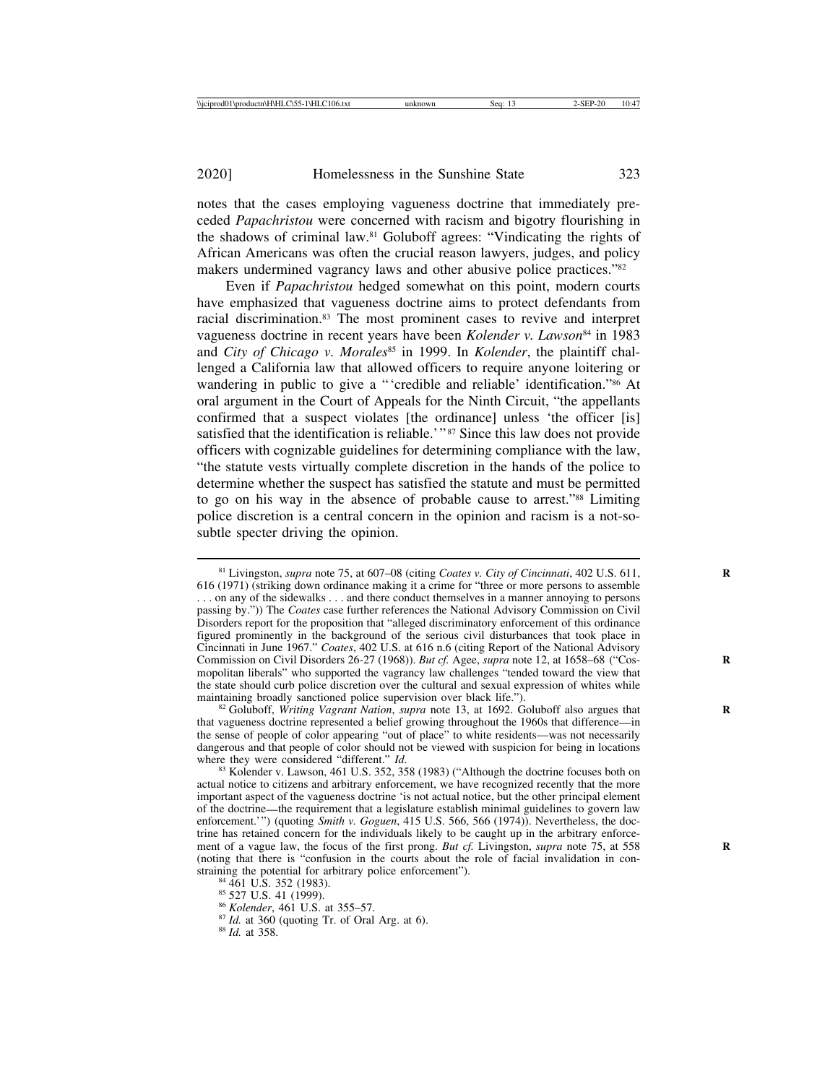notes that the cases employing vagueness doctrine that immediately preceded *Papachristou* were concerned with racism and bigotry flourishing in the shadows of criminal law.81 Goluboff agrees: "Vindicating the rights of African Americans was often the crucial reason lawyers, judges, and policy makers undermined vagrancy laws and other abusive police practices."82

Even if *Papachristou* hedged somewhat on this point, modern courts have emphasized that vagueness doctrine aims to protect defendants from racial discrimination.83 The most prominent cases to revive and interpret vagueness doctrine in recent years have been *Kolender v. Lawson*84 in 1983 and *City of Chicago v. Morales*<sup>85</sup> in 1999. In *Kolender*, the plaintiff challenged a California law that allowed officers to require anyone loitering or wandering in public to give a "'credible and reliable' identification."86 At oral argument in the Court of Appeals for the Ninth Circuit, "the appellants confirmed that a suspect violates [the ordinance] unless 'the officer [is] satisfied that the identification is reliable.<sup>'"87</sup> Since this law does not provide officers with cognizable guidelines for determining compliance with the law, "the statute vests virtually complete discretion in the hands of the police to determine whether the suspect has satisfied the statute and must be permitted to go on his way in the absence of probable cause to arrest."88 Limiting police discretion is a central concern in the opinion and racism is a not-sosubtle specter driving the opinion.

<sup>81</sup> Livingston, *supra* note 75, at 607–08 (citing *Coates v. City of Cincinnati*, 402 U.S. 611, **R** 616 (1971) (striking down ordinance making it a crime for "three or more persons to assemble . . . on any of the sidewalks . . . and there conduct themselves in a manner annoying to persons passing by.")) The *Coates* case further references the National Advisory Commission on Civil Disorders report for the proposition that "alleged discriminatory enforcement of this ordinance figured prominently in the background of the serious civil disturbances that took place in Cincinnati in June 1967." *Coates*, 402 U.S. at 616 n.6 (citing Report of the National Advisory Commission on Civil Disorders 26-27 (1968)). *But cf.* Agee, *supra* note 12, at 1658–68 ("Cosmopolitan liberals" who supported the vagrancy law challenges "tended toward the view that the state should curb police discretion over the cultural and sexual expression of whites while maintaining broadly sanctioned police supervision over black life."). <sup>82</sup> Goluboff, *Writing Vagrant Nation*, *supra* note 13, at 1692. Goluboff also argues that

that vagueness doctrine represented a belief growing throughout the 1960s that difference—in the sense of people of color appearing "out of place" to white residents—was not necessarily dangerous and that people of color should not be viewed with suspicion for being in locations where they were considered "different." *Id*. <sup>83</sup> Kolender v. Lawson, 461 U.S. 352, 358 (1983) ("Although the doctrine focuses both on

actual notice to citizens and arbitrary enforcement, we have recognized recently that the more important aspect of the vagueness doctrine 'is not actual notice, but the other principal element of the doctrine—the requirement that a legislature establish minimal guidelines to govern law enforcement.'") (quoting *Smith v. Goguen*, 415 U.S. 566, 566 (1974)). Nevertheless, the doctrine has retained concern for the individuals likely to be caught up in the arbitrary enforcement of a vague law, the focus of the first prong. *But cf.* Livingston, *supra* note 75, at 558 **R** (noting that there is "confusion in the courts about the role of facial invalidation in constraining the potential for arbitrary police enforcement").<br><sup>84</sup> 461 U.S. 352 (1983).<br><sup>85</sup> 527 U.S. 41 (1999).<br><sup>86</sup> *Kolender*, 461 U.S. at 355–57.<br><sup>87</sup> *Id.* at 360 (quoting Tr. of Oral Arg. at 6).<br><sup>88</sup> *Id.* at 358.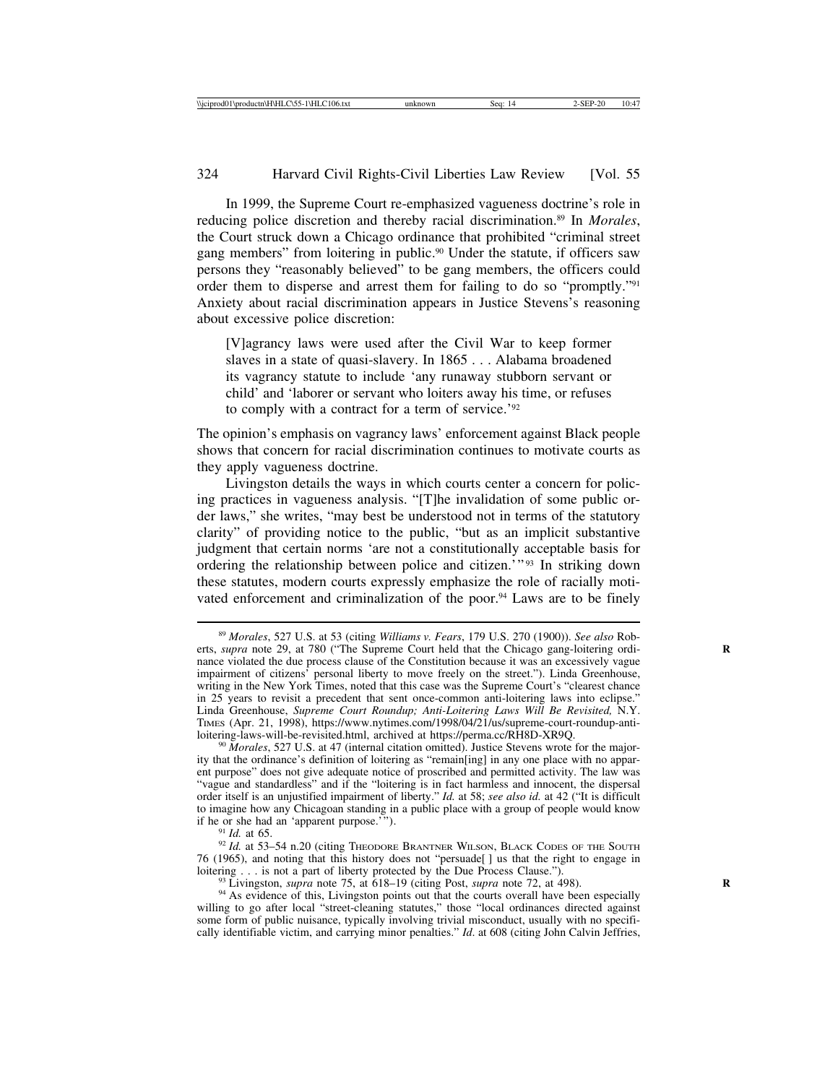In 1999, the Supreme Court re-emphasized vagueness doctrine's role in reducing police discretion and thereby racial discrimination.89 In *Morales*, the Court struck down a Chicago ordinance that prohibited "criminal street gang members" from loitering in public.90 Under the statute, if officers saw persons they "reasonably believed" to be gang members, the officers could order them to disperse and arrest them for failing to do so "promptly."91 Anxiety about racial discrimination appears in Justice Stevens's reasoning about excessive police discretion:

[V]agrancy laws were used after the Civil War to keep former slaves in a state of quasi-slavery. In 1865 . . . Alabama broadened its vagrancy statute to include 'any runaway stubborn servant or child' and 'laborer or servant who loiters away his time, or refuses to comply with a contract for a term of service.'92

The opinion's emphasis on vagrancy laws' enforcement against Black people shows that concern for racial discrimination continues to motivate courts as they apply vagueness doctrine.

Livingston details the ways in which courts center a concern for policing practices in vagueness analysis. "[T]he invalidation of some public order laws," she writes, "may best be understood not in terms of the statutory clarity" of providing notice to the public, "but as an implicit substantive judgment that certain norms 'are not a constitutionally acceptable basis for ordering the relationship between police and citizen.'"<sup>93</sup> In striking down these statutes, modern courts expressly emphasize the role of racially motivated enforcement and criminalization of the poor.<sup>94</sup> Laws are to be finely

<sup>90</sup> Morales, 527 U.S. at 47 (internal citation omitted). Justice Stevens wrote for the majority that the ordinance's definition of loitering as "remain[ing] in any one place with no apparent purpose" does not give adequate notice of proscribed and permitted activity. The law was "vague and standardless" and if the "loitering is in fact harmless and innocent, the dispersal order itself is an unjustified impairment of liberty." *Id.* at 58; *see also id.* at 42 ("It is difficult to imagine how any Chicagoan standing in a public place with a group of people would know if he or she had an 'apparent purpose.'").

<sup>91</sup> *Id.* at 65. <sup>1</sup><br><sup>92</sup> *Id.* at 53–54 n.20 (citing Theodore Brantner Wilson, Black Codes of the South 76 (1965), and noting that this history does not "persuade[] us that the right to engage in loitering . . . is not a part of liberty protected by the Due Process Clause.").

<sup>93</sup> Livingston, *supra* note 75, at 618–19 (citing Post, *supra* note 72, at 498).<br><sup>94</sup> As evidence of this, Livingston points out that the courts overall have been especially willing to go after local "street-cleaning statutes," those "local ordinances directed against some form of public nuisance, typically involving trivial misconduct, usually with no specifically identifiable victim, and carrying minor penalties." *Id*. at 608 (citing John Calvin Jeffries,

<sup>89</sup> *Morales*, 527 U.S. at 53 (citing *Williams v. Fears*, 179 U.S. 270 (1900)). *See also* Roberts, *supra* note 29, at 780 ("The Supreme Court held that the Chicago gang-loitering ordinance violated the due process clause of the Constitution because it was an excessively vague impairment of citizens' personal liberty to move freely on the street."). Linda Greenhouse, writing in the New York Times, noted that this case was the Supreme Court's "clearest chance in 25 years to revisit a precedent that sent once-common anti-loitering laws into eclipse." Linda Greenhouse, *Supreme Court Roundup; Anti-Loitering Laws Will Be Revisited,* N.Y. TIMES (Apr. 21, 1998), https://www.nytimes.com/1998/04/21/us/supreme-court-roundup-anti-<br>loitering-laws-will-be-revisited.html, archived at https://perma.cc/RH8D-XR9Q.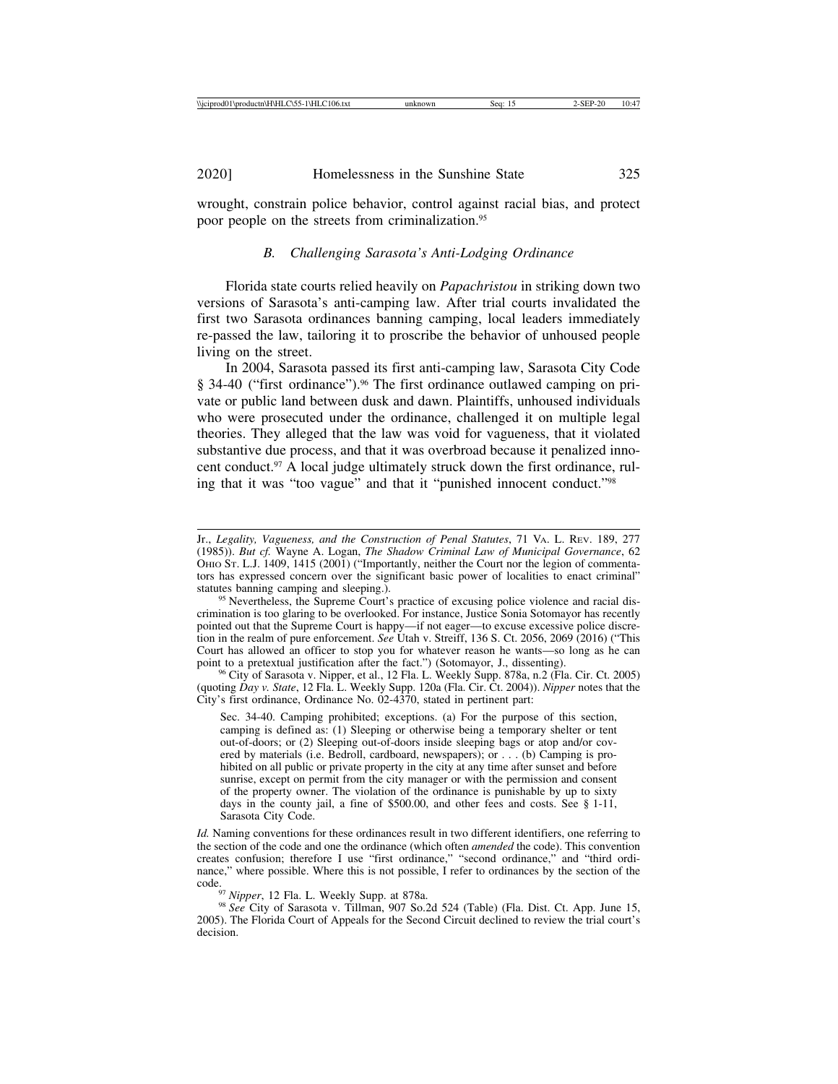wrought, constrain police behavior, control against racial bias, and protect poor people on the streets from criminalization.95

## *B. Challenging Sarasota's Anti-Lodging Ordinance*

Florida state courts relied heavily on *Papachristou* in striking down two versions of Sarasota's anti-camping law. After trial courts invalidated the first two Sarasota ordinances banning camping, local leaders immediately re-passed the law, tailoring it to proscribe the behavior of unhoused people living on the street.

In 2004, Sarasota passed its first anti-camping law, Sarasota City Code § 34-40 ("first ordinance").<sup>96</sup> The first ordinance outlawed camping on private or public land between dusk and dawn. Plaintiffs, unhoused individuals who were prosecuted under the ordinance, challenged it on multiple legal theories. They alleged that the law was void for vagueness, that it violated substantive due process, and that it was overbroad because it penalized innocent conduct.<sup>97</sup> A local judge ultimately struck down the first ordinance, ruling that it was "too vague" and that it "punished innocent conduct."98

<sup>96</sup> City of Sarasota v. Nipper, et al., 12 Fla. L. Weekly Supp. 878a, n.2 (Fla. Cir. Ct. 2005). (quoting *Day v. State*, 12 Fla. L. Weekly Supp. 120a (Fla. Cir. Ct. 2004)). *Nipper* notes that the City's first ordinance, Ordinance No. 02-4370, stated in pertinent part:

Sec. 34-40. Camping prohibited; exceptions. (a) For the purpose of this section, camping is defined as: (1) Sleeping or otherwise being a temporary shelter or tent out-of-doors; or (2) Sleeping out-of-doors inside sleeping bags or atop and/or covered by materials (i.e. Bedroll, cardboard, newspapers); or . . . (b) Camping is prohibited on all public or private property in the city at any time after sunset and before sunrise, except on permit from the city manager or with the permission and consent of the property owner. The violation of the ordinance is punishable by up to sixty days in the county jail, a fine of \$500.00, and other fees and costs. See § 1-11, Sarasota City Code.

*Id.* Naming conventions for these ordinances result in two different identifiers, one referring to the section of the code and one the ordinance (which often *amended* the code). This convention creates confusion; therefore I use "first ordinance," "second ordinance," and "third ordinance," where possible. Where this is not possible, I refer to ordinances by the section of the code.<br><sup>97</sup> *Nipper*, 12 Fla. L. Weekly Supp. at 878a.<br><sup>98</sup> *See* City of Sarasota v. Tillman, 907 So.2d 524 (Table) (Fla. Dist. Ct. App. June 15,

2005). The Florida Court of Appeals for the Second Circuit declined to review the trial court's decision.

Jr., *Legality, Vagueness, and the Construction of Penal Statutes*, 71 VA. L. REV. 189, 277 (1985)). *But cf.* Wayne A. Logan, *The Shadow Criminal Law of Municipal Governance*, 62 OHIO ST. L.J. 1409, 1415 (2001) ("Importantly, neither the Court nor the legion of commentators has expressed concern over the significant basic power of localities to enact criminal"

<sup>&</sup>lt;sup>95</sup> Nevertheless, the Supreme Court's practice of excusing police violence and racial discrimination is too glaring to be overlooked. For instance, Justice Sonia Sotomayor has recently pointed out that the Supreme Court is happy—if not eager—to excuse excessive police discretion in the realm of pure enforcement. *See* Utah v. Streiff, 136 S. Ct. 2056, 2069 (2016) ("This Court has allowed an officer to stop you for whatever reason he wants—so long as he can point to a pretextual justification after the fact.") (Sotomayor, J., dissenting).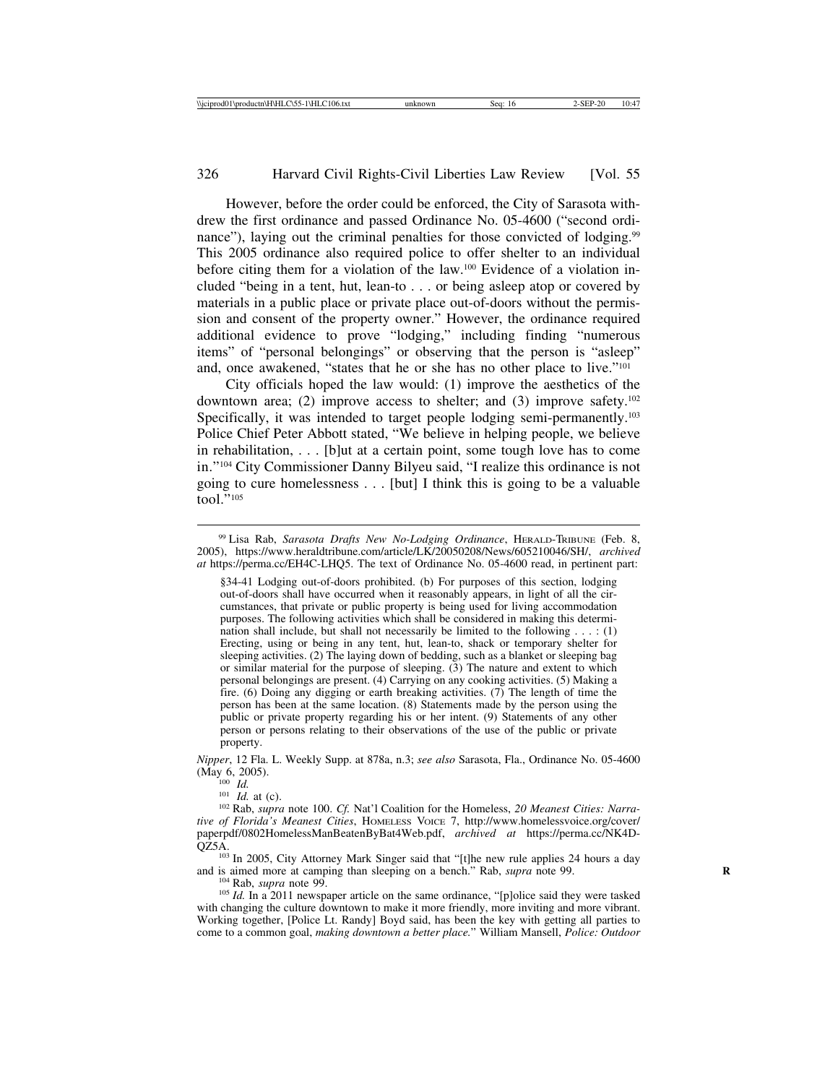However, before the order could be enforced, the City of Sarasota withdrew the first ordinance and passed Ordinance No. 05-4600 ("second ordinance"), laying out the criminal penalties for those convicted of lodging.<sup>99</sup> This 2005 ordinance also required police to offer shelter to an individual before citing them for a violation of the law.100 Evidence of a violation included "being in a tent, hut, lean-to . . . or being asleep atop or covered by materials in a public place or private place out-of-doors without the permission and consent of the property owner." However, the ordinance required additional evidence to prove "lodging," including finding "numerous items" of "personal belongings" or observing that the person is "asleep" and, once awakened, "states that he or she has no other place to live."101

City officials hoped the law would: (1) improve the aesthetics of the downtown area; (2) improve access to shelter; and (3) improve safety.<sup>102</sup> Specifically, it was intended to target people lodging semi-permanently.<sup>103</sup> Police Chief Peter Abbott stated, "We believe in helping people, we believe in rehabilitation, . . . [b]ut at a certain point, some tough love has to come in."104 City Commissioner Danny Bilyeu said, "I realize this ordinance is not going to cure homelessness . . . [but] I think this is going to be a valuable tool."105

§34-41 Lodging out-of-doors prohibited. (b) For purposes of this section, lodging out-of-doors shall have occurred when it reasonably appears, in light of all the circumstances, that private or public property is being used for living accommodation purposes. The following activities which shall be considered in making this determination shall include, but shall not necessarily be limited to the following  $\dots$  : (1) Erecting, using or being in any tent, hut, lean-to, shack or temporary shelter for sleeping activities. (2) The laying down of bedding, such as a blanket or sleeping bag or similar material for the purpose of sleeping. (3) The nature and extent to which personal belongings are present. (4) Carrying on any cooking activities. (5) Making a fire. (6) Doing any digging or earth breaking activities. (7) The length of time the person has been at the same location. (8) Statements made by the person using the public or private property regarding his or her intent. (9) Statements of any other person or persons relating to their observations of the use of the public or private property.

*Nipper*, 12 Fla. L. Weekly Supp. at 878a, n.3; *see also* Sarasota, Fla., Ordinance No. 05-4600

<sup>100</sup> *Id.*<br><sup>101</sup> *Id.* at (c).<br><sup>102</sup> Rab, *supra* note 100. *Cf.* Nat'l Coalition for the Homeless, 20 Meanest Cities: Narra*tive of Florida's Meanest Cities*, HOMELESS VOICE 7, http://www.homelessvoice.org/cover/ paperpdf/0802HomelessManBeatenByBat4Web.pdf, *archived at* https://perma.cc/NK4D-

<sup>103</sup> In 2005, City Attorney Mark Singer said that "[t]he new rule applies 24 hours a day and is aimed more at camping than sleeping on a bench." Rab, *supra* note 99.

<sup>104</sup> Rab, *supra* note 99. **Reset is a bench**. The same ordinance, "[p]olice said they were tasked 105 *Id.* In a 2011 newspaper article on the same ordinance, "[p]olice said they were tasked with changing the culture downtown to make it more friendly, more inviting and more vibrant. Working together, [Police Lt. Randy] Boyd said, has been the key with getting all parties to come to a common goal, *making downtown a better place.*" William Mansell, *Police: Outdoor*

<sup>99</sup> Lisa Rab, *Sarasota Drafts New No-Lodging Ordinance*, HERALD-TRIBUNE (Feb. 8, 2005), https://www.heraldtribune.com/article/LK/20050208/News/605210046/SH/, *archived at* https://perma.cc/EH4C-LHQ5. The text of Ordinance No. 05-4600 read, in pertinent part: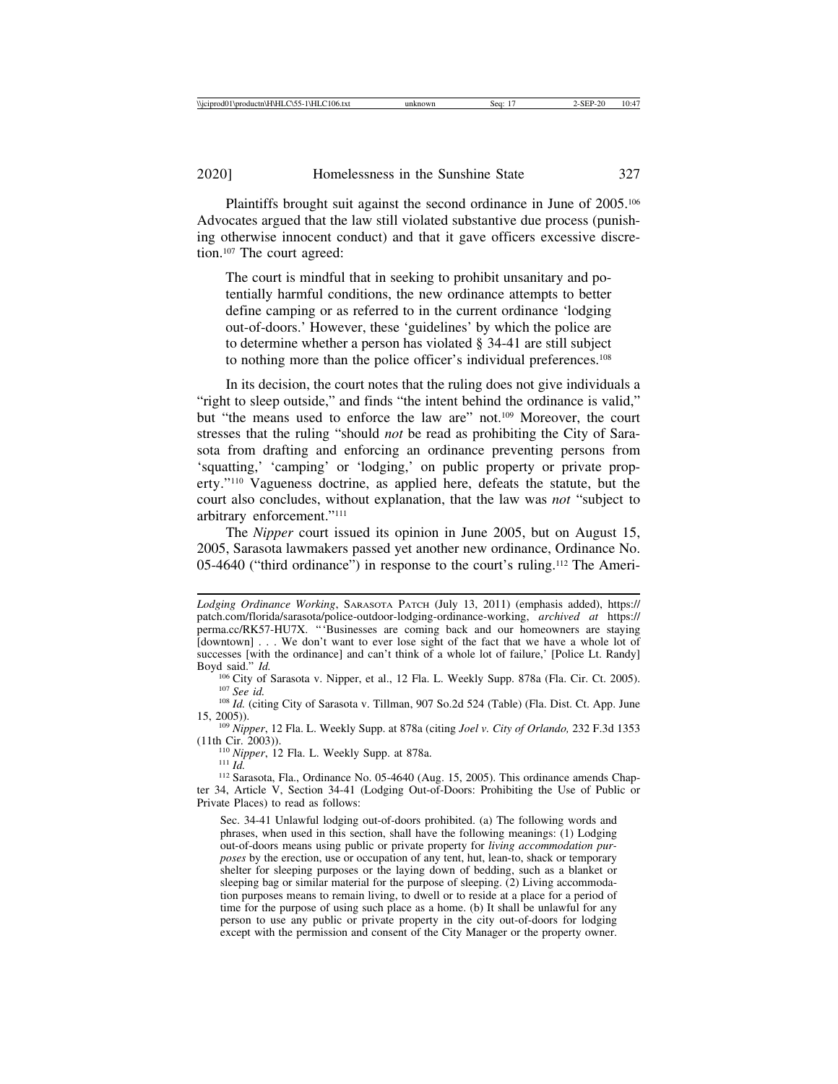Plaintiffs brought suit against the second ordinance in June of 2005.<sup>106</sup> Advocates argued that the law still violated substantive due process (punishing otherwise innocent conduct) and that it gave officers excessive discretion.107 The court agreed:

The court is mindful that in seeking to prohibit unsanitary and potentially harmful conditions, the new ordinance attempts to better define camping or as referred to in the current ordinance 'lodging out-of-doors.' However, these 'guidelines' by which the police are to determine whether a person has violated § 34-41 are still subject to nothing more than the police officer's individual preferences.108

In its decision, the court notes that the ruling does not give individuals a "right to sleep outside," and finds "the intent behind the ordinance is valid," but "the means used to enforce the law are" not.109 Moreover, the court stresses that the ruling "should *not* be read as prohibiting the City of Sarasota from drafting and enforcing an ordinance preventing persons from 'squatting,' 'camping' or 'lodging,' on public property or private property."110 Vagueness doctrine, as applied here, defeats the statute, but the court also concludes, without explanation, that the law was *not* "subject to arbitrary enforcement."111

The *Nipper* court issued its opinion in June 2005, but on August 15, 2005, Sarasota lawmakers passed yet another new ordinance, Ordinance No. 05-4640 ("third ordinance") in response to the court's ruling.112 The Ameri-

<sup>106</sup> City of Sarasota v. Nipper, et al., 12 Fla. L. Weekly Supp. 878a (Fla. Cir. Ct. 2005).<br><sup>107</sup> See id.<br><sup>108</sup> Id. (citing City of Sarasota v. Tillman, 907 So.2d 524 (Table) (Fla. Dist. Ct. App. June 15, 2005)).

15, 2005)). <sup>109</sup> *Nipper*, 12 Fla. L. Weekly Supp. at 878a (citing *Joel v. City of Orlando,* 232 F.3d 1353

<sup>110</sup> Nipper, 12 Fla. L. Weekly Supp. at 878a.<br><sup>111</sup> *Id.* 112 Sarasota, Fla., Ordinance No. 05-4640 (Aug. 15, 2005). This ordinance amends Chapter 34, Article V, Section 34-41 (Lodging Out-of-Doors: Prohibiting the Use of Public or Private Places) to read as follows:

Sec. 34-41 Unlawful lodging out-of-doors prohibited. (a) The following words and phrases, when used in this section, shall have the following meanings: (1) Lodging out-of-doors means using public or private property for *living accommodation purposes* by the erection, use or occupation of any tent, hut, lean-to, shack or temporary shelter for sleeping purposes or the laying down of bedding, such as a blanket or sleeping bag or similar material for the purpose of sleeping. (2) Living accommodation purposes means to remain living, to dwell or to reside at a place for a period of time for the purpose of using such place as a home. (b) It shall be unlawful for any person to use any public or private property in the city out-of-doors for lodging except with the permission and consent of the City Manager or the property owner.

*Lodging Ordinance Working*, SARASOTA PATCH (July 13, 2011) (emphasis added), https:// patch.com/florida/sarasota/police-outdoor-lodging-ordinance-working, *archived at* https:// perma.cc/RK57-HU7X. "'Businesses are coming back and our homeowners are staying [downtown] . . . We don't want to ever lose sight of the fact that we have a whole lot of successes [with the ordinance] and can't think of a whole lot of failure,' [Police Lt. Randy] Boyd said."  $Id$ .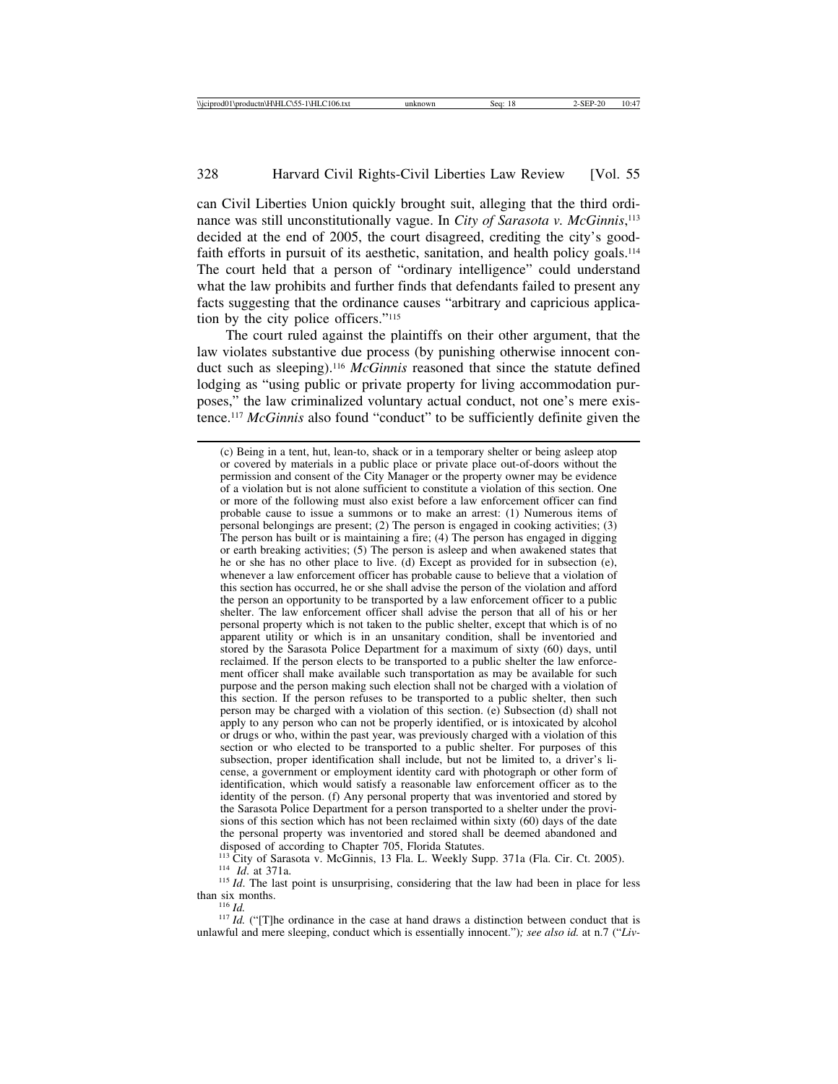can Civil Liberties Union quickly brought suit, alleging that the third ordinance was still unconstitutionally vague. In *City of Sarasota v. McGinnis*, 113 decided at the end of 2005, the court disagreed, crediting the city's goodfaith efforts in pursuit of its aesthetic, sanitation, and health policy goals.<sup>114</sup> The court held that a person of "ordinary intelligence" could understand what the law prohibits and further finds that defendants failed to present any facts suggesting that the ordinance causes "arbitrary and capricious application by the city police officers."115

The court ruled against the plaintiffs on their other argument, that the law violates substantive due process (by punishing otherwise innocent conduct such as sleeping).116 *McGinnis* reasoned that since the statute defined lodging as "using public or private property for living accommodation purposes," the law criminalized voluntary actual conduct, not one's mere existence.117 *McGinnis* also found "conduct" to be sufficiently definite given the

disposed of according to Chapter 705, Florida Statutes.<br><sup>113</sup> City of Sarasota v. McGinnis, 13 Fla. L. Weekly Supp. 371a (Fla. Cir. Ct. 2005). <sup>114</sup> Id. at 371a.<br><sup>115</sup> Id. The last point is unsurprising, considering that the law had been in place for less

than six months.<br><sup>116</sup> *Id.* ("[T]he ordinance in the case at hand draws a distinction between conduct that is

unlawful and mere sleeping, conduct which is essentially innocent.")*; see also id.* at n.7 ("*Liv-*

<sup>(</sup>c) Being in a tent, hut, lean-to, shack or in a temporary shelter or being asleep atop or covered by materials in a public place or private place out-of-doors without the permission and consent of the City Manager or the property owner may be evidence of a violation but is not alone sufficient to constitute a violation of this section. One or more of the following must also exist before a law enforcement officer can find probable cause to issue a summons or to make an arrest: (1) Numerous items of personal belongings are present; (2) The person is engaged in cooking activities; (3) The person has built or is maintaining a fire; (4) The person has engaged in digging or earth breaking activities; (5) The person is asleep and when awakened states that he or she has no other place to live. (d) Except as provided for in subsection (e), whenever a law enforcement officer has probable cause to believe that a violation of this section has occurred, he or she shall advise the person of the violation and afford the person an opportunity to be transported by a law enforcement officer to a public shelter. The law enforcement officer shall advise the person that all of his or her personal property which is not taken to the public shelter, except that which is of no apparent utility or which is in an unsanitary condition, shall be inventoried and stored by the Sarasota Police Department for a maximum of sixty (60) days, until reclaimed. If the person elects to be transported to a public shelter the law enforcement officer shall make available such transportation as may be available for such purpose and the person making such election shall not be charged with a violation of this section. If the person refuses to be transported to a public shelter, then such person may be charged with a violation of this section. (e) Subsection (d) shall not apply to any person who can not be properly identified, or is intoxicated by alcohol or drugs or who, within the past year, was previously charged with a violation of this section or who elected to be transported to a public shelter. For purposes of this subsection, proper identification shall include, but not be limited to, a driver's license, a government or employment identity card with photograph or other form of identification, which would satisfy a reasonable law enforcement officer as to the identity of the person. (f) Any personal property that was inventoried and stored by the Sarasota Police Department for a person transported to a shelter under the provisions of this section which has not been reclaimed within sixty (60) days of the date the personal property was inventoried and stored shall be deemed abandoned and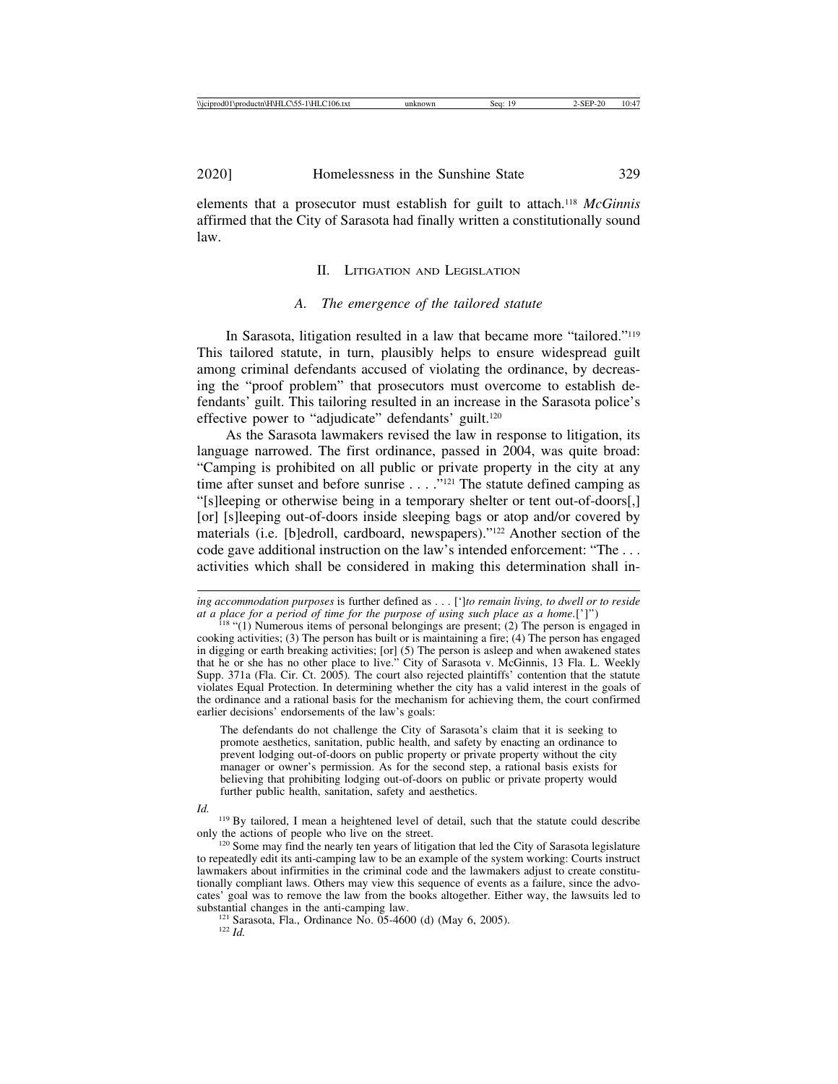elements that a prosecutor must establish for guilt to attach.118 *McGinnis* affirmed that the City of Sarasota had finally written a constitutionally sound law.

## II. LITIGATION AND LEGISLATION

### *A. The emergence of the tailored statute*

In Sarasota, litigation resulted in a law that became more "tailored."119 This tailored statute, in turn, plausibly helps to ensure widespread guilt among criminal defendants accused of violating the ordinance, by decreasing the "proof problem" that prosecutors must overcome to establish defendants' guilt. This tailoring resulted in an increase in the Sarasota police's effective power to "adjudicate" defendants' guilt.<sup>120</sup>

As the Sarasota lawmakers revised the law in response to litigation, its language narrowed. The first ordinance, passed in 2004, was quite broad: "Camping is prohibited on all public or private property in the city at any time after sunset and before sunrise  $\dots$  ."<sup>121</sup> The statute defined camping as "[s]leeping or otherwise being in a temporary shelter or tent out-of-doors[,] [or] [s]leeping out-of-doors inside sleeping bags or atop and/or covered by materials (i.e. [b]edroll, cardboard, newspapers)."122 Another section of the code gave additional instruction on the law's intended enforcement: "The . . . activities which shall be considered in making this determination shall in-

The defendants do not challenge the City of Sarasota's claim that it is seeking to promote aesthetics, sanitation, public health, and safety by enacting an ordinance to prevent lodging out-of-doors on public property or private property without the city manager or owner's permission. As for the second step, a rational basis exists for believing that prohibiting lodging out-of-doors on public or private property would further public health, sanitation, safety and aesthetics.

*Id.* <sup>119</sup> By tailored, I mean a heightened level of detail, such that the statute could describe only the actions of people who live on the street.

 $120$  Some may find the nearly ten years of litigation that led the City of Sarasota legislature to repeatedly edit its anti-camping law to be an example of the system working: Courts instruct lawmakers about infirmities in the criminal code and the lawmakers adjust to create constitutionally compliant laws. Others may view this sequence of events as a failure, since the advocates' goal was to remove the law from the books altogether. Either way, the lawsuits led to

<sup>121</sup> Sarasota, Fla., Ordinance No. 05-4600 (d) (May 6, 2005). <sup>122</sup> *Id.* 

*ing accommodation purposes* is further defined as . . . ['*]to remain living, to dwell or to reside at a place for a period of time for the purpose of using such place as a home.[']")* 

<sup>&</sup>lt;sup>118</sup> "(1) Numerous items of personal belongings are present; (2) The person is engaged in cooking activities; (3) The person has built or is maintaining a fire; (4) The person has engaged in digging or earth breaking activities; [or] (5) The person is asleep and when awakened states that he or she has no other place to live." City of Sarasota v. McGinnis, 13 Fla. L. Weekly Supp. 371a (Fla. Cir. Ct. 2005)*.* The court also rejected plaintiffs' contention that the statute violates Equal Protection. In determining whether the city has a valid interest in the goals of the ordinance and a rational basis for the mechanism for achieving them, the court confirmed earlier decisions' endorsements of the law's goals: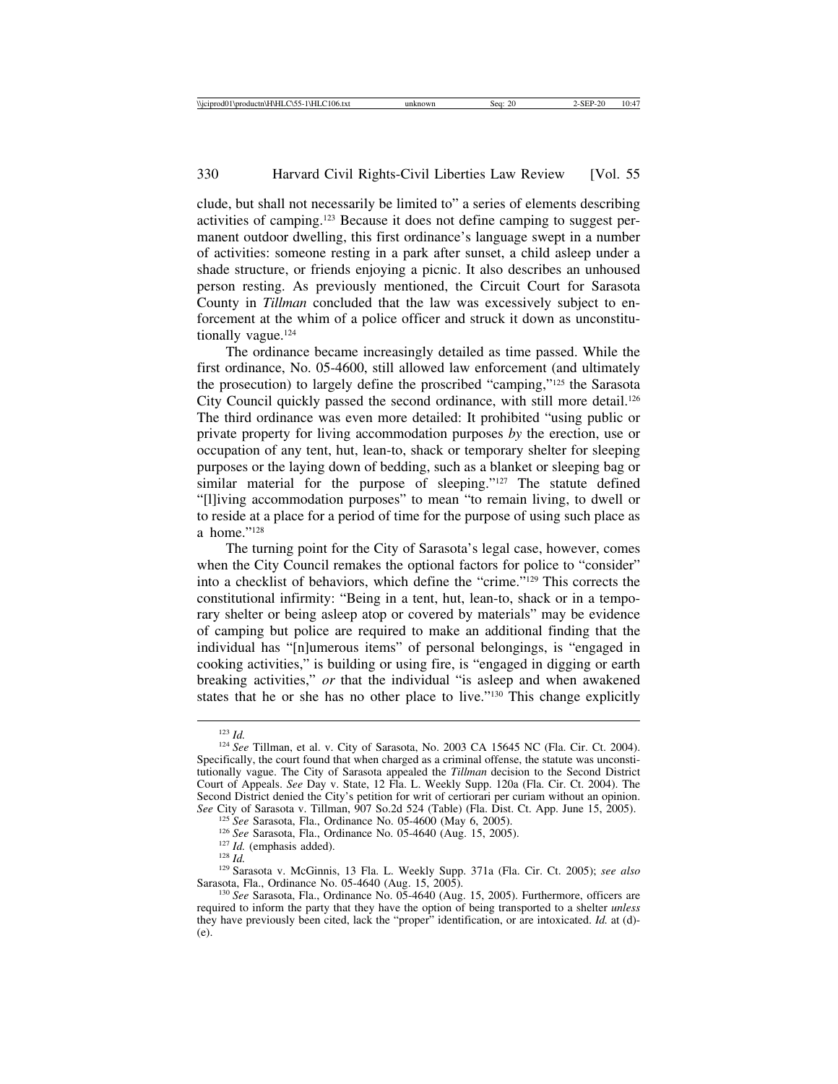clude, but shall not necessarily be limited to" a series of elements describing activities of camping.123 Because it does not define camping to suggest permanent outdoor dwelling, this first ordinance's language swept in a number of activities: someone resting in a park after sunset, a child asleep under a shade structure, or friends enjoying a picnic. It also describes an unhoused person resting. As previously mentioned, the Circuit Court for Sarasota County in *Tillman* concluded that the law was excessively subject to enforcement at the whim of a police officer and struck it down as unconstitutionally vague.<sup>124</sup>

The ordinance became increasingly detailed as time passed. While the first ordinance, No. 05-4600, still allowed law enforcement (and ultimately the prosecution) to largely define the proscribed "camping,"125 the Sarasota City Council quickly passed the second ordinance, with still more detail.126 The third ordinance was even more detailed: It prohibited "using public or private property for living accommodation purposes *by* the erection, use or occupation of any tent, hut, lean-to, shack or temporary shelter for sleeping purposes or the laying down of bedding, such as a blanket or sleeping bag or similar material for the purpose of sleeping."<sup>127</sup> The statute defined "[l]iving accommodation purposes" to mean "to remain living, to dwell or to reside at a place for a period of time for the purpose of using such place as a home."128

The turning point for the City of Sarasota's legal case, however, comes when the City Council remakes the optional factors for police to "consider" into a checklist of behaviors, which define the "crime."129 This corrects the constitutional infirmity: "Being in a tent, hut, lean-to, shack or in a temporary shelter or being asleep atop or covered by materials" may be evidence of camping but police are required to make an additional finding that the individual has "[n]umerous items" of personal belongings, is "engaged in cooking activities," is building or using fire, is "engaged in digging or earth breaking activities," *or* that the individual "is asleep and when awakened states that he or she has no other place to live."130 This change explicitly

<sup>123</sup> *Id.* <sup>124</sup> *See* Tillman, et al. v. City of Sarasota, No. 2003 CA 15645 NC (Fla. Cir. Ct. 2004). Specifically, the court found that when charged as a criminal offense, the statute was unconstitutionally vague. The City of Sarasota appealed the *Tillman* decision to the Second District Court of Appeals. *See* Day v. State, 12 Fla. L. Weekly Supp. 120a (Fla. Cir. Ct. 2004). The Second District denied the City's petition for writ of certiorari per curiam without an opinion. *See* City of Sarasota v. Tillman, 907 So.2d 524 (Table) (Fla. Dist. Ct. App. June 15, 2005).<br><sup>125</sup> *See* Sarasota, Fla., Ordinance No. 05-4600 (May 6, 2005).

<sup>&</sup>lt;sup>126</sup> See Sarasota, Fla., Ordinance No. 05-4640 (Aug. 15, 2005).<br><sup>127</sup> *Id.* (emphasis added).<br><sup>128</sup> *Id.*<br><sup>129</sup> Sarasota v. McGinnis, 13 Fla. L. Weekly Supp. 371a (Fla. Cir. Ct. 2005); *see also*<br>Sarasota, Fla., Ordinanc

<sup>&</sup>lt;sup>130</sup> See Sarasota, Fla., Ordinance No. 05-4640 (Aug. 15, 2005). Furthermore, officers are required to inform the party that they have the option of being transported to a shelter *unless* they have previously been cited, lack the "proper" identification, or are intoxicated. *Id.* at (d)- (e).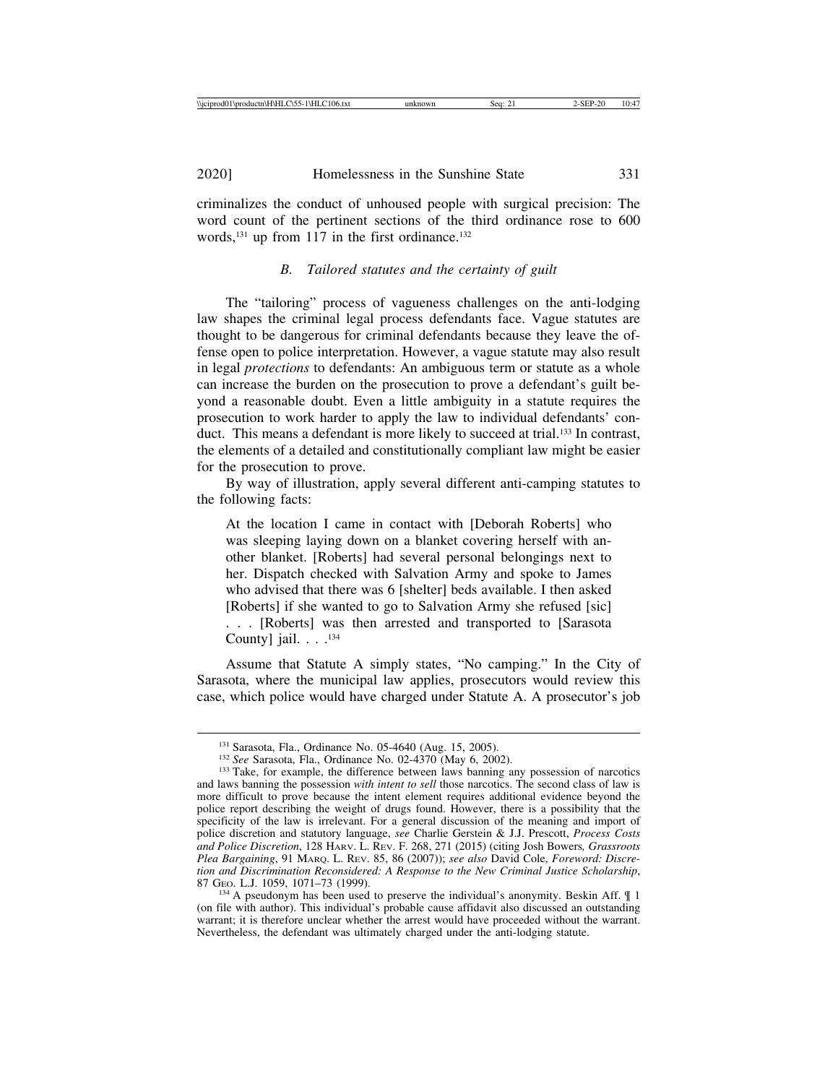criminalizes the conduct of unhoused people with surgical precision: The word count of the pertinent sections of the third ordinance rose to 600 words, $^{131}$  up from 117 in the first ordinance. $^{132}$ 

## *B. Tailored statutes and the certainty of guilt*

The "tailoring" process of vagueness challenges on the anti-lodging law shapes the criminal legal process defendants face. Vague statutes are thought to be dangerous for criminal defendants because they leave the offense open to police interpretation. However, a vague statute may also result in legal *protections* to defendants: An ambiguous term or statute as a whole can increase the burden on the prosecution to prove a defendant's guilt beyond a reasonable doubt. Even a little ambiguity in a statute requires the prosecution to work harder to apply the law to individual defendants' conduct. This means a defendant is more likely to succeed at trial.<sup>133</sup> In contrast, the elements of a detailed and constitutionally compliant law might be easier for the prosecution to prove.

By way of illustration, apply several different anti-camping statutes to the following facts:

At the location I came in contact with [Deborah Roberts] who was sleeping laying down on a blanket covering herself with another blanket. [Roberts] had several personal belongings next to her. Dispatch checked with Salvation Army and spoke to James who advised that there was 6 [shelter] beds available. I then asked [Roberts] if she wanted to go to Salvation Army she refused [sic] . . . [Roberts] was then arrested and transported to [Sarasota County] jail. . . .<sup>134</sup>

Assume that Statute A simply states, "No camping." In the City of Sarasota, where the municipal law applies, prosecutors would review this case, which police would have charged under Statute A. A prosecutor's job

<sup>&</sup>lt;sup>131</sup> Sarasota, Fla., Ordinance No. 05-4640 (Aug. 15, 2005).<br><sup>132</sup> *See* Sarasota, Fla., Ordinance No. 02-4370 (May 6, 2002).<br><sup>133</sup> Take, for example, the difference between laws banning any possession of narcotics and laws banning the possession *with intent to sell* those narcotics. The second class of law is more difficult to prove because the intent element requires additional evidence beyond the police report describing the weight of drugs found. However, there is a possibility that the specificity of the law is irrelevant. For a general discussion of the meaning and import of police discretion and statutory language, *see* Charlie Gerstein & J.J. Prescott, *Process Costs and Police Discretion*, 128 HARV. L. REV. F. 268, 271 (2015) (citing Josh Bowers*, Grassroots Plea Bargaining*, 91 MARQ. L. REV. 85, 86 (2007)); *see also* David Cole, *Foreword: Discretion and Discrimination Reconsidered: A Response to the New Criminal Justice Scholarship*,

 $134$  A pseudonym has been used to preserve the individual's anonymity. Beskin Aff.  $\llbracket$  1 (on file with author). This individual's probable cause affidavit also discussed an outstanding warrant; it is therefore unclear whether the arrest would have proceeded without the warrant. Nevertheless, the defendant was ultimately charged under the anti-lodging statute.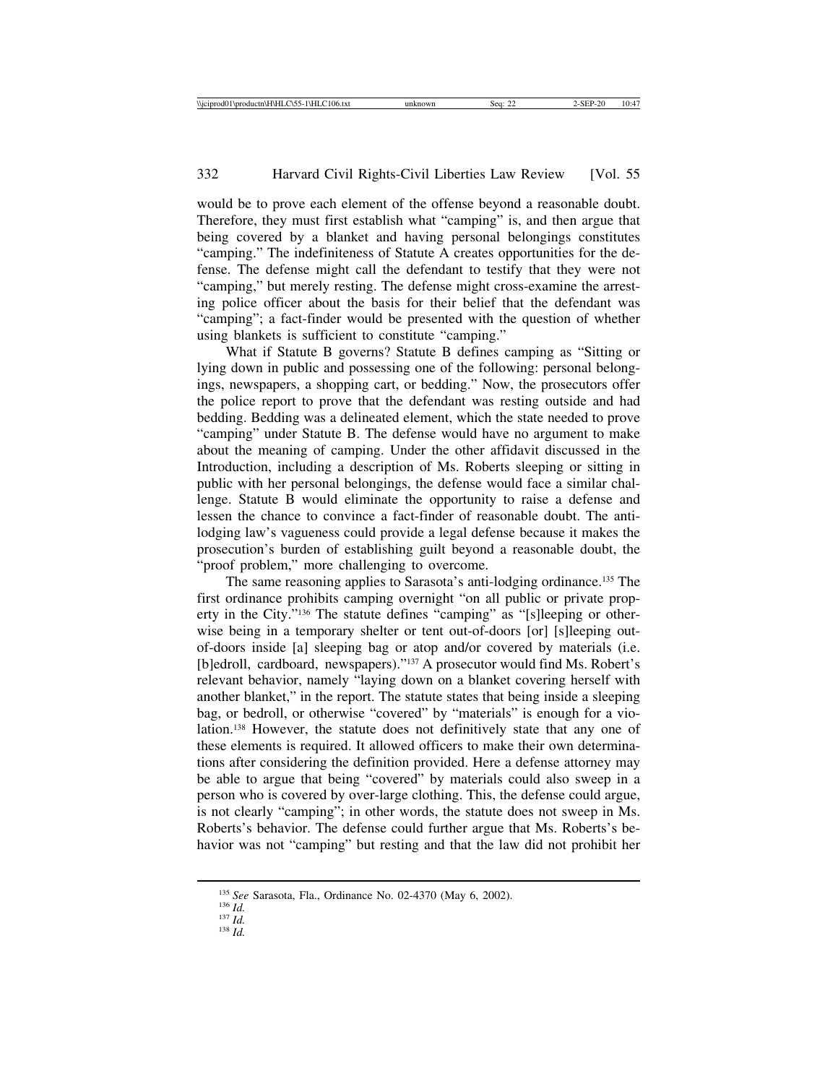would be to prove each element of the offense beyond a reasonable doubt. Therefore, they must first establish what "camping" is, and then argue that being covered by a blanket and having personal belongings constitutes "camping." The indefiniteness of Statute A creates opportunities for the defense. The defense might call the defendant to testify that they were not "camping," but merely resting. The defense might cross-examine the arresting police officer about the basis for their belief that the defendant was "camping"; a fact-finder would be presented with the question of whether using blankets is sufficient to constitute "camping."

What if Statute B governs? Statute B defines camping as "Sitting or lying down in public and possessing one of the following: personal belongings, newspapers, a shopping cart, or bedding." Now, the prosecutors offer the police report to prove that the defendant was resting outside and had bedding. Bedding was a delineated element, which the state needed to prove "camping" under Statute B. The defense would have no argument to make about the meaning of camping. Under the other affidavit discussed in the Introduction, including a description of Ms. Roberts sleeping or sitting in public with her personal belongings, the defense would face a similar challenge. Statute B would eliminate the opportunity to raise a defense and lessen the chance to convince a fact-finder of reasonable doubt. The antilodging law's vagueness could provide a legal defense because it makes the prosecution's burden of establishing guilt beyond a reasonable doubt, the "proof problem," more challenging to overcome.

The same reasoning applies to Sarasota's anti-lodging ordinance.135 The first ordinance prohibits camping overnight "on all public or private property in the City."136 The statute defines "camping" as "[s]leeping or otherwise being in a temporary shelter or tent out-of-doors [or] [s]leeping outof-doors inside [a] sleeping bag or atop and/or covered by materials (i.e. [b]edroll, cardboard, newspapers)."137 A prosecutor would find Ms. Robert's relevant behavior, namely "laying down on a blanket covering herself with another blanket," in the report. The statute states that being inside a sleeping bag, or bedroll, or otherwise "covered" by "materials" is enough for a violation.138 However, the statute does not definitively state that any one of these elements is required. It allowed officers to make their own determinations after considering the definition provided. Here a defense attorney may be able to argue that being "covered" by materials could also sweep in a person who is covered by over-large clothing. This, the defense could argue, is not clearly "camping"; in other words, the statute does not sweep in Ms. Roberts's behavior. The defense could further argue that Ms. Roberts's behavior was not "camping" but resting and that the law did not prohibit her

<sup>135</sup> *See* Sarasota, Fla., Ordinance No. 02-4370 (May 6, 2002). <sup>136</sup> *Id.* <sup>137</sup> *Id.* <sup>138</sup> *Id.*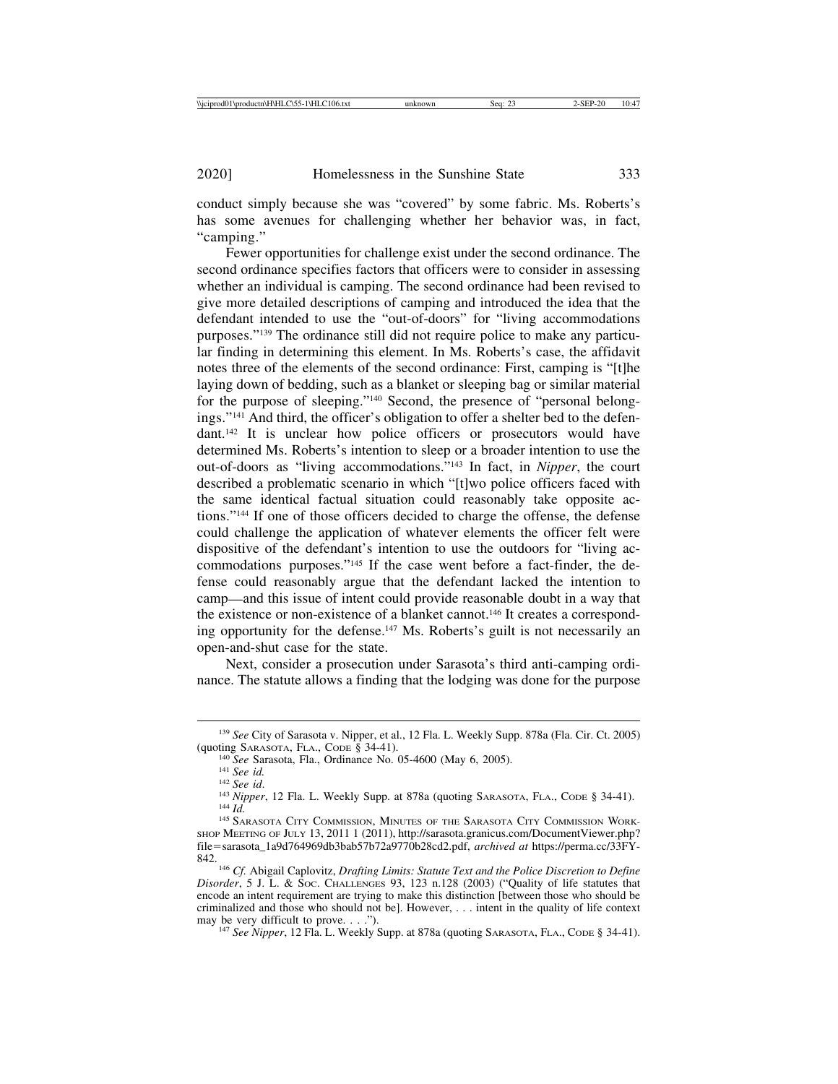conduct simply because she was "covered" by some fabric. Ms. Roberts's has some avenues for challenging whether her behavior was, in fact, "camping."

Fewer opportunities for challenge exist under the second ordinance. The second ordinance specifies factors that officers were to consider in assessing whether an individual is camping. The second ordinance had been revised to give more detailed descriptions of camping and introduced the idea that the defendant intended to use the "out-of-doors" for "living accommodations purposes."139 The ordinance still did not require police to make any particular finding in determining this element. In Ms. Roberts's case, the affidavit notes three of the elements of the second ordinance: First, camping is "[t]he laying down of bedding, such as a blanket or sleeping bag or similar material for the purpose of sleeping."140 Second, the presence of "personal belongings."141 And third, the officer's obligation to offer a shelter bed to the defendant.142 It is unclear how police officers or prosecutors would have determined Ms. Roberts's intention to sleep or a broader intention to use the out-of-doors as "living accommodations."143 In fact, in *Nipper*, the court described a problematic scenario in which "[t]wo police officers faced with the same identical factual situation could reasonably take opposite actions."144 If one of those officers decided to charge the offense, the defense could challenge the application of whatever elements the officer felt were dispositive of the defendant's intention to use the outdoors for "living accommodations purposes."145 If the case went before a fact-finder, the defense could reasonably argue that the defendant lacked the intention to camp—and this issue of intent could provide reasonable doubt in a way that the existence or non-existence of a blanket cannot.146 It creates a corresponding opportunity for the defense.147 Ms. Roberts's guilt is not necessarily an open-and-shut case for the state.

Next, consider a prosecution under Sarasota's third anti-camping ordinance. The statute allows a finding that the lodging was done for the purpose

<sup>147</sup> See Nipper, 12 Fla. L. Weekly Supp. at 878a (quoting SARASOTA, FLA., CODE § 34-41).

<sup>139</sup> *See* City of Sarasota v. Nipper, et al., 12 Fla. L. Weekly Supp. 878a (Fla. Cir. Ct. 2005)

<sup>&</sup>lt;sup>140</sup> See Sarasota, Fla., Ordinance No. 05-4600 (May 6, 2005).<br><sup>141</sup> See id.<br><sup>142</sup> See id.<br><sup>142</sup> See id.<br><sup>143</sup> Nipper, 12 Fla. L. Weekly Supp. at 878a (quoting Sarasota, Fla., Code § 34-41).<br><sup>144</sup> Id.<br><sup>144</sup> Sarasota City

SHOP MEETING OF JULY 13, 2011 1 (2011), http://sarasota.granicus.com/DocumentViewer.php? file=sarasota\_1a9d764969db3bab57b72a9770b28cd2.pdf, *archived at* https://perma.cc/33FY-842. <sup>146</sup> *Cf.* Abigail Caplovitz, *Drafting Limits: Statute Text and the Police Discretion to Define*

*Disorder*, 5 J. L. & Soc. CHALLENGES 93, 123 n.128 (2003) ("Quality of life statutes that encode an intent requirement are trying to make this distinction [between those who should be criminalized and those who should not be]. However, ... intent in the quality of life context may be very difficult to prove. . . .").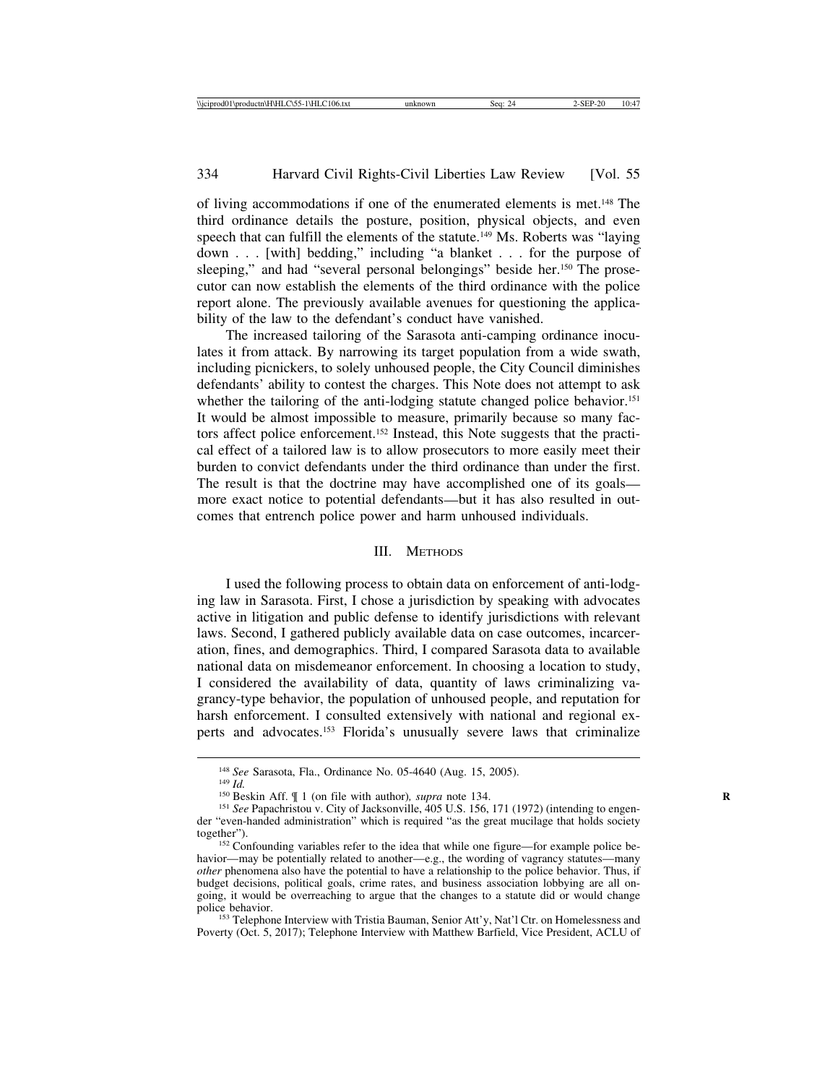of living accommodations if one of the enumerated elements is met.148 The third ordinance details the posture, position, physical objects, and even speech that can fulfill the elements of the statute.<sup>149</sup> Ms. Roberts was "laying" down . . . [with] bedding," including "a blanket . . . for the purpose of sleeping," and had "several personal belongings" beside her.<sup>150</sup> The prosecutor can now establish the elements of the third ordinance with the police report alone. The previously available avenues for questioning the applicability of the law to the defendant's conduct have vanished.

The increased tailoring of the Sarasota anti-camping ordinance inoculates it from attack. By narrowing its target population from a wide swath, including picnickers, to solely unhoused people, the City Council diminishes defendants' ability to contest the charges. This Note does not attempt to ask whether the tailoring of the anti-lodging statute changed police behavior.<sup>151</sup> It would be almost impossible to measure, primarily because so many factors affect police enforcement.152 Instead, this Note suggests that the practical effect of a tailored law is to allow prosecutors to more easily meet their burden to convict defendants under the third ordinance than under the first. The result is that the doctrine may have accomplished one of its goals more exact notice to potential defendants—but it has also resulted in outcomes that entrench police power and harm unhoused individuals.

#### III. METHODS

I used the following process to obtain data on enforcement of anti-lodging law in Sarasota. First, I chose a jurisdiction by speaking with advocates active in litigation and public defense to identify jurisdictions with relevant laws. Second, I gathered publicly available data on case outcomes, incarceration, fines, and demographics. Third, I compared Sarasota data to available national data on misdemeanor enforcement. In choosing a location to study, I considered the availability of data, quantity of laws criminalizing vagrancy-type behavior, the population of unhoused people, and reputation for harsh enforcement. I consulted extensively with national and regional experts and advocates.153 Florida's unusually severe laws that criminalize

Poverty (Oct. 5, 2017); Telephone Interview with Matthew Barfield, Vice President, ACLU of

<sup>&</sup>lt;sup>148</sup> *See* Sarasota, Fla., Ordinance No. 05-4640 (Aug. 15, 2005).<br><sup>149</sup> *Id.*<br><sup>150</sup> Beskin Aff. ¶ 1 (on file with author), *supra* note 134.<br><sup>151</sup> *See* Papachristou v. City of Jacksonville, 405 U.S. 156, 171 (1972) (int der "even-handed administration" which is required "as the great mucilage that holds society together").<br><sup>152</sup> Confounding variables refer to the idea that while one figure—for example police be-

havior—may be potentially related to another—e.g., the wording of vagrancy statutes—many *other* phenomena also have the potential to have a relationship to the police behavior. Thus, if budget decisions, political goals, crime rates, and business association lobbying are all ongoing, it would be overreaching to argue that the changes to a statute did or would change police behavior.<br><sup>153</sup> Telephone Interview with Tristia Bauman, Senior Att'y, Nat'l Ctr. on Homelessness and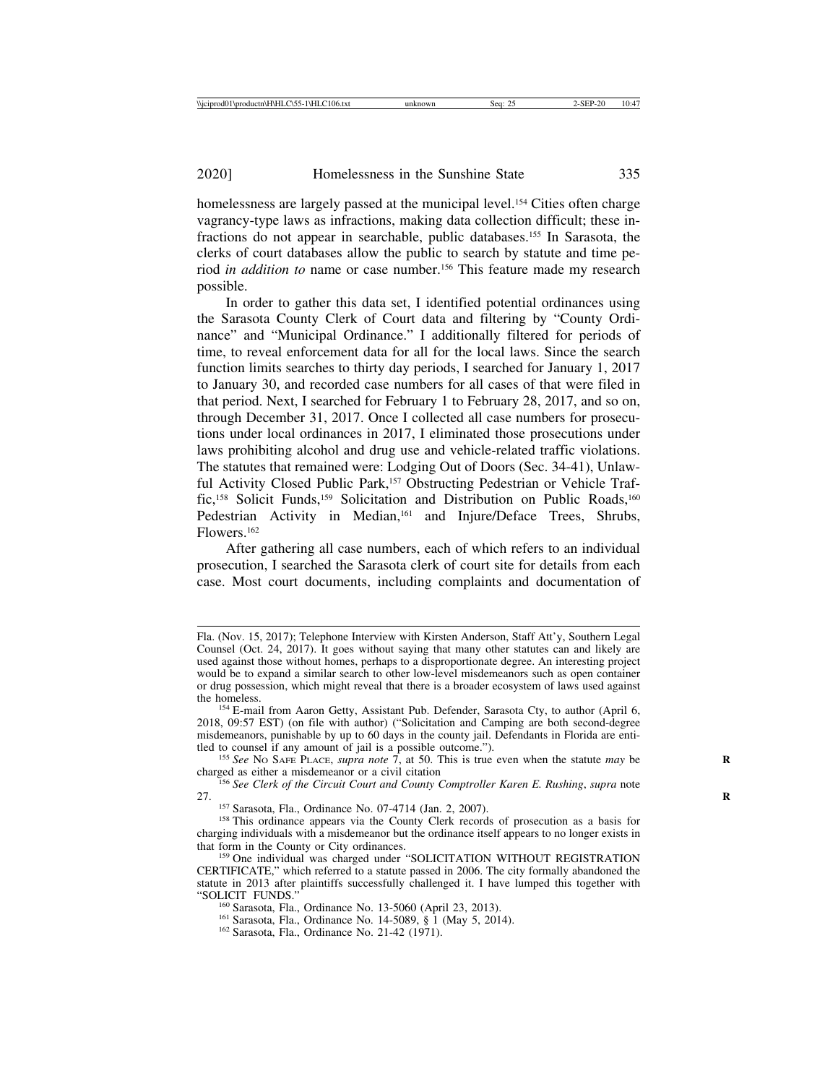homelessness are largely passed at the municipal level.<sup>154</sup> Cities often charge vagrancy-type laws as infractions, making data collection difficult; these infractions do not appear in searchable, public databases.155 In Sarasota, the clerks of court databases allow the public to search by statute and time period *in addition to* name or case number.156 This feature made my research possible.

In order to gather this data set, I identified potential ordinances using the Sarasota County Clerk of Court data and filtering by "County Ordinance" and "Municipal Ordinance." I additionally filtered for periods of time, to reveal enforcement data for all for the local laws. Since the search function limits searches to thirty day periods, I searched for January 1, 2017 to January 30, and recorded case numbers for all cases of that were filed in that period. Next, I searched for February 1 to February 28, 2017, and so on, through December 31, 2017. Once I collected all case numbers for prosecutions under local ordinances in 2017, I eliminated those prosecutions under laws prohibiting alcohol and drug use and vehicle-related traffic violations. The statutes that remained were: Lodging Out of Doors (Sec. 34-41), Unlawful Activity Closed Public Park,<sup>157</sup> Obstructing Pedestrian or Vehicle Traffic,<sup>158</sup> Solicit Funds,<sup>159</sup> Solicitation and Distribution on Public Roads,<sup>160</sup> Pedestrian Activity in Median,<sup>161</sup> and Injure/Deface Trees, Shrubs, Flowers.162

After gathering all case numbers, each of which refers to an individual prosecution, I searched the Sarasota clerk of court site for details from each case. Most court documents, including complaints and documentation of

Fla. (Nov. 15, 2017); Telephone Interview with Kirsten Anderson, Staff Att'y, Southern Legal Counsel (Oct. 24, 2017). It goes without saying that many other statutes can and likely are used against those without homes, perhaps to a disproportionate degree. An interesting project would be to expand a similar search to other low-level misdemeanors such as open container or drug possession, which might reveal that there is a broader ecosystem of laws used against

<sup>&</sup>lt;sup>154</sup> E-mail from Aaron Getty, Assistant Pub. Defender, Sarasota Cty, to author (April 6, 2018, 09:57 EST) (on file with author) ("Solicitation and Camping are both second-degree misdemeanors, punishable by up to 60 days in the county jail. Defendants in Florida are enti-<br>tled to counsel if any amount of jail is a possible outcome.").

<sup>&</sup>lt;sup>155</sup> *See* No SAFE PLACE, *supra note* 7, at 50. This is true even when the statute *may* be charged as either a misdemeanor or a civil citation

<sup>&</sup>lt;sup>156</sup> See Clerk of the Circuit Court and County Comptroller Karen E. Rushing, *supra* note 27.

<sup>&</sup>lt;sup>157</sup> Sarasota, Fla., Ordinance No. 07-4714 (Jan. 2, 2007). <sup>158</sup> This ordinance appears via the County Clerk records of prosecution as a basis for charging individuals with a misdemeanor but the ordinance itself appears to no longer exists in

<sup>&</sup>lt;sup>159</sup> One individual was charged under "SOLICITATION WITHOUT REGISTRATION CERTIFICATE," which referred to a statute passed in 2006. The city formally abandoned the statute in 2013 after plaintiffs successfully challenged it. I have lumped this together with "SOLICIT FUNDS."

<sup>&</sup>lt;sup>160</sup> Sarasota, Fla., Ordinance No. 13-5060 (April 23, 2013).<br><sup>161</sup> Sarasota, Fla., Ordinance No. 14-5089, § 1 (May 5, 2014).<br><sup>162</sup> Sarasota, Fla., Ordinance No. 21-42 (1971).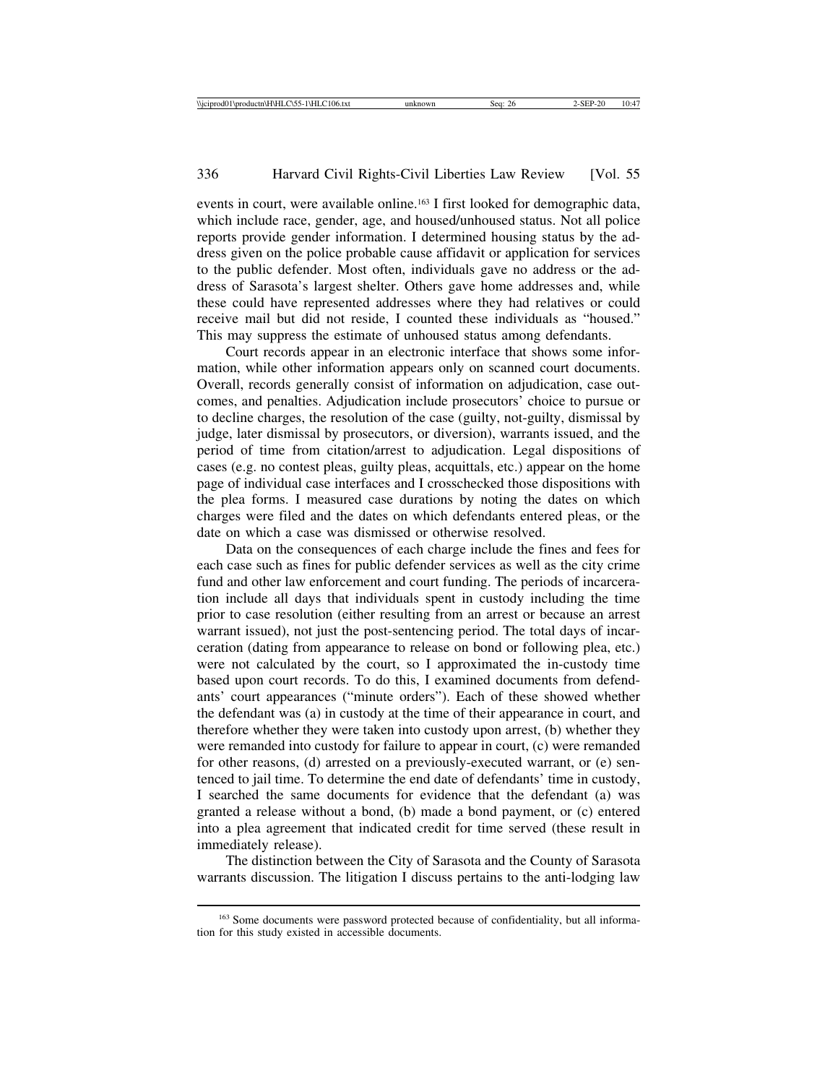events in court, were available online.163 I first looked for demographic data, which include race, gender, age, and housed/unhoused status. Not all police reports provide gender information. I determined housing status by the address given on the police probable cause affidavit or application for services to the public defender. Most often, individuals gave no address or the address of Sarasota's largest shelter. Others gave home addresses and, while these could have represented addresses where they had relatives or could receive mail but did not reside, I counted these individuals as "housed." This may suppress the estimate of unhoused status among defendants.

Court records appear in an electronic interface that shows some information, while other information appears only on scanned court documents. Overall, records generally consist of information on adjudication, case outcomes, and penalties. Adjudication include prosecutors' choice to pursue or to decline charges, the resolution of the case (guilty, not-guilty, dismissal by judge, later dismissal by prosecutors, or diversion), warrants issued, and the period of time from citation/arrest to adjudication. Legal dispositions of cases (e.g. no contest pleas, guilty pleas, acquittals, etc.) appear on the home page of individual case interfaces and I crosschecked those dispositions with the plea forms. I measured case durations by noting the dates on which charges were filed and the dates on which defendants entered pleas, or the date on which a case was dismissed or otherwise resolved.

Data on the consequences of each charge include the fines and fees for each case such as fines for public defender services as well as the city crime fund and other law enforcement and court funding. The periods of incarceration include all days that individuals spent in custody including the time prior to case resolution (either resulting from an arrest or because an arrest warrant issued), not just the post-sentencing period. The total days of incarceration (dating from appearance to release on bond or following plea, etc.) were not calculated by the court, so I approximated the in-custody time based upon court records. To do this, I examined documents from defendants' court appearances ("minute orders"). Each of these showed whether the defendant was (a) in custody at the time of their appearance in court, and therefore whether they were taken into custody upon arrest, (b) whether they were remanded into custody for failure to appear in court, (c) were remanded for other reasons, (d) arrested on a previously-executed warrant, or (e) sentenced to jail time. To determine the end date of defendants' time in custody, I searched the same documents for evidence that the defendant (a) was granted a release without a bond, (b) made a bond payment, or (c) entered into a plea agreement that indicated credit for time served (these result in immediately release).

The distinction between the City of Sarasota and the County of Sarasota warrants discussion. The litigation I discuss pertains to the anti-lodging law

<sup>&</sup>lt;sup>163</sup> Some documents were password protected because of confidentiality, but all information for this study existed in accessible documents.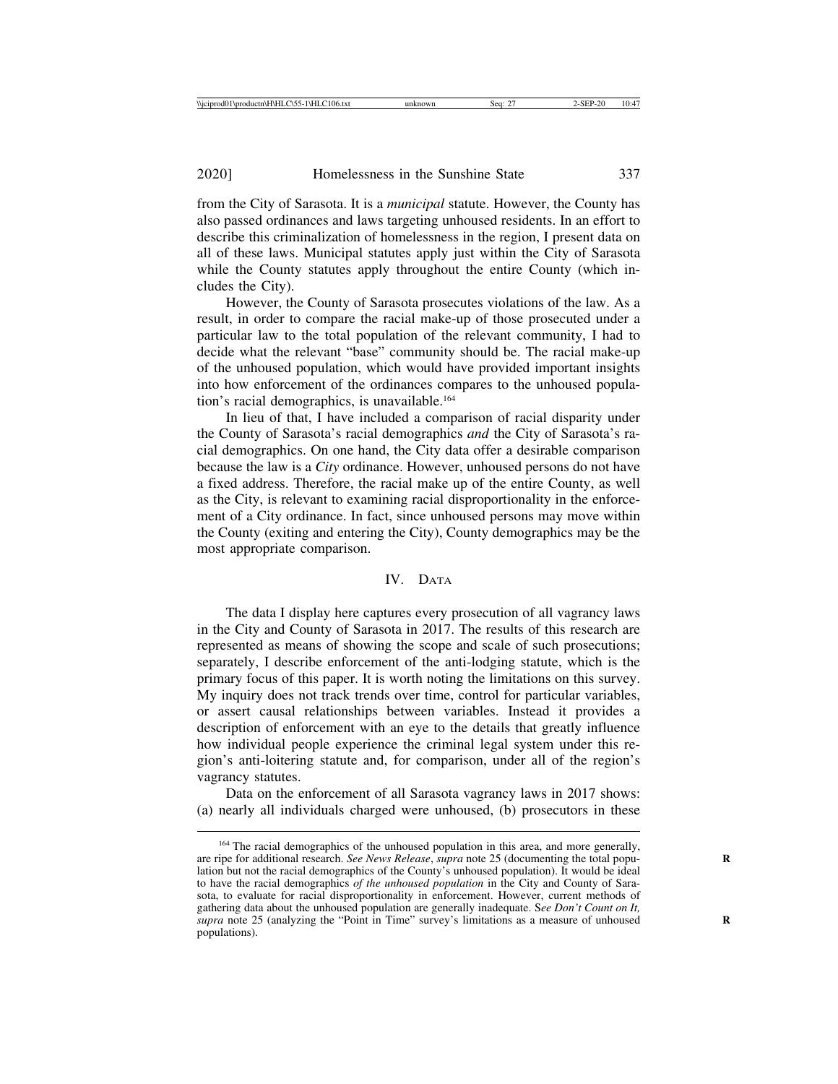from the City of Sarasota. It is a *municipal* statute. However, the County has also passed ordinances and laws targeting unhoused residents. In an effort to describe this criminalization of homelessness in the region, I present data on all of these laws. Municipal statutes apply just within the City of Sarasota while the County statutes apply throughout the entire County (which includes the City).

However, the County of Sarasota prosecutes violations of the law. As a result, in order to compare the racial make-up of those prosecuted under a particular law to the total population of the relevant community, I had to decide what the relevant "base" community should be. The racial make-up of the unhoused population, which would have provided important insights into how enforcement of the ordinances compares to the unhoused population's racial demographics, is unavailable.<sup>164</sup>

In lieu of that, I have included a comparison of racial disparity under the County of Sarasota's racial demographics *and* the City of Sarasota's racial demographics. On one hand, the City data offer a desirable comparison because the law is a *City* ordinance. However, unhoused persons do not have a fixed address. Therefore, the racial make up of the entire County, as well as the City, is relevant to examining racial disproportionality in the enforcement of a City ordinance. In fact, since unhoused persons may move within the County (exiting and entering the City), County demographics may be the most appropriate comparison.

## IV. DATA

The data I display here captures every prosecution of all vagrancy laws in the City and County of Sarasota in 2017. The results of this research are represented as means of showing the scope and scale of such prosecutions; separately, I describe enforcement of the anti-lodging statute, which is the primary focus of this paper. It is worth noting the limitations on this survey. My inquiry does not track trends over time, control for particular variables, or assert causal relationships between variables. Instead it provides a description of enforcement with an eye to the details that greatly influence how individual people experience the criminal legal system under this region's anti-loitering statute and, for comparison, under all of the region's vagrancy statutes.

Data on the enforcement of all Sarasota vagrancy laws in 2017 shows: (a) nearly all individuals charged were unhoused, (b) prosecutors in these

<sup>&</sup>lt;sup>164</sup> The racial demographics of the unhoused population in this area, and more generally, are ripe for additional research. *See News Release*, *supra* note 25 (documenting the total population but not the racial demographics of the County's unhoused population). It would be ideal to have the racial demographics *of the unhoused population* in the City and County of Sarasota, to evaluate for racial disproportionality in enforcement. However, current methods of gathering data about the unhoused population are generally inadequate. S*ee Don't Count on It, supra* note 25 (analyzing the "Point in Time" survey's limitations as a measure of unhoused populations).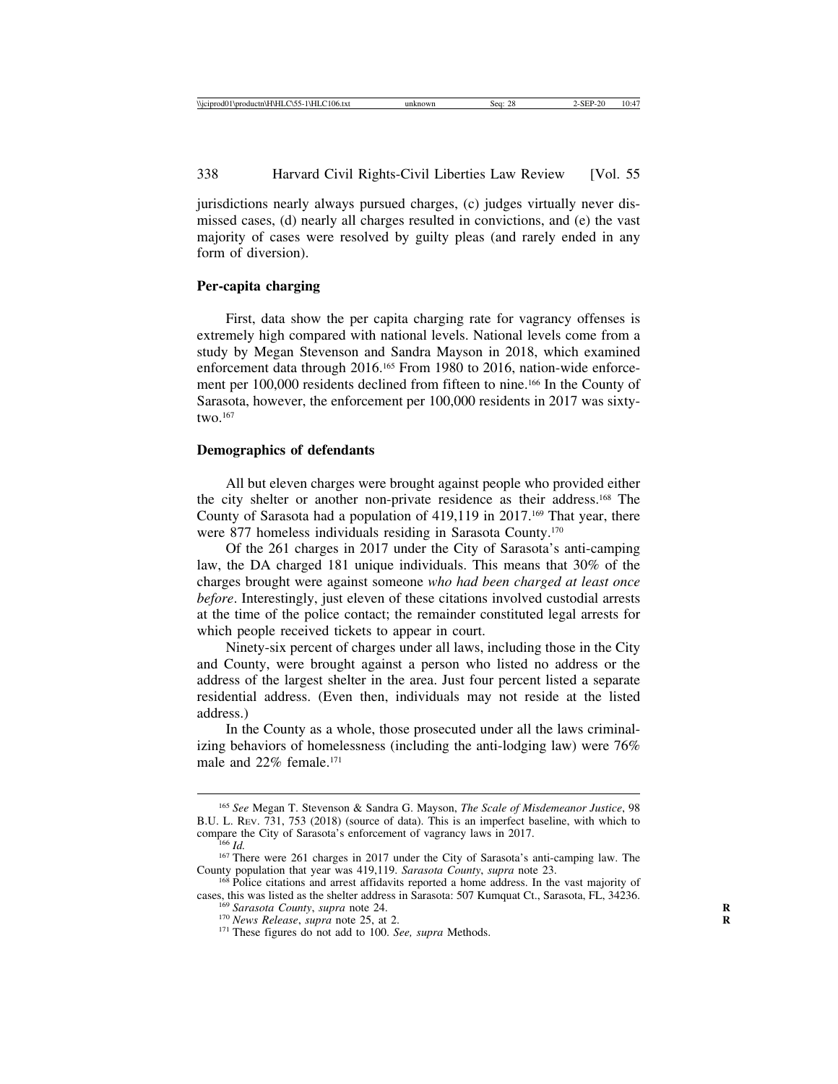jurisdictions nearly always pursued charges, (c) judges virtually never dismissed cases, (d) nearly all charges resulted in convictions, and (e) the vast majority of cases were resolved by guilty pleas (and rarely ended in any form of diversion).

## **Per-capita charging**

First, data show the per capita charging rate for vagrancy offenses is extremely high compared with national levels. National levels come from a study by Megan Stevenson and Sandra Mayson in 2018, which examined enforcement data through 2016.<sup>165</sup> From 1980 to 2016, nation-wide enforcement per 100,000 residents declined from fifteen to nine.166 In the County of Sarasota, however, the enforcement per 100,000 residents in 2017 was sixtytwo. $167$ 

#### **Demographics of defendants**

All but eleven charges were brought against people who provided either the city shelter or another non-private residence as their address.168 The County of Sarasota had a population of 419,119 in 2017.<sup>169</sup> That year, there were 877 homeless individuals residing in Sarasota County.170

Of the 261 charges in 2017 under the City of Sarasota's anti-camping law, the DA charged 181 unique individuals. This means that 30% of the charges brought were against someone *who had been charged at least once before*. Interestingly, just eleven of these citations involved custodial arrests at the time of the police contact; the remainder constituted legal arrests for which people received tickets to appear in court.

Ninety-six percent of charges under all laws, including those in the City and County, were brought against a person who listed no address or the address of the largest shelter in the area. Just four percent listed a separate residential address. (Even then, individuals may not reside at the listed address.)

In the County as a whole, those prosecuted under all the laws criminalizing behaviors of homelessness (including the anti-lodging law) were 76% male and 22% female.171

<sup>165</sup> *See* Megan T. Stevenson & Sandra G. Mayson, *The Scale of Misdemeanor Justice*, 98 B.U. L. REV. 731, 753 (2018) (source of data). This is an imperfect baseline, with which to compare the City of Sarasota's enforcement of vagrancy laws in 2017.

compare the City of Sarasota's enforcement of vagrancy laws in 2017. <sup>166</sup> *Id.* <sup>167</sup> There were 261 charges in 2017 under the City of Sarasota's anti-camping law. The County population that year was 419,119. *Sarasota County*, *supra* note 23.<br><sup>168</sup> Police citations and arrest affidavits reported a home address. In the vast majority of

cases, this was listed as the shelter address in Sarasota: 507 Kumquat Ct., Sarasota, FL, 34236.<br><sup>169</sup> Sarasota County, supra note 24.<br><sup>170</sup> News Release, supra note 25, at 2.<br><sup>171</sup> These figures do not add to 100. See, s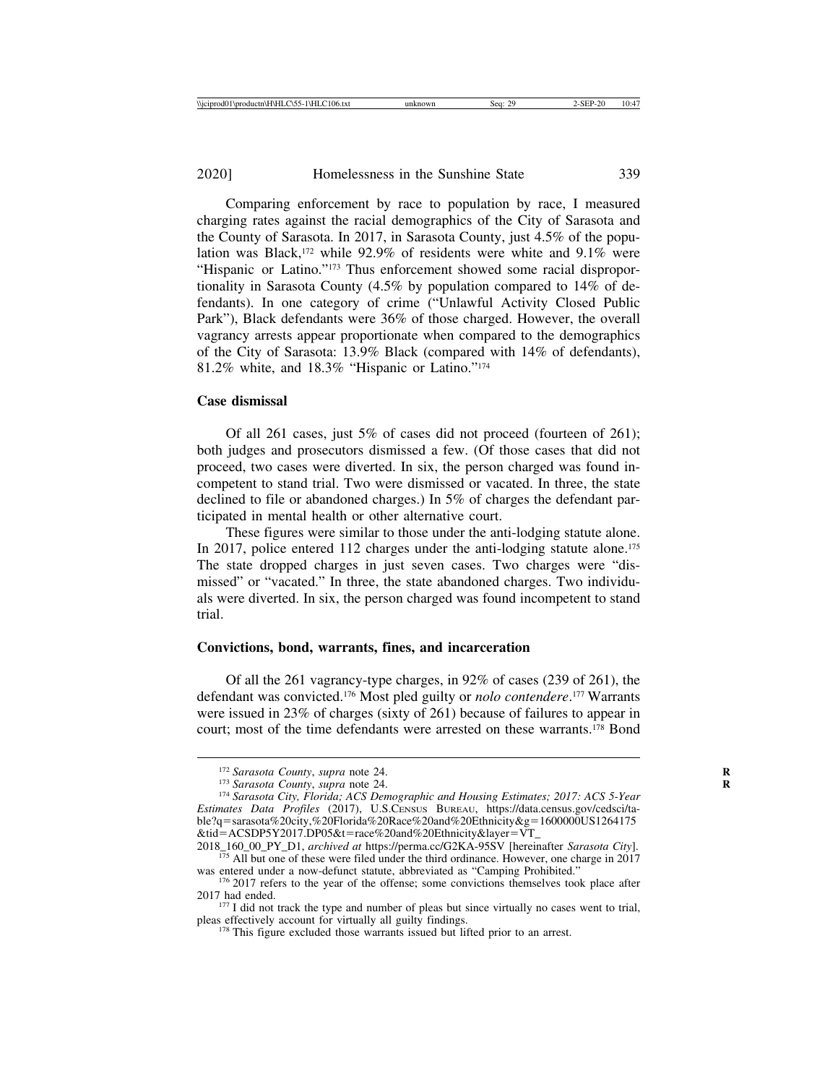Comparing enforcement by race to population by race, I measured charging rates against the racial demographics of the City of Sarasota and the County of Sarasota. In 2017, in Sarasota County, just 4.5% of the population was Black,<sup>172</sup> while 92.9% of residents were white and 9.1% were "Hispanic or Latino."173 Thus enforcement showed some racial disproportionality in Sarasota County (4.5% by population compared to 14% of defendants). In one category of crime ("Unlawful Activity Closed Public Park"), Black defendants were 36% of those charged. However, the overall vagrancy arrests appear proportionate when compared to the demographics of the City of Sarasota: 13.9% Black (compared with 14% of defendants), 81.2% white, and 18.3% "Hispanic or Latino."174

# **Case dismissal**

Of all 261 cases, just 5% of cases did not proceed (fourteen of 261); both judges and prosecutors dismissed a few. (Of those cases that did not proceed, two cases were diverted. In six, the person charged was found incompetent to stand trial. Two were dismissed or vacated. In three, the state declined to file or abandoned charges.) In 5% of charges the defendant participated in mental health or other alternative court.

These figures were similar to those under the anti-lodging statute alone. In 2017, police entered 112 charges under the anti-lodging statute alone.<sup>175</sup> The state dropped charges in just seven cases. Two charges were "dismissed" or "vacated." In three, the state abandoned charges. Two individuals were diverted. In six, the person charged was found incompetent to stand trial.

# **Convictions, bond, warrants, fines, and incarceration**

Of all the 261 vagrancy-type charges, in 92% of cases (239 of 261), the defendant was convicted.176 Most pled guilty or *nolo contendere*. 177 Warrants were issued in 23% of charges (sixty of 261) because of failures to appear in court; most of the time defendants were arrested on these warrants.178 Bond

<sup>&</sup>lt;sup>172</sup> Sarasota County, *supra* note 24.<br><sup>173</sup> Sarasota County, *supra* note 24.<br><sup>174</sup> Sarasota City, Florida; ACS Demographic and Housing Estimates; 2017: ACS 5-Year *Estimates Data Profiles* (2017), U.S.CENSUS BUREAU, https://data.census.gov/cedsci/table?q=sarasota%20city,%20Florida%20Race%20and%20Ethnicity&g=1600000US1264175 &tid=ACSDP5Y2017.DP05&t=race%20and%20Ethnicity&layer=VT\_<br>2018\_160\_00\_PY\_D1, archived at https://perma.cc/G2KA-95SV [hereinafter *Sarasota City*].

<sup>&</sup>lt;sup>175</sup> All but one of these were filed under the third ordinance. However, one charge in 2017 was entered under a now-defunct statute, abbreviated as "Camping Prohibited."

 $176$  2017 refers to the year of the offense; some convictions themselves took place after 2017 had ended.

 $177$  I did not track the type and number of pleas but since virtually no cases went to trial, pleas effectively account for virtually all guilty findings.

 $178$  This figure excluded those warrants issued but lifted prior to an arrest.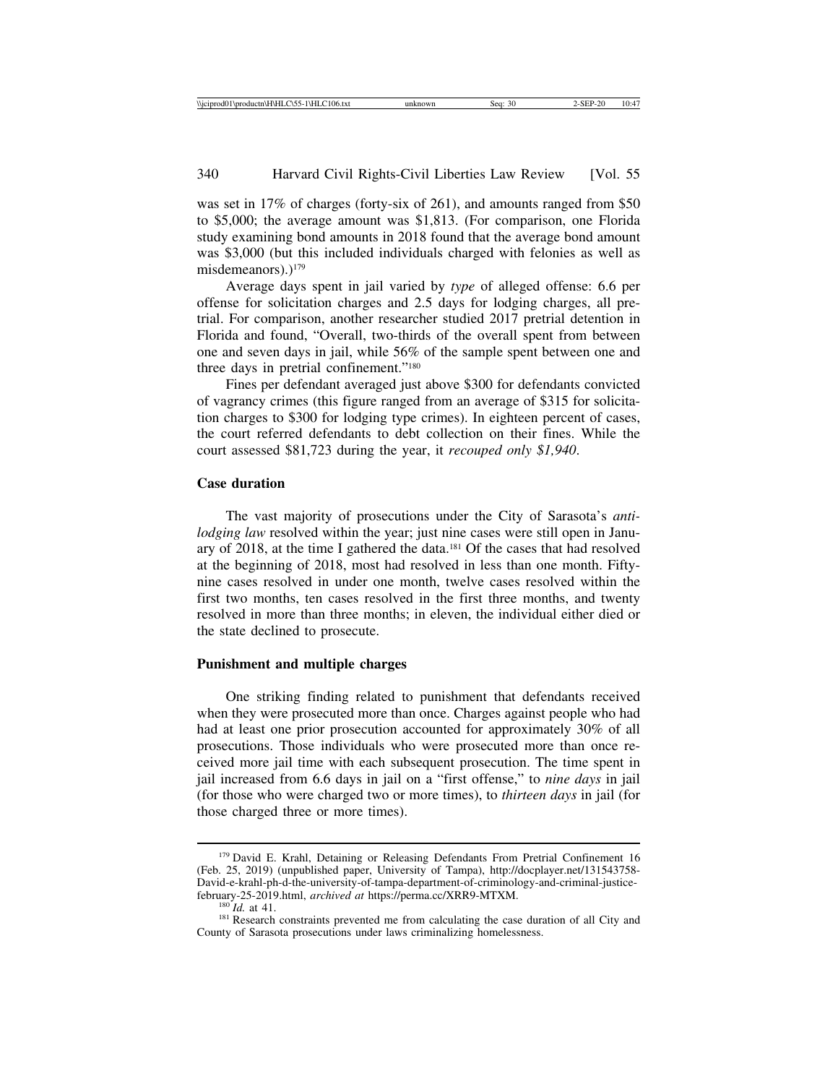was set in 17% of charges (forty-six of 261), and amounts ranged from \$50 to \$5,000; the average amount was \$1,813. (For comparison, one Florida study examining bond amounts in 2018 found that the average bond amount was \$3,000 (but this included individuals charged with felonies as well as misdemeanors).)<sup>179</sup>

Average days spent in jail varied by *type* of alleged offense: 6.6 per offense for solicitation charges and 2.5 days for lodging charges, all pretrial. For comparison, another researcher studied 2017 pretrial detention in Florida and found, "Overall, two-thirds of the overall spent from between one and seven days in jail, while 56% of the sample spent between one and three days in pretrial confinement."180

Fines per defendant averaged just above \$300 for defendants convicted of vagrancy crimes (this figure ranged from an average of \$315 for solicitation charges to \$300 for lodging type crimes). In eighteen percent of cases, the court referred defendants to debt collection on their fines. While the court assessed \$81,723 during the year, it *recouped only \$1,940*.

# **Case duration**

The vast majority of prosecutions under the City of Sarasota's *antilodging law* resolved within the year; just nine cases were still open in January of 2018, at the time I gathered the data.181 Of the cases that had resolved at the beginning of 2018, most had resolved in less than one month. Fiftynine cases resolved in under one month, twelve cases resolved within the first two months, ten cases resolved in the first three months, and twenty resolved in more than three months; in eleven, the individual either died or the state declined to prosecute.

#### **Punishment and multiple charges**

One striking finding related to punishment that defendants received when they were prosecuted more than once. Charges against people who had had at least one prior prosecution accounted for approximately 30% of all prosecutions. Those individuals who were prosecuted more than once received more jail time with each subsequent prosecution. The time spent in jail increased from 6.6 days in jail on a "first offense," to *nine days* in jail (for those who were charged two or more times), to *thirteen days* in jail (for those charged three or more times).

<sup>&</sup>lt;sup>179</sup> David E. Krahl, Detaining or Releasing Defendants From Pretrial Confinement 16 (Feb. 25, 2019) (unpublished paper, University of Tampa), http://docplayer.net/131543758- David-e-krahl-ph-d-the-university-of-tampa-department-of-criminology-and-criminal-justice-february-25-2019.html, archived at https://perma.cc/XRR9-MTXM.

<sup>&</sup>lt;sup>180</sup>*Id.* at 41.<br><sup>181</sup> Research constraints prevented me from calculating the case duration of all City and County of Sarasota prosecutions under laws criminalizing homelessness.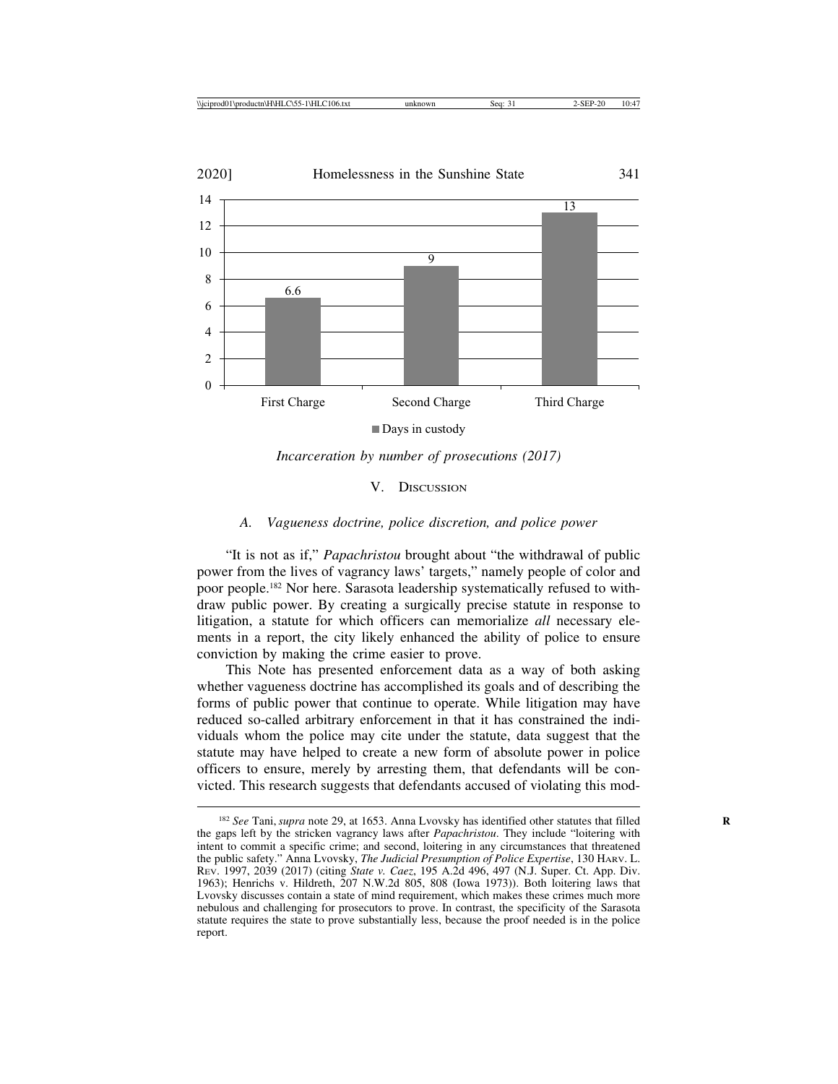

*Incarceration by number of prosecutions (2017)*

V. DISCUSSION

### *A. Vagueness doctrine, police discretion, and police power*

"It is not as if," *Papachristou* brought about "the withdrawal of public power from the lives of vagrancy laws' targets," namely people of color and poor people.182 Nor here. Sarasota leadership systematically refused to withdraw public power. By creating a surgically precise statute in response to litigation, a statute for which officers can memorialize *all* necessary elements in a report, the city likely enhanced the ability of police to ensure conviction by making the crime easier to prove.

This Note has presented enforcement data as a way of both asking whether vagueness doctrine has accomplished its goals and of describing the forms of public power that continue to operate. While litigation may have reduced so-called arbitrary enforcement in that it has constrained the individuals whom the police may cite under the statute, data suggest that the statute may have helped to create a new form of absolute power in police officers to ensure, merely by arresting them, that defendants will be convicted. This research suggests that defendants accused of violating this mod-

<sup>&</sup>lt;sup>182</sup> See Tani, *supra* note 29, at 1653. Anna Lvovsky has identified other statutes that filled the gaps left by the stricken vagrancy laws after *Papachristou*. They include "loitering with intent to commit a specific crime; and second, loitering in any circumstances that threatened the public safety." Anna Lvovsky, *The Judicial Presumption of Police Expertise*, 130 HARV. L. REV. 1997, 2039 (2017) (citing *State v. Caez*, 195 A.2d 496, 497 (N.J. Super. Ct. App. Div. 1963); Henrichs v. Hildreth, 207 N.W.2d 805, 808 (Iowa 1973)). Both loitering laws that Lvovsky discusses contain a state of mind requirement, which makes these crimes much more nebulous and challenging for prosecutors to prove. In contrast, the specificity of the Sarasota statute requires the state to prove substantially less, because the proof needed is in the police report.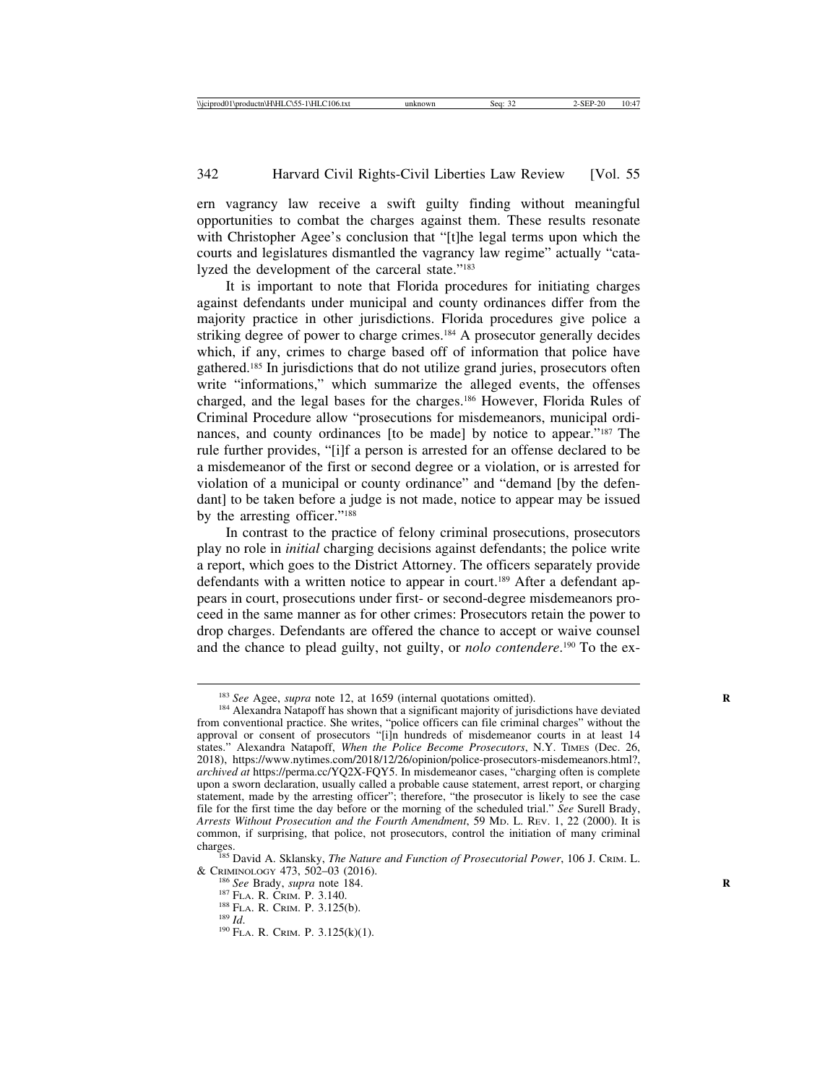ern vagrancy law receive a swift guilty finding without meaningful opportunities to combat the charges against them. These results resonate with Christopher Agee's conclusion that "[t]he legal terms upon which the courts and legislatures dismantled the vagrancy law regime" actually "catalyzed the development of the carceral state."183

It is important to note that Florida procedures for initiating charges against defendants under municipal and county ordinances differ from the majority practice in other jurisdictions. Florida procedures give police a striking degree of power to charge crimes.184 A prosecutor generally decides which, if any, crimes to charge based off of information that police have gathered.185 In jurisdictions that do not utilize grand juries, prosecutors often write "informations," which summarize the alleged events, the offenses charged, and the legal bases for the charges.186 However, Florida Rules of Criminal Procedure allow "prosecutions for misdemeanors, municipal ordinances, and county ordinances [to be made] by notice to appear."187 The rule further provides, "[i]f a person is arrested for an offense declared to be a misdemeanor of the first or second degree or a violation, or is arrested for violation of a municipal or county ordinance" and "demand [by the defendant] to be taken before a judge is not made, notice to appear may be issued by the arresting officer."188

In contrast to the practice of felony criminal prosecutions, prosecutors play no role in *initial* charging decisions against defendants; the police write a report, which goes to the District Attorney. The officers separately provide defendants with a written notice to appear in court.<sup>189</sup> After a defendant appears in court, prosecutions under first- or second-degree misdemeanors proceed in the same manner as for other crimes: Prosecutors retain the power to drop charges. Defendants are offered the chance to accept or waive counsel and the chance to plead guilty, not guilty, or *nolo contendere*. 190 To the ex-

<sup>&</sup>lt;sup>183</sup> *See* Agee, *supra* note 12, at 1659 (internal quotations omitted).<br><sup>184</sup> Alexandra Natapoff has shown that a significant majority of jurisdictions have deviated from conventional practice. She writes, "police officers can file criminal charges" without the approval or consent of prosecutors "[i]n hundreds of misdemeanor courts in at least 14 states." Alexandra Natapoff, When the Police Become Prosecutors, N.Y. TIMES (Dec. 26, 2018), https://www.nytimes.com/2018/12/26/opinion/police-prosecutors-misdemeanors.html?, *archived at* https://perma.cc/YQ2X-FQY5. In misdemeanor cases, "charging often is complete upon a sworn declaration, usually called a probable cause statement, arrest report, or charging statement, made by the arresting officer"; therefore, "the prosecutor is likely to see the case file for the first time the day before or the morning of the scheduled trial." *See* Surell Brady, *Arrests Without Prosecution and the Fourth Amendment*, 59 MD. L. REV. 1, 22 (2000). It is common, if surprising, that police, not prosecutors, control the initiation of many criminal

charges.<br><sup>185</sup> David A. Sklansky, *The Nature and Function of Prosecutorial Power*, 106 J. CRIM. L.<br>& CRIMINOLOGY 473, 502–03 (2016). & CRIMINOLOGY 473, 502–03 (2016).<br><sup>186</sup> *See* Brady, *supra* note 184.<br><sup>187</sup> FLA. R. CRIM. P. 3.140.<br><sup>188</sup> FLA. R. CRIM. P. 3.125(b). <sup>189</sup> *Id.* <sup>190</sup> FLA. R. CRIM. P. 3.125(k)(1).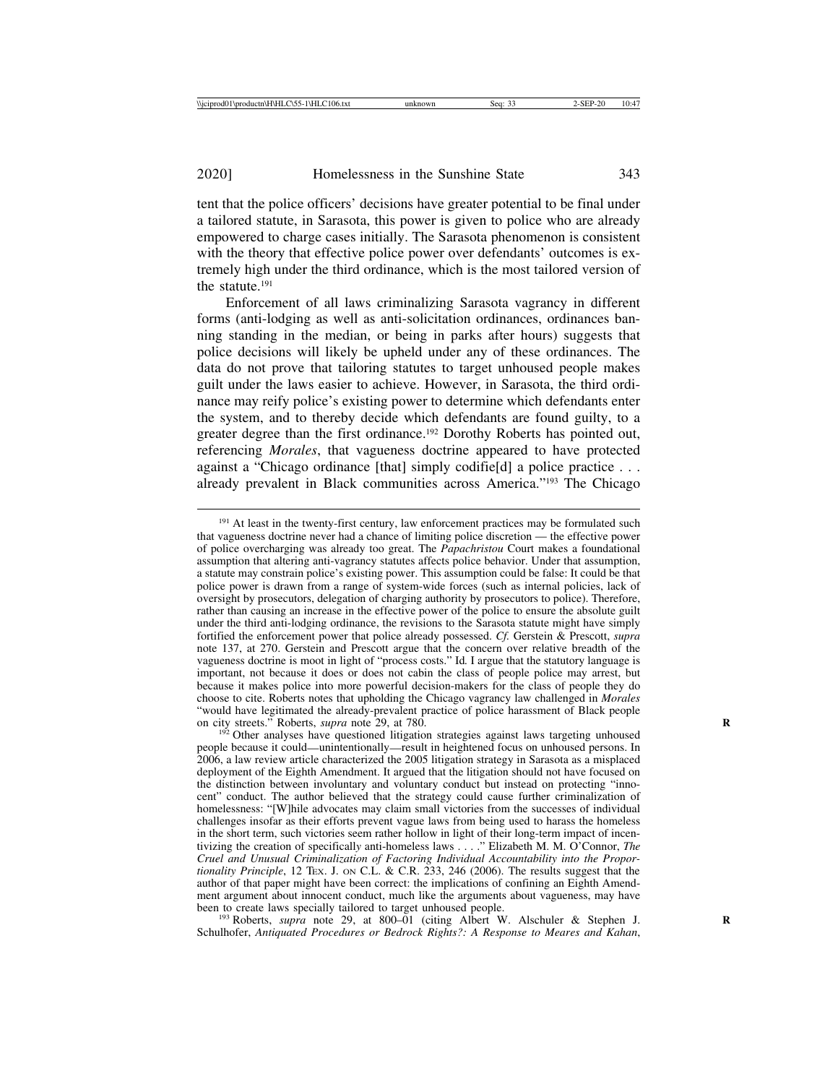tent that the police officers' decisions have greater potential to be final under a tailored statute, in Sarasota, this power is given to police who are already empowered to charge cases initially. The Sarasota phenomenon is consistent with the theory that effective police power over defendants' outcomes is extremely high under the third ordinance, which is the most tailored version of the statute.191

Enforcement of all laws criminalizing Sarasota vagrancy in different forms (anti-lodging as well as anti-solicitation ordinances, ordinances banning standing in the median, or being in parks after hours) suggests that police decisions will likely be upheld under any of these ordinances. The data do not prove that tailoring statutes to target unhoused people makes guilt under the laws easier to achieve. However, in Sarasota, the third ordinance may reify police's existing power to determine which defendants enter the system, and to thereby decide which defendants are found guilty, to a greater degree than the first ordinance.192 Dorothy Roberts has pointed out, referencing *Morales*, that vagueness doctrine appeared to have protected against a "Chicago ordinance [that] simply codifie[d] a police practice . . . already prevalent in Black communities across America."193 The Chicago

<sup>193</sup> Roberts, *supra* note 29, at 800–01 (citing Albert W. Alschuler & Stephen J. Schulhofer, *Antiquated Procedures or Bedrock Rights?: A Response to Meares and Kahan*,

<sup>&</sup>lt;sup>191</sup> At least in the twenty-first century, law enforcement practices may be formulated such that vagueness doctrine never had a chance of limiting police discretion — the effective power of police overcharging was already too great. The *Papachristou* Court makes a foundational assumption that altering anti-vagrancy statutes affects police behavior. Under that assumption, a statute may constrain police's existing power. This assumption could be false: It could be that police power is drawn from a range of system-wide forces (such as internal policies, lack of oversight by prosecutors, delegation of charging authority by prosecutors to police). Therefore, rather than causing an increase in the effective power of the police to ensure the absolute guilt under the third anti-lodging ordinance, the revisions to the Sarasota statute might have simply fortified the enforcement power that police already possessed. *Cf.* Gerstein & Prescott, *supra* note 137, at 270. Gerstein and Prescott argue that the concern over relative breadth of the vagueness doctrine is moot in light of "process costs." Id*.* I argue that the statutory language is important, not because it does or does not cabin the class of people police may arrest, but because it makes police into more powerful decision-makers for the class of people they do choose to cite. Roberts notes that upholding the Chicago vagrancy law challenged in *Morales* "would have legitimated the already-prevalent practice of police harassment of Black people on city streets." Roberts, *supra* note 29, at 780.<br><sup>192</sup> Other analyses have questioned litigation strategies against laws targeting unhoused

people because it could—unintentionally—result in heightened focus on unhoused persons. In 2006, a law review article characterized the 2005 litigation strategy in Sarasota as a misplaced deployment of the Eighth Amendment. It argued that the litigation should not have focused on the distinction between involuntary and voluntary conduct but instead on protecting "innocent" conduct. The author believed that the strategy could cause further criminalization of homelessness: "[W]hile advocates may claim small victories from the successes of individual challenges insofar as their efforts prevent vague laws from being used to harass the homeless in the short term, such victories seem rather hollow in light of their long-term impact of incentivizing the creation of specificall*y* anti-homeless laws . . . ." Elizabeth M. M. O'Connor, *The Cruel and Unusual Criminalization of Factoring Individual Accountability into the Proportionality Principle*, 12 TEX. J. ON C.L. & C.R. 233, 246 (2006). The results suggest that the author of that paper might have been correct: the implications of confining an Eighth Amendment argument about innocent conduct, much like the arguments about vagueness, may have been to create laws specially tailored to target unhoused people.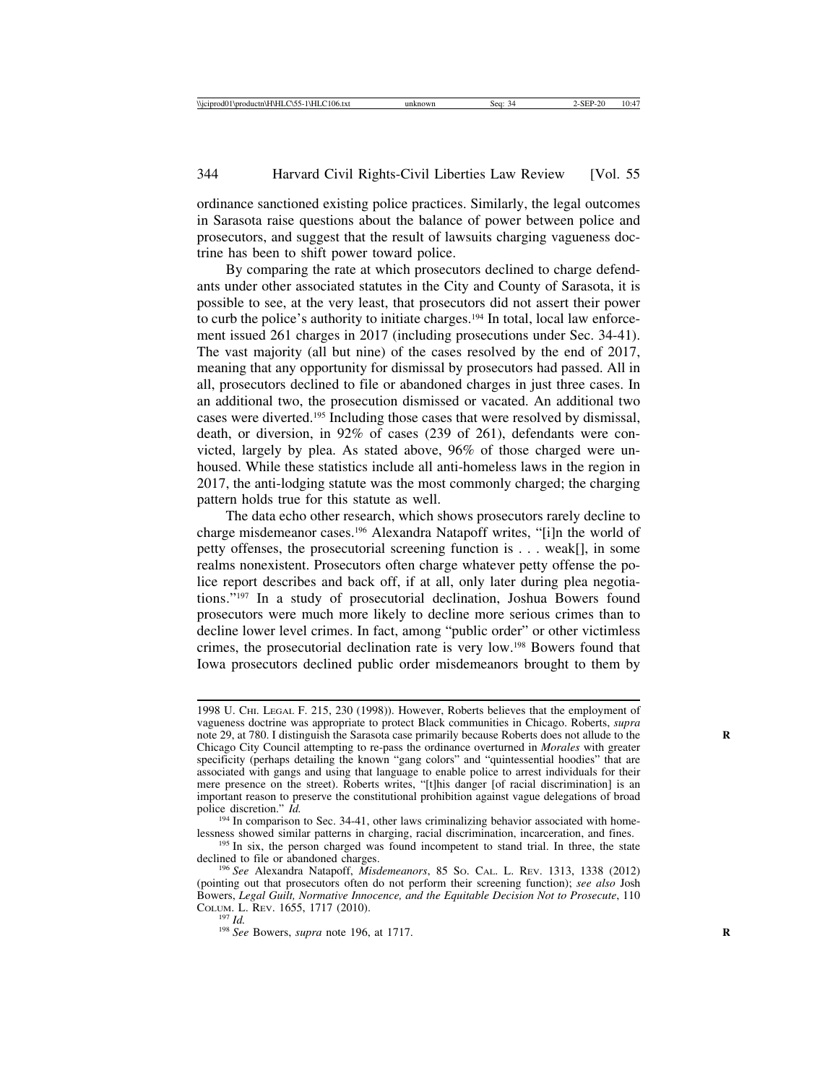ordinance sanctioned existing police practices. Similarly, the legal outcomes in Sarasota raise questions about the balance of power between police and prosecutors, and suggest that the result of lawsuits charging vagueness doctrine has been to shift power toward police.

By comparing the rate at which prosecutors declined to charge defendants under other associated statutes in the City and County of Sarasota, it is possible to see, at the very least, that prosecutors did not assert their power to curb the police's authority to initiate charges.<sup>194</sup> In total, local law enforcement issued 261 charges in 2017 (including prosecutions under Sec. 34-41). The vast majority (all but nine) of the cases resolved by the end of 2017, meaning that any opportunity for dismissal by prosecutors had passed. All in all, prosecutors declined to file or abandoned charges in just three cases. In an additional two, the prosecution dismissed or vacated. An additional two cases were diverted.195 Including those cases that were resolved by dismissal, death, or diversion, in 92% of cases (239 of 261), defendants were convicted, largely by plea. As stated above, 96% of those charged were unhoused. While these statistics include all anti-homeless laws in the region in 2017, the anti-lodging statute was the most commonly charged; the charging pattern holds true for this statute as well.

The data echo other research, which shows prosecutors rarely decline to charge misdemeanor cases.196 Alexandra Natapoff writes, "[i]n the world of petty offenses, the prosecutorial screening function is . . . weak[], in some realms nonexistent. Prosecutors often charge whatever petty offense the police report describes and back off, if at all, only later during plea negotiations."197 In a study of prosecutorial declination, Joshua Bowers found prosecutors were much more likely to decline more serious crimes than to decline lower level crimes. In fact, among "public order" or other victimless crimes, the prosecutorial declination rate is very low.198 Bowers found that Iowa prosecutors declined public order misdemeanors brought to them by

<sup>1998</sup> U. CHI. LEGAL F. 215, 230 (1998)). However, Roberts believes that the employment of vagueness doctrine was appropriate to protect Black communities in Chicago. Roberts, *supra* note 29, at 780. I distinguish the Sarasota case primarily because Roberts does not allude to the **R** Chicago City Council attempting to re-pass the ordinance overturned in *Morales* with greater specificity (perhaps detailing the known "gang colors" and "quintessential hoodies" that are associated with gangs and using that language to enable police to arrest individuals for their mere presence on the street). Roberts writes, "[t]his danger [of racial discrimination] is an important reason to preserve the constitutional prohibition against vague delegations of broad police discretion." *Id.* 194 In comparison to Sec. 34-41, other laws criminalizing behavior associated with home-

lessness showed similar patterns in charging, racial discrimination, incarceration, and fines. <sup>195</sup> In six, the person charged was found incompetent to stand trial. In three, the state

declined to file or abandoned charges. <sup>196</sup> *See* Alexandra Natapoff, *Misdemeanors*, 85 SO. CAL. L. REV. 1313, 1338 (2012)

<sup>(</sup>pointing out that prosecutors often do not perform their screening function); *see also* Josh Bowers, *Legal Guilt, Normative Innocence, and the Equitable Decision Not to Prosecute*, 110 COLUM. L. REV. 1655, 1717 (2010).

<sup>&</sup>lt;sup>197</sup> *Id. Ree* Bowers, *supra* note 196, at 1717.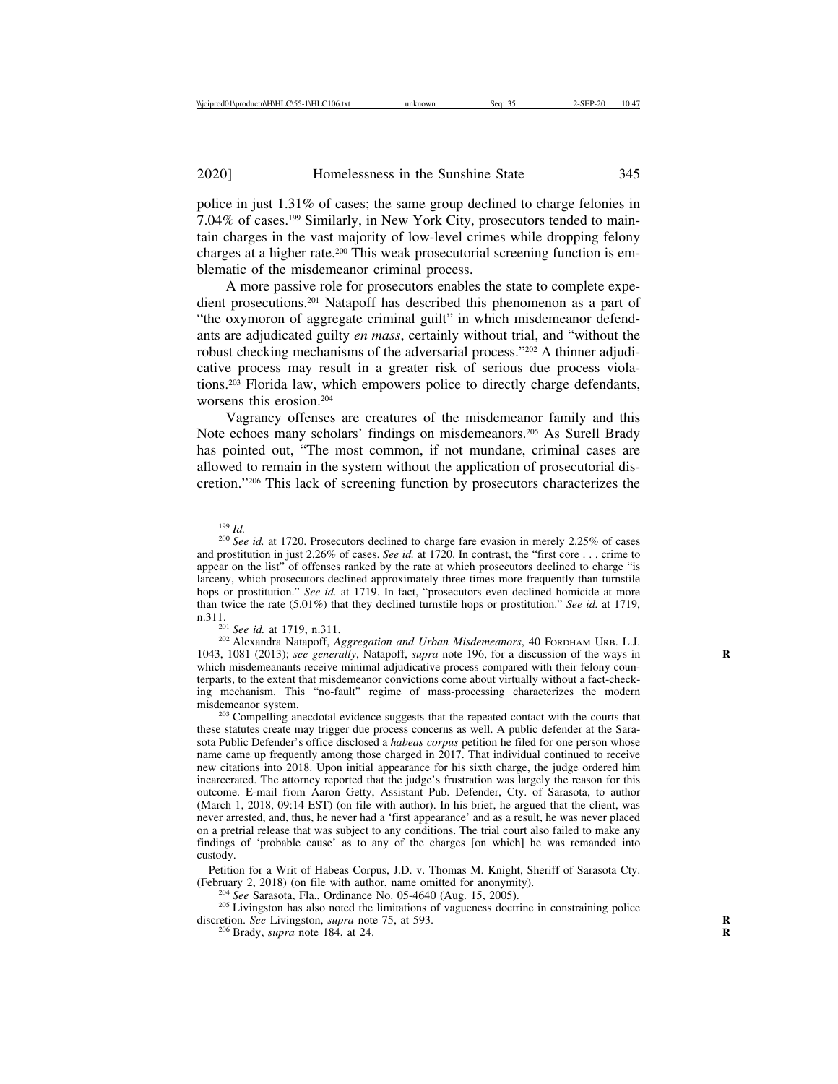police in just 1.31% of cases; the same group declined to charge felonies in 7.04% of cases.199 Similarly, in New York City, prosecutors tended to maintain charges in the vast majority of low-level crimes while dropping felony charges at a higher rate.200 This weak prosecutorial screening function is emblematic of the misdemeanor criminal process.

A more passive role for prosecutors enables the state to complete expedient prosecutions.201 Natapoff has described this phenomenon as a part of "the oxymoron of aggregate criminal guilt" in which misdemeanor defendants are adjudicated guilty *en mass*, certainly without trial, and "without the robust checking mechanisms of the adversarial process."202 A thinner adjudicative process may result in a greater risk of serious due process violations.203 Florida law, which empowers police to directly charge defendants, worsens this erosion.204

Vagrancy offenses are creatures of the misdemeanor family and this Note echoes many scholars' findings on misdemeanors.205 As Surell Brady has pointed out, "The most common, if not mundane, criminal cases are allowed to remain in the system without the application of prosecutorial discretion."206 This lack of screening function by prosecutors characterizes the

1043, 1081 (2013); *see generally*, Natapoff, *supra* note 196, for a discussion of the ways in **R** which misdemeanants receive minimal adjudicative process compared with their felony counterparts, to the extent that misdemeanor convictions come about virtually without a fact-checking mechanism. This "no-fault" regime of mass-processing characterizes the modern misdemeanor system.<br><sup>203</sup> Compelling anecdotal evidence suggests that the repeated contact with the courts that

these statutes create may trigger due process concerns as well. A public defender at the Sarasota Public Defender's office disclosed a *habeas corpus* petition he filed for one person whose name came up frequently among those charged in 2017. That individual continued to receive new citations into 2018. Upon initial appearance for his sixth charge, the judge ordered him incarcerated. The attorney reported that the judge's frustration was largely the reason for this outcome. E-mail from Aaron Getty, Assistant Pub. Defender, Cty. of Sarasota, to author (March 1, 2018, 09:14 EST) (on file with author). In his brief, he argued that the client, was never arrested, and, thus, he never had a 'first appearance' and as a result, he was never placed on a pretrial release that was subject to any conditions. The trial court also failed to make any findings of 'probable cause' as to any of the charges [on which] he was remanded into custody.

Petition for a Writ of Habeas Corpus, J.D. v. Thomas M. Knight, Sheriff of Sarasota Cty. (February 2, 2018) (on file with author, name omitted for anonymity).

 $^{204}$  See Sarasota, Fla., Ordinance No. 05-4640 (Aug. 15, 2005).<br><sup>205</sup> Livingston has also noted the limitations of vagueness doctrine in constraining police discretion. *See* Livingston, *supra* note 75, at 593. <sup>206</sup> Brady, *supra* note 184, at 24.

<sup>199</sup> *Id.* <sup>200</sup> *See id.* at 1720. Prosecutors declined to charge fare evasion in merely 2.25% of cases and prostitution in just 2.26% of cases. *See id.* at 1720. In contrast, the "first core . . . crime to appear on the list" of offenses ranked by the rate at which prosecutors declined to charge "is larceny, which prosecutors declined approximately three times more frequently than turnstile hops or prostitution." *See id.* at 1719. In fact, "prosecutors even declined homicide at more than twice the rate (5.01%) that they declined turnstile hops or prostitution." *See id.* at 1719, n.311.<br><sup>201</sup> *See id.* at 1719, n.311.<br><sup>202</sup> Alexandra Natapoff, *Aggregation and Urban Misdemeanors*, 40 FORDHAM URB. L.J.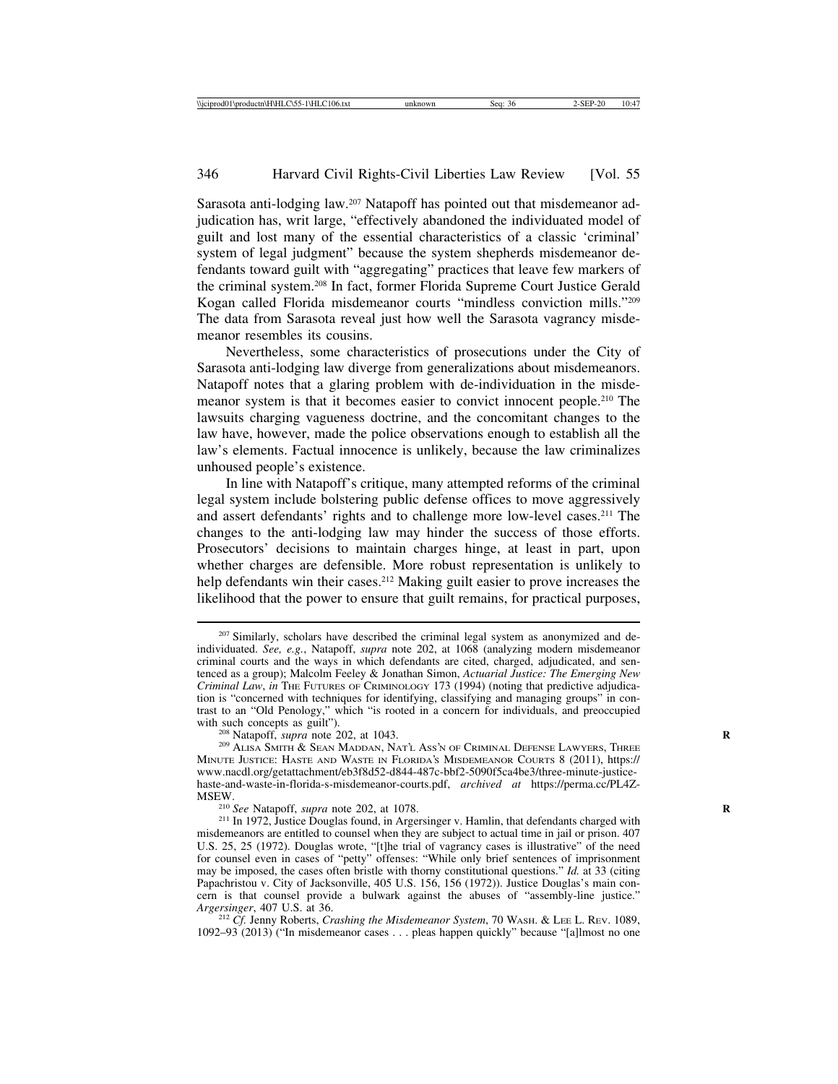Sarasota anti-lodging law.<sup>207</sup> Natapoff has pointed out that misdemeanor adjudication has, writ large, "effectively abandoned the individuated model of guilt and lost many of the essential characteristics of a classic 'criminal' system of legal judgment" because the system shepherds misdemeanor defendants toward guilt with "aggregating" practices that leave few markers of the criminal system.208 In fact, former Florida Supreme Court Justice Gerald Kogan called Florida misdemeanor courts "mindless conviction mills."209 The data from Sarasota reveal just how well the Sarasota vagrancy misdemeanor resembles its cousins.

Nevertheless, some characteristics of prosecutions under the City of Sarasota anti-lodging law diverge from generalizations about misdemeanors. Natapoff notes that a glaring problem with de-individuation in the misdemeanor system is that it becomes easier to convict innocent people.210 The lawsuits charging vagueness doctrine, and the concomitant changes to the law have, however, made the police observations enough to establish all the law's elements. Factual innocence is unlikely, because the law criminalizes unhoused people's existence.

In line with Natapoff's critique, many attempted reforms of the criminal legal system include bolstering public defense offices to move aggressively and assert defendants' rights and to challenge more low-level cases.211 The changes to the anti-lodging law may hinder the success of those efforts. Prosecutors' decisions to maintain charges hinge, at least in part, upon whether charges are defensible. More robust representation is unlikely to help defendants win their cases.<sup>212</sup> Making guilt easier to prove increases the likelihood that the power to ensure that guilt remains, for practical purposes,

<sup>&</sup>lt;sup>207</sup> Similarly, scholars have described the criminal legal system as anonymized and deindividuated. *See, e.g.*, Natapoff, *supra* note 202, at 1068 (analyzing modern misdemeanor criminal courts and the ways in which defendants are cited, charged, adjudicated, and sentenced as a group); Malcolm Feeley & Jonathan Simon, *Actuarial Justice: The Emerging New Criminal Law*, *in* THE FUTURES OF CRIMINOLOGY 173 (1994) (noting that predictive adjudication is "concerned with techniques for identifying, classifying and managing groups" in contrast to an "Old Penology," which "is rooted in a concern for individuals, and preoccupied with such concepts as guilt").<br><sup>208</sup> Natapoff, *supra* note 202, at 1043.<br><sup>209</sup> Alisa Smith & Sean Maddan, Nat'l Ass'n of Criminal Defense Lawyers, Three

MINUTE JUSTICE: HASTE AND WASTE IN FLORIDA'S MISDEMEANOR COURTS 8 (2011), https:// www.nacdl.org/getattachment/eb3f8d52-d844-487c-bbf2-5090f5ca4be3/three-minute-justicehaste-and-waste-in-florida-s-misdemeanor-courts.pdf, *archived at* https://perma.cc/PL4Z-MSEW.<br><sup>210</sup> *See* Natapoff, *supra* note 202, at 1078.<br><sup>211</sup> In 1972, Justice Douglas found, in Argersinger v. Hamlin, that defendants charged with

misdemeanors are entitled to counsel when they are subject to actual time in jail or prison. 407 U.S. 25, 25 (1972). Douglas wrote, "[t]he trial of vagrancy cases is illustrative" of the need for counsel even in cases of "petty" offenses: "While only brief sentences of imprisonment may be imposed, the cases often bristle with thorny constitutional questions." *Id.* at 33 (citing Papachristou v. City of Jacksonville, 405 U.S. 156, 156 (1972)). Justice Douglas's main concern is that counsel provide a bulwark against the abuses of "assembly-line justice." Argersinger, 407 U.S. at 36.

<sup>&</sup>lt;sup>212</sup> *Cf.* Jenny Roberts, *Crashing the Misdemeanor System*, 70 WASH. & LEE L. REV. 1089, 1092–93 (2013) ("In misdemeanor cases . . . pleas happen quickly" because "[a]lmost no one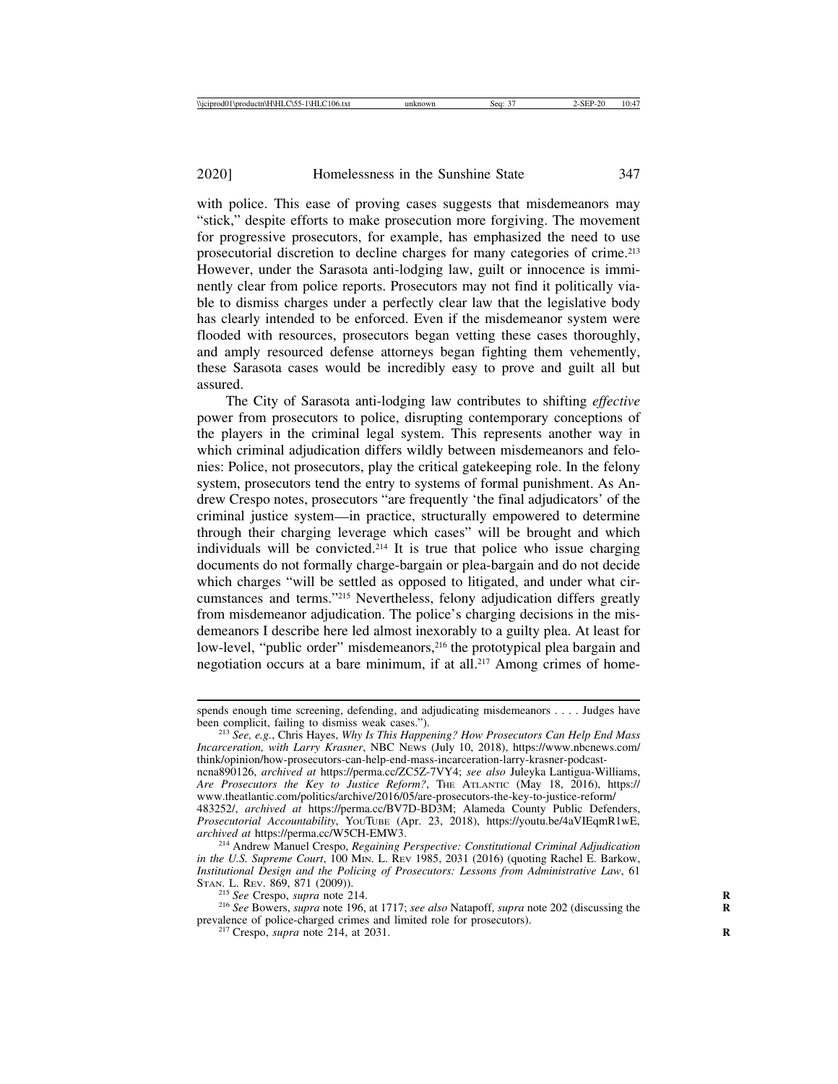with police. This ease of proving cases suggests that misdemeanors may "stick," despite efforts to make prosecution more forgiving. The movement for progressive prosecutors, for example, has emphasized the need to use prosecutorial discretion to decline charges for many categories of crime.213 However, under the Sarasota anti-lodging law, guilt or innocence is imminently clear from police reports. Prosecutors may not find it politically viable to dismiss charges under a perfectly clear law that the legislative body has clearly intended to be enforced. Even if the misdemeanor system were flooded with resources, prosecutors began vetting these cases thoroughly, and amply resourced defense attorneys began fighting them vehemently, these Sarasota cases would be incredibly easy to prove and guilt all but assured.

The City of Sarasota anti-lodging law contributes to shifting *effective* power from prosecutors to police, disrupting contemporary conceptions of the players in the criminal legal system. This represents another way in which criminal adjudication differs wildly between misdemeanors and felonies: Police, not prosecutors, play the critical gatekeeping role. In the felony system, prosecutors tend the entry to systems of formal punishment. As Andrew Crespo notes, prosecutors "are frequently 'the final adjudicators' of the criminal justice system—in practice, structurally empowered to determine through their charging leverage which cases" will be brought and which individuals will be convicted.<sup>214</sup> It is true that police who issue charging documents do not formally charge-bargain or plea-bargain and do not decide which charges "will be settled as opposed to litigated, and under what circumstances and terms."215 Nevertheless, felony adjudication differs greatly from misdemeanor adjudication. The police's charging decisions in the misdemeanors I describe here led almost inexorably to a guilty plea. At least for low-level, "public order" misdemeanors,<sup>216</sup> the prototypical plea bargain and negotiation occurs at a bare minimum, if at all.<sup>217</sup> Among crimes of home-

*Incarceration, with Larry Krasner*, NBC NEWS (July 10, 2018), https://www.nbcnews.com/ think/opinion/how-prosecutors-can-help-end-mass-incarceration-larry-krasner-podcastncna890126, *archived at* https://perma.cc/ZC5Z-7VY4; *see also* Juleyka Lantigua-Williams, Are Prosecutors the Key to Justice Reform?, THE ATLANTIC (May 18, 2016), https:// www.theatlantic.com/politics/archive/2016/05/are-prosecutors-the-key-to-justice-reform/ 483252/, *archived at* https://perma.cc/BV7D-BD3M; Alameda County Public Defenders, *Prosecutorial Accountability*, YOUTUBE (Apr. 23, 2018), https://youtu.be/4aVIEqmR1wE,

<sup>214</sup> Andrew Manuel Crespo, *Regaining Perspective: Constitutional Criminal Adjudication in the U.S. Supreme Court*, 100 M<sub>IN</sub>. L. REV 1985, 2031 (2016) (quoting Rachel E. Barkow, *Institutional Design and the Policing of Prosecutors: Lessons from Administrative Law*, 61

<sup>215</sup> *See* Crespo, *supra* note 214. **R** 216 *See also* Natapoff, *supra* note 202 (discussing the 216 *See* Bowers, *supra* note 196, at 1717; *see also* Natapoff, *supra* note 202 (discussing the prevalence of police-charged crimes and limited role for prosecutors). <sup>217</sup> Crespo, *supra* note 214, at 2031. **<sup>R</sup>**

spends enough time screening, defending, and adjudicating misdemeanors . . . . Judges have been complicit, failing to dismiss weak cases."). <sup>213</sup> *See, e.g.*, Chris Hayes, *Why Is This Happening? How Prosecutors Can Help End Mass*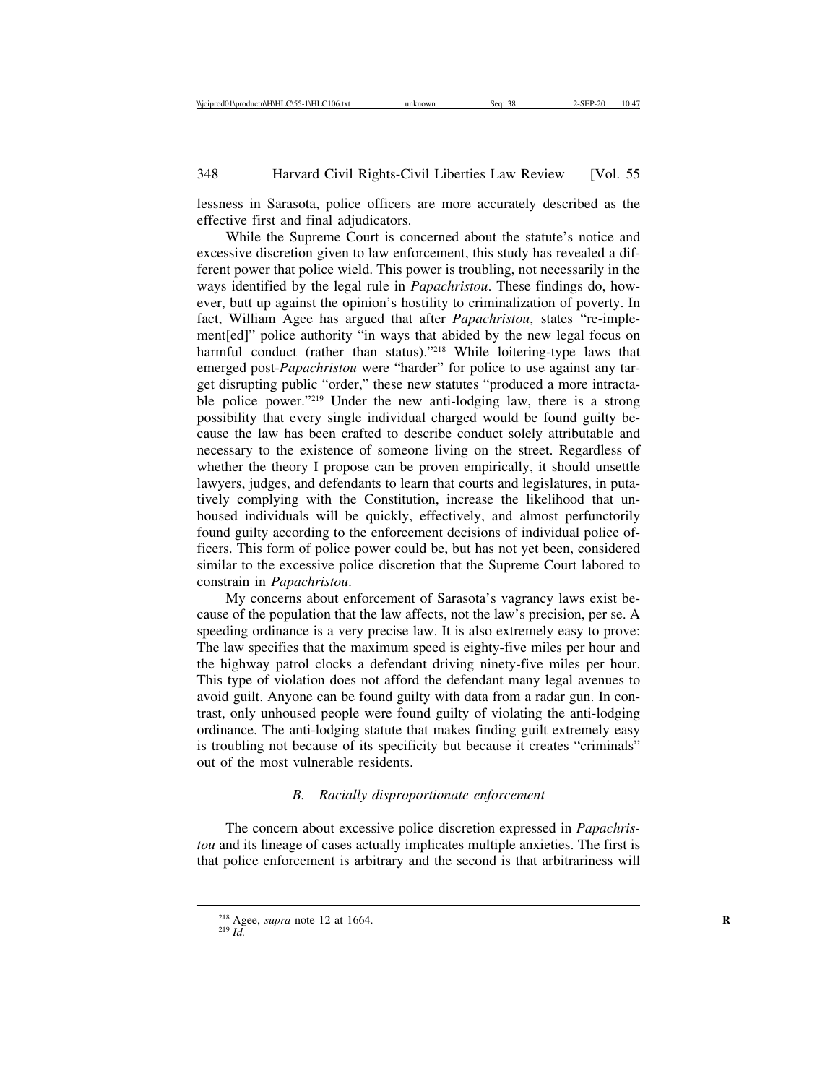lessness in Sarasota, police officers are more accurately described as the effective first and final adjudicators.

While the Supreme Court is concerned about the statute's notice and excessive discretion given to law enforcement, this study has revealed a different power that police wield. This power is troubling, not necessarily in the ways identified by the legal rule in *Papachristou*. These findings do, however, butt up against the opinion's hostility to criminalization of poverty. In fact, William Agee has argued that after *Papachristou*, states "re-implement[ed]" police authority "in ways that abided by the new legal focus on harmful conduct (rather than status)."<sup>218</sup> While loitering-type laws that emerged post-*Papachristou* were "harder" for police to use against any target disrupting public "order," these new statutes "produced a more intractable police power."<sup>219</sup> Under the new anti-lodging law, there is a strong possibility that every single individual charged would be found guilty because the law has been crafted to describe conduct solely attributable and necessary to the existence of someone living on the street. Regardless of whether the theory I propose can be proven empirically, it should unsettle lawyers, judges, and defendants to learn that courts and legislatures, in putatively complying with the Constitution, increase the likelihood that unhoused individuals will be quickly, effectively, and almost perfunctorily found guilty according to the enforcement decisions of individual police officers. This form of police power could be, but has not yet been, considered similar to the excessive police discretion that the Supreme Court labored to constrain in *Papachristou*.

My concerns about enforcement of Sarasota's vagrancy laws exist because of the population that the law affects, not the law's precision, per se. A speeding ordinance is a very precise law. It is also extremely easy to prove: The law specifies that the maximum speed is eighty-five miles per hour and the highway patrol clocks a defendant driving ninety-five miles per hour. This type of violation does not afford the defendant many legal avenues to avoid guilt. Anyone can be found guilty with data from a radar gun. In contrast, only unhoused people were found guilty of violating the anti-lodging ordinance. The anti-lodging statute that makes finding guilt extremely easy is troubling not because of its specificity but because it creates "criminals" out of the most vulnerable residents.

# *B. Racially disproportionate enforcement*

The concern about excessive police discretion expressed in *Papachristou* and its lineage of cases actually implicates multiple anxieties. The first is that police enforcement is arbitrary and the second is that arbitrariness will

<sup>&</sup>lt;sup>218</sup> Agee, *supra* note 12 at 1664.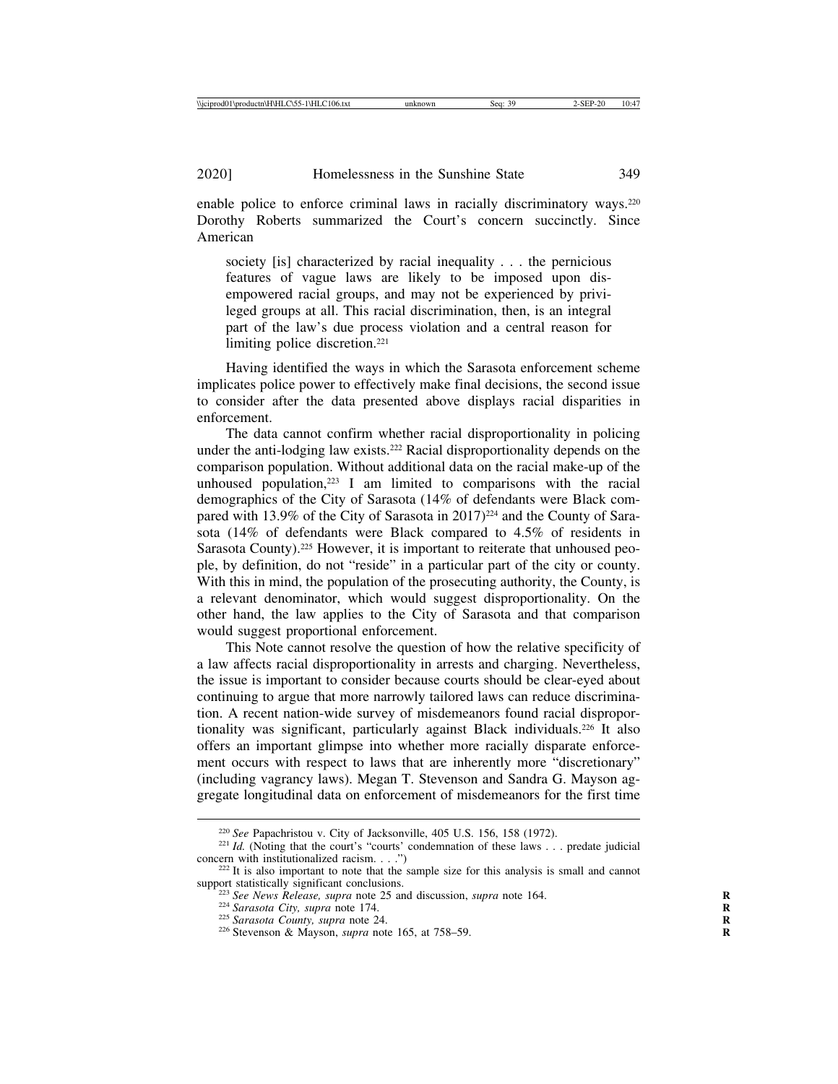enable police to enforce criminal laws in racially discriminatory ways.<sup>220</sup> Dorothy Roberts summarized the Court's concern succinctly. Since American

society [is] characterized by racial inequality . . . the pernicious features of vague laws are likely to be imposed upon disempowered racial groups, and may not be experienced by privileged groups at all. This racial discrimination, then, is an integral part of the law's due process violation and a central reason for limiting police discretion.<sup>221</sup>

Having identified the ways in which the Sarasota enforcement scheme implicates police power to effectively make final decisions, the second issue to consider after the data presented above displays racial disparities in enforcement.

The data cannot confirm whether racial disproportionality in policing under the anti-lodging law exists.222 Racial disproportionality depends on the comparison population. Without additional data on the racial make-up of the unhoused population, $223$  I am limited to comparisons with the racial demographics of the City of Sarasota (14% of defendants were Black compared with 13.9% of the City of Sarasota in 2017)<sup>224</sup> and the County of Sarasota (14% of defendants were Black compared to 4.5% of residents in Sarasota County).<sup>225</sup> However, it is important to reiterate that unhoused people, by definition, do not "reside" in a particular part of the city or county. With this in mind, the population of the prosecuting authority, the County, is a relevant denominator, which would suggest disproportionality. On the other hand, the law applies to the City of Sarasota and that comparison would suggest proportional enforcement.

This Note cannot resolve the question of how the relative specificity of a law affects racial disproportionality in arrests and charging. Nevertheless, the issue is important to consider because courts should be clear-eyed about continuing to argue that more narrowly tailored laws can reduce discrimination. A recent nation-wide survey of misdemeanors found racial disproportionality was significant, particularly against Black individuals.226 It also offers an important glimpse into whether more racially disparate enforcement occurs with respect to laws that are inherently more "discretionary" (including vagrancy laws). Megan T. Stevenson and Sandra G. Mayson aggregate longitudinal data on enforcement of misdemeanors for the first time

<sup>&</sup>lt;sup>220</sup> *See* Papachristou v. City of Jacksonville, 405 U.S. 156, 158 (1972).<br><sup>221</sup> *Id.* (Noting that the court's "courts" condemnation of these laws . . . predate judicial

concern with institutionalized racism. . . .")<br><sup>222</sup> It is also important to note that the sample size for this analysis is small and cannot<br>support statistically significant conclusions.

<sup>&</sup>lt;sup>223</sup> See News Release, supra note 25 and discussion, supra note 164.<br><sup>224</sup> Sarasota City, supra note 174.<br><sup>225</sup> Sarasota County, supra note 24.<br><sup>226</sup> Stevenson & Mayson, supra note 165, at 758–59.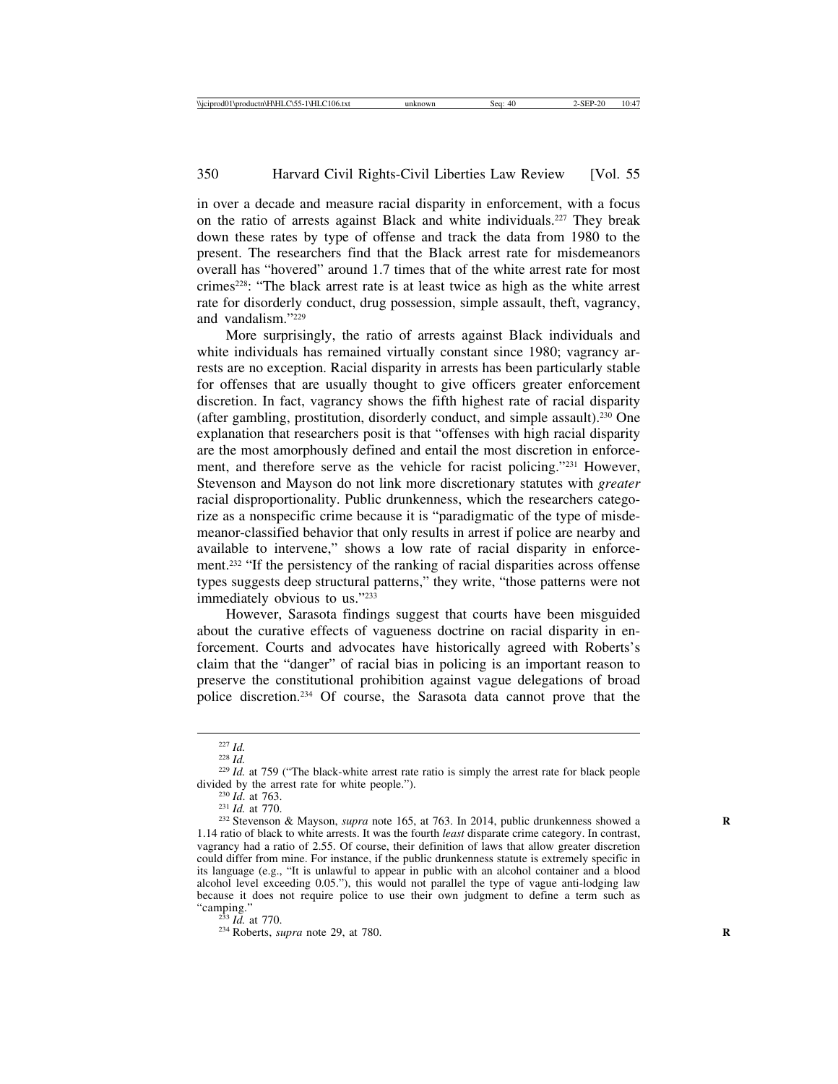in over a decade and measure racial disparity in enforcement, with a focus on the ratio of arrests against Black and white individuals.227 They break down these rates by type of offense and track the data from 1980 to the present. The researchers find that the Black arrest rate for misdemeanors overall has "hovered" around 1.7 times that of the white arrest rate for most crimes228: "The black arrest rate is at least twice as high as the white arrest rate for disorderly conduct, drug possession, simple assault, theft, vagrancy, and vandalism."229

More surprisingly, the ratio of arrests against Black individuals and white individuals has remained virtually constant since 1980; vagrancy arrests are no exception. Racial disparity in arrests has been particularly stable for offenses that are usually thought to give officers greater enforcement discretion. In fact, vagrancy shows the fifth highest rate of racial disparity (after gambling, prostitution, disorderly conduct, and simple assault).230 One explanation that researchers posit is that "offenses with high racial disparity are the most amorphously defined and entail the most discretion in enforcement, and therefore serve as the vehicle for racist policing."231 However, Stevenson and Mayson do not link more discretionary statutes with *greater* racial disproportionality. Public drunkenness, which the researchers categorize as a nonspecific crime because it is "paradigmatic of the type of misdemeanor-classified behavior that only results in arrest if police are nearby and available to intervene," shows a low rate of racial disparity in enforcement.232 "If the persistency of the ranking of racial disparities across offense types suggests deep structural patterns," they write, "those patterns were not immediately obvious to us."233

However, Sarasota findings suggest that courts have been misguided about the curative effects of vagueness doctrine on racial disparity in enforcement. Courts and advocates have historically agreed with Roberts's claim that the "danger" of racial bias in policing is an important reason to preserve the constitutional prohibition against vague delegations of broad police discretion.234 Of course, the Sarasota data cannot prove that the

<sup>227</sup> *Id.* <sup>228</sup> *Id.* <sup>229</sup> *Id.* at 759 ("The black-white arrest rate ratio is simply the arrest rate for black people divided by the arrest rate for white people.").<br><sup>230</sup> *Id.* at 763.<br><sup>231</sup> *Id.* at 770.<br><sup>232</sup> Stevenson & Mayson, *supra* note 165, at 763. In 2014, public drunkenness showed a

<sup>1.14</sup> ratio of black to white arrests. It was the fourth *least* disparate crime category. In contrast, vagrancy had a ratio of 2.55. Of course, their definition of laws that allow greater discretion could differ from mine. For instance, if the public drunkenness statute is extremely specific in its language (e.g., "It is unlawful to appear in public with an alcohol container and a blood alcohol level exceeding 0.05."), this would not parallel the type of vague anti-lodging law because it does not require police to use their own judgment to define a term such as "camping."

<sup>&</sup>lt;sup>233</sup> *Id.* at 770. <sup>234</sup> Roberts, *supra* note 29, at 780.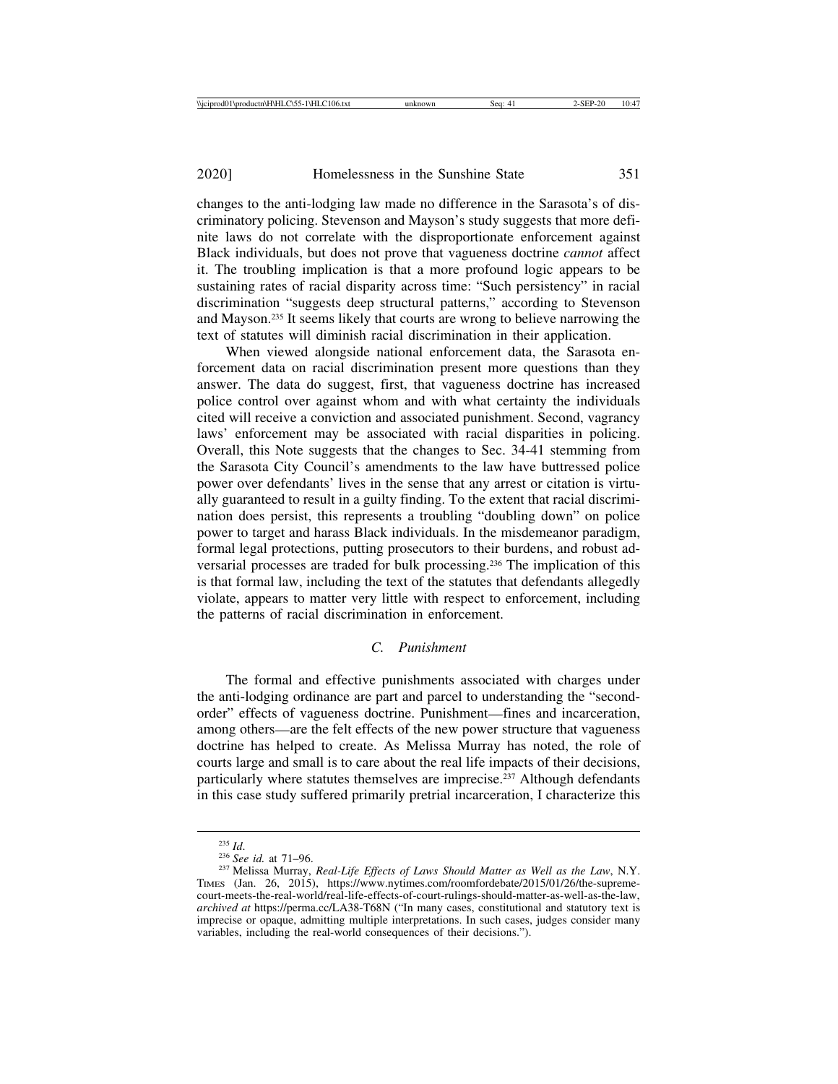changes to the anti-lodging law made no difference in the Sarasota's of discriminatory policing. Stevenson and Mayson's study suggests that more definite laws do not correlate with the disproportionate enforcement against Black individuals, but does not prove that vagueness doctrine *cannot* affect it. The troubling implication is that a more profound logic appears to be sustaining rates of racial disparity across time: "Such persistency" in racial discrimination "suggests deep structural patterns," according to Stevenson and Mayson.235 It seems likely that courts are wrong to believe narrowing the text of statutes will diminish racial discrimination in their application.

When viewed alongside national enforcement data, the Sarasota enforcement data on racial discrimination present more questions than they answer. The data do suggest, first, that vagueness doctrine has increased police control over against whom and with what certainty the individuals cited will receive a conviction and associated punishment. Second, vagrancy laws' enforcement may be associated with racial disparities in policing. Overall, this Note suggests that the changes to Sec. 34-41 stemming from the Sarasota City Council's amendments to the law have buttressed police power over defendants' lives in the sense that any arrest or citation is virtually guaranteed to result in a guilty finding. To the extent that racial discrimination does persist, this represents a troubling "doubling down" on police power to target and harass Black individuals. In the misdemeanor paradigm, formal legal protections, putting prosecutors to their burdens, and robust adversarial processes are traded for bulk processing.236 The implication of this is that formal law, including the text of the statutes that defendants allegedly violate, appears to matter very little with respect to enforcement, including the patterns of racial discrimination in enforcement.

# *C. Punishment*

The formal and effective punishments associated with charges under the anti-lodging ordinance are part and parcel to understanding the "secondorder" effects of vagueness doctrine. Punishment—fines and incarceration, among others—are the felt effects of the new power structure that vagueness doctrine has helped to create. As Melissa Murray has noted, the role of courts large and small is to care about the real life impacts of their decisions, particularly where statutes themselves are imprecise.<sup>237</sup> Although defendants in this case study suffered primarily pretrial incarceration, I characterize this

<sup>235</sup> *Id*. <sup>236</sup> *See id.* at 71–96. <sup>237</sup> Melissa Murray, *Real-Life Effects of Laws Should Matter as Well as the Law*, N.Y. TIMES (Jan. 26, 2015), https://www.nytimes.com/roomfordebate/2015/01/26/the-supremecourt-meets-the-real-world/real-life-effects-of-court-rulings-should-matter-as-well-as-the-law, *archived at* https://perma.cc/LA38-T68N ("In many cases, constitutional and statutory text is imprecise or opaque, admitting multiple interpretations. In such cases, judges consider many variables, including the real-world consequences of their decisions.").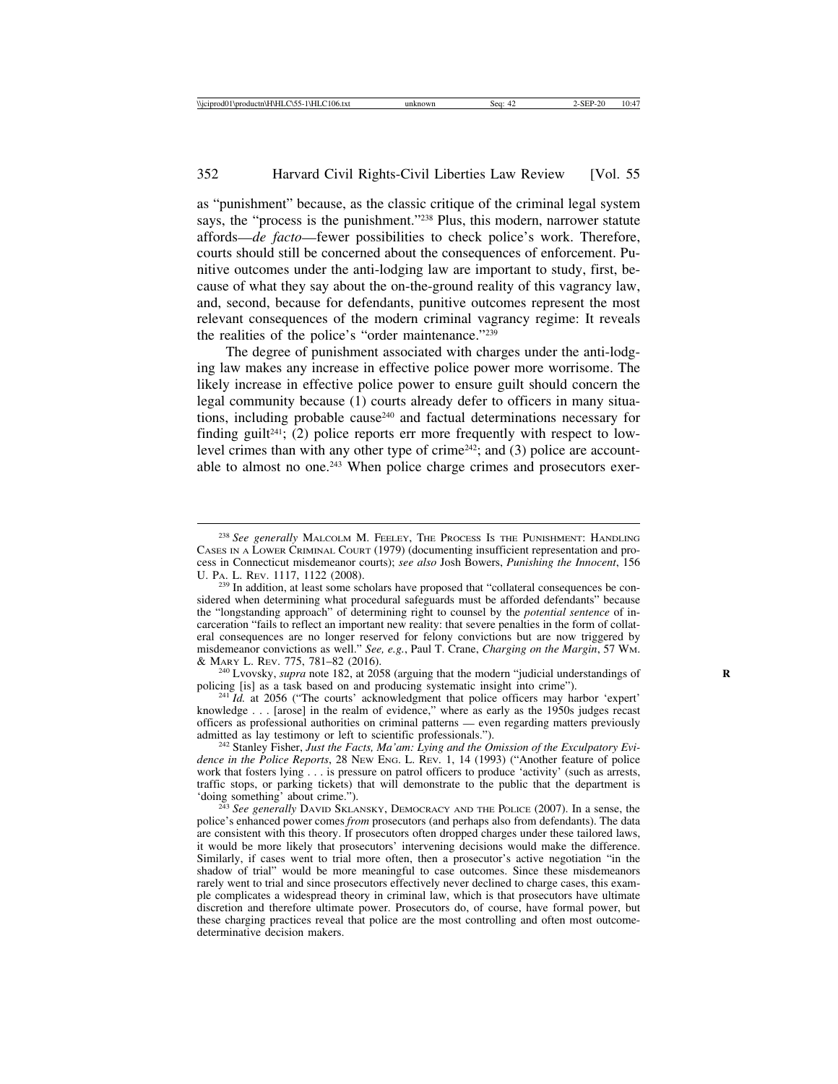as "punishment" because, as the classic critique of the criminal legal system says, the "process is the punishment."<sup>238</sup> Plus, this modern, narrower statute affords—*de facto*—fewer possibilities to check police's work. Therefore, courts should still be concerned about the consequences of enforcement. Punitive outcomes under the anti-lodging law are important to study, first, because of what they say about the on-the-ground reality of this vagrancy law, and, second, because for defendants, punitive outcomes represent the most relevant consequences of the modern criminal vagrancy regime: It reveals the realities of the police's "order maintenance."239

The degree of punishment associated with charges under the anti-lodging law makes any increase in effective police power more worrisome. The likely increase in effective police power to ensure guilt should concern the legal community because (1) courts already defer to officers in many situations, including probable cause240 and factual determinations necessary for finding guilt<sup>241</sup>; (2) police reports err more frequently with respect to lowlevel crimes than with any other type of crime242; and (3) police are accountable to almost no one.<sup>243</sup> When police charge crimes and prosecutors exer-

<sup>240</sup> Lvovsky, *supra* note 182, at 2058 (arguing that the modern "judicial understandings of policing [is] as a task based on and producing systematic insight into crime").

 $^{241}$ *Id.* at 2056 ("The courts' acknowledgment that police officers may harbor 'expert' knowledge . . . [arose] in the realm of evidence," where as early as the 1950s judges recast officers as professional authorities on criminal patterns — even regarding matters previously admitted as lay testimony or left to scientific professionals.").

<sup>242</sup> Stanley Fisher, *Just the Facts, Ma'am: Lying and the Omission of the Exculpatory Evidence in the Police Reports*, 28 NEW ENG. L. REV*.* 1, 14 (1993) ("Another feature of police work that fosters lying . . . is pressure on patrol officers to produce 'activity' (such as arrests, traffic stops, or parking tickets) that will demonstrate to the public that the department is

<sup>243</sup> See generally DAVID SKLANSKY, DEMOCRACY AND THE POLICE (2007). In a sense, the police's enhanced power comes *from* prosecutors (and perhaps also from defendants). The data are consistent with this theory. If prosecutors often dropped charges under these tailored laws, it would be more likely that prosecutors' intervening decisions would make the difference. Similarly, if cases went to trial more often, then a prosecutor's active negotiation "in the shadow of trial" would be more meaningful to case outcomes. Since these misdemeanors rarely went to trial and since prosecutors effectively never declined to charge cases, this example complicates a widespread theory in criminal law, which is that prosecutors have ultimate discretion and therefore ultimate power. Prosecutors do, of course, have formal power, but these charging practices reveal that police are the most controlling and often most outcomedeterminative decision makers.

<sup>238</sup> *See generally* MALCOLM M. FEELEY, THE PROCESS IS THE PUNISHMENT: HANDLING CASES IN A LOWER CRIMINAL COURT (1979) (documenting insufficient representation and process in Connecticut misdemeanor courts); *see also* Josh Bowers, *Punishing the Innocent*, 156

 $239$  In addition, at least some scholars have proposed that "collateral consequences be considered when determining what procedural safeguards must be afforded defendants" because the "longstanding approach" of determining right to counsel by the *potential sentence* of incarceration "fails to reflect an important new reality: that severe penalties in the form of collateral consequences are no longer reserved for felony convictions but are now triggered by misdemeanor convictions as well." *See, e.g.*, Paul T. Crane, *Charging on the Margin*, 57 WM.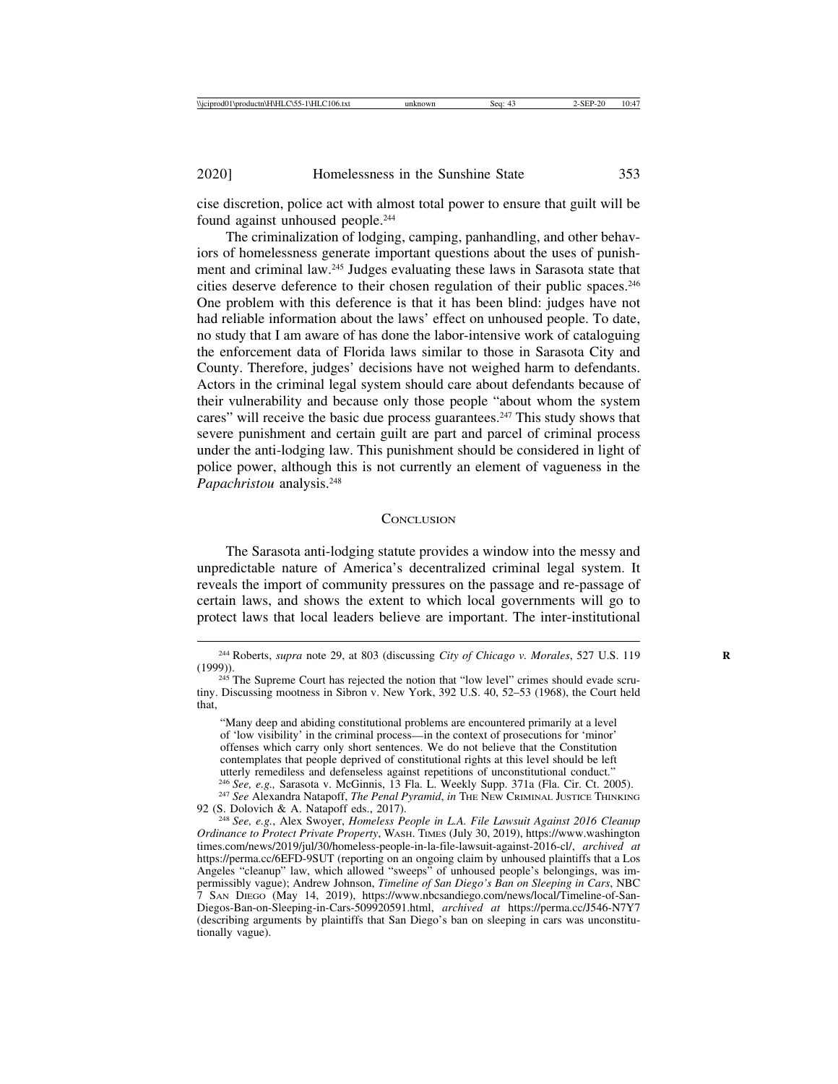cise discretion, police act with almost total power to ensure that guilt will be found against unhoused people.244

The criminalization of lodging, camping, panhandling, and other behaviors of homelessness generate important questions about the uses of punishment and criminal law.245 Judges evaluating these laws in Sarasota state that cities deserve deference to their chosen regulation of their public spaces.246 One problem with this deference is that it has been blind: judges have not had reliable information about the laws' effect on unhoused people. To date, no study that I am aware of has done the labor-intensive work of cataloguing the enforcement data of Florida laws similar to those in Sarasota City and County. Therefore, judges' decisions have not weighed harm to defendants. Actors in the criminal legal system should care about defendants because of their vulnerability and because only those people "about whom the system cares" will receive the basic due process guarantees.<sup>247</sup> This study shows that severe punishment and certain guilt are part and parcel of criminal process under the anti-lodging law. This punishment should be considered in light of police power, although this is not currently an element of vagueness in the *Papachristou* analysis.248

## **CONCLUSION**

The Sarasota anti-lodging statute provides a window into the messy and unpredictable nature of America's decentralized criminal legal system. It reveals the import of community pressures on the passage and re-passage of certain laws, and shows the extent to which local governments will go to protect laws that local leaders believe are important. The inter-institutional

"Many deep and abiding constitutional problems are encountered primarily at a level of 'low visibility' in the criminal process—in the context of prosecutions for 'minor' offenses which carry only short sentences. We do not believe that the Constitution contemplates that people deprived of constitutional rights at this level should be left utterly remediless and defenseless against repetitions of unconstitutional conduct."<br><sup>246</sup> See, e.g., Sarasota v. McGinnis, 13 Fla. L. Weekly Supp. 371a (Fla. Cir. Ct. 2005).

<sup>&</sup>lt;sup>244</sup> Roberts, *supra* note 29, at 803 (discussing *City of Chicago v. Morales*, 527 U.S. 119 (1999)).

 $245$  The Supreme Court has rejected the notion that "low level" crimes should evade scrutiny. Discussing mootness in Sibron v. New York, 392 U.S. 40, 52–53 (1968), the Court held that,

<sup>&</sup>lt;sup>247</sup> See Alexandra Natapoff, *The Penal Pyramid*, *in* THE NEW CRIMINAL JUSTICE THINKING 92 (S. Dolovich & A. Natapoff eds., 2017).

<sup>&</sup>lt;sup>248</sup> See, e.g., Alex Swoyer, *Homeless People in L.A. File Lawsuit Against 2016 Cleanup Ordinance to Protect Private Property*, WASH. TIMES (July 30, 2019), https://www.washington times.com/news/2019/jul/30/homeless-people-in-la-file-lawsuit-against-2016-cl/, *archived at* https://perma.cc/6EFD-9SUT (reporting on an ongoing claim by unhoused plaintiffs that a Los Angeles "cleanup" law, which allowed "sweeps" of unhoused people's belongings, was impermissibly vague); Andrew Johnson, *Timeline of San Diego's Ban on Sleeping in Cars*, NBC 7 SAN DIEGO (May 14, 2019), https://www.nbcsandiego.com/news/local/Timeline-of-San-Diegos-Ban-on-Sleeping-in-Cars-509920591.html, *archived at* https://perma.cc/J546-N7Y7 (describing arguments by plaintiffs that San Diego's ban on sleeping in cars was unconstitutionally vague).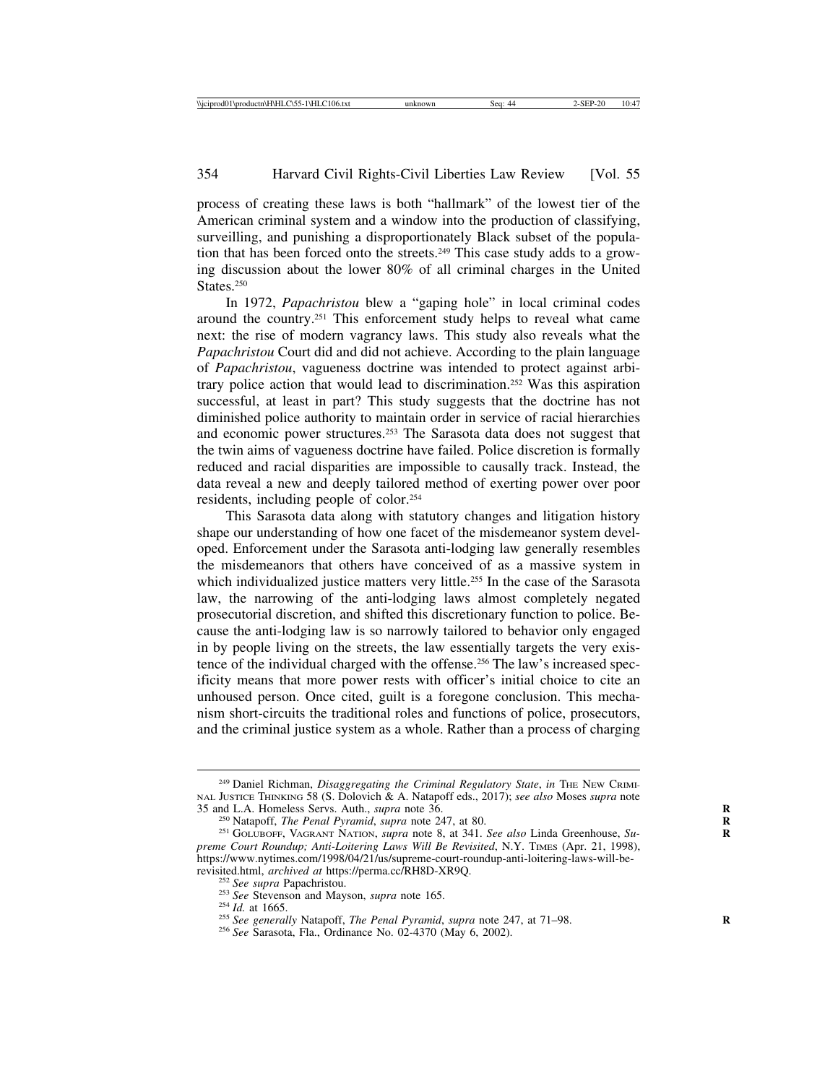process of creating these laws is both "hallmark" of the lowest tier of the American criminal system and a window into the production of classifying, surveilling, and punishing a disproportionately Black subset of the population that has been forced onto the streets.249 This case study adds to a growing discussion about the lower 80% of all criminal charges in the United States<sup>250</sup>

In 1972, *Papachristou* blew a "gaping hole" in local criminal codes around the country.251 This enforcement study helps to reveal what came next: the rise of modern vagrancy laws. This study also reveals what the *Papachristou* Court did and did not achieve. According to the plain language of *Papachristou*, vagueness doctrine was intended to protect against arbitrary police action that would lead to discrimination.252 Was this aspiration successful, at least in part? This study suggests that the doctrine has not diminished police authority to maintain order in service of racial hierarchies and economic power structures.253 The Sarasota data does not suggest that the twin aims of vagueness doctrine have failed. Police discretion is formally reduced and racial disparities are impossible to causally track. Instead, the data reveal a new and deeply tailored method of exerting power over poor residents, including people of color.254

This Sarasota data along with statutory changes and litigation history shape our understanding of how one facet of the misdemeanor system developed. Enforcement under the Sarasota anti-lodging law generally resembles the misdemeanors that others have conceived of as a massive system in which individualized justice matters very little.<sup>255</sup> In the case of the Sarasota law, the narrowing of the anti-lodging laws almost completely negated prosecutorial discretion, and shifted this discretionary function to police. Because the anti-lodging law is so narrowly tailored to behavior only engaged in by people living on the streets, the law essentially targets the very existence of the individual charged with the offense.<sup>256</sup> The law's increased specificity means that more power rests with officer's initial choice to cite an unhoused person. Once cited, guilt is a foregone conclusion. This mechanism short-circuits the traditional roles and functions of police, prosecutors, and the criminal justice system as a whole. Rather than a process of charging

<sup>&</sup>lt;sup>249</sup> Daniel Richman, *Disaggregating the Criminal Regulatory State*, *in* THE NEW CRIMI-NAL JUSTICE THINKING 58 (S. Dolovich & A. Natapoff eds., 2017); *see also* Moses *supra* note

<sup>&</sup>lt;sup>250</sup> Natapoff, *The Penal Pyramid*, *supra* note 247, at 80.<br><sup>251</sup> GOLUBOFF, VAGRANT NATION, *supra* note 8, at 341. *See also* Linda Greenhouse, *Supreme Court Roundup; Anti-Loitering Laws Will Be Revisited*, N.Y. TIMES (Apr. 21, 1998), https://www.nytimes.com/1998/04/21/us/supreme-court-roundup-anti-loitering-laws-will-be-

revisited.html, *archived at* https://perma.cc/RH8D-XR9Q.<br><sup>252</sup> See supra Papachristou.<br><sup>253</sup> See Stevenson and Mayson, *supra* note 165.<br><sup>254</sup> Id. at 1665.<br><sup>255</sup> See generally Natapoff, *The Penal Pyramid, supra* note 247